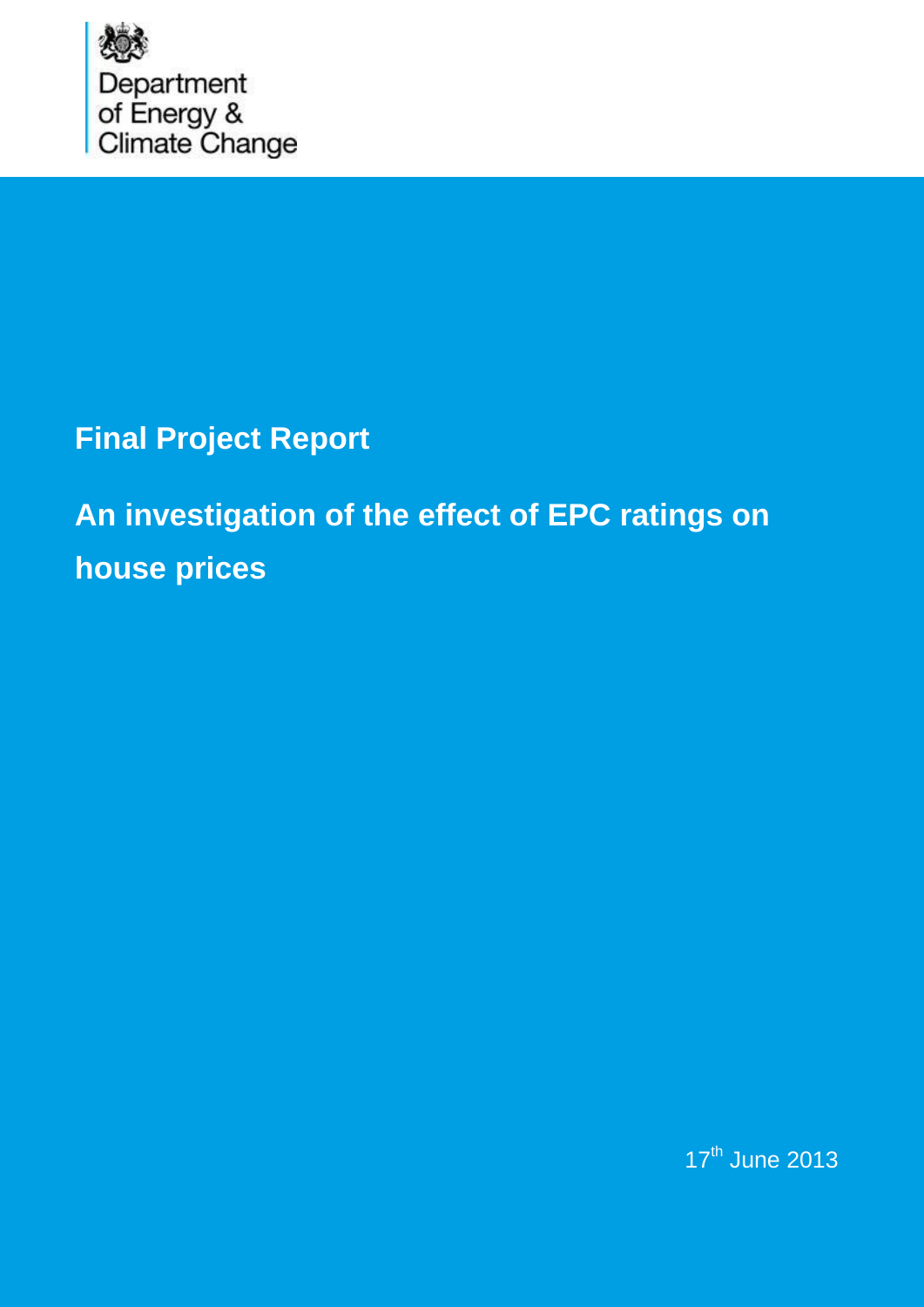

## **Final Project Report**

# **An investigation of the effect of EPC ratings on house prices**

17<sup>th</sup> June 2013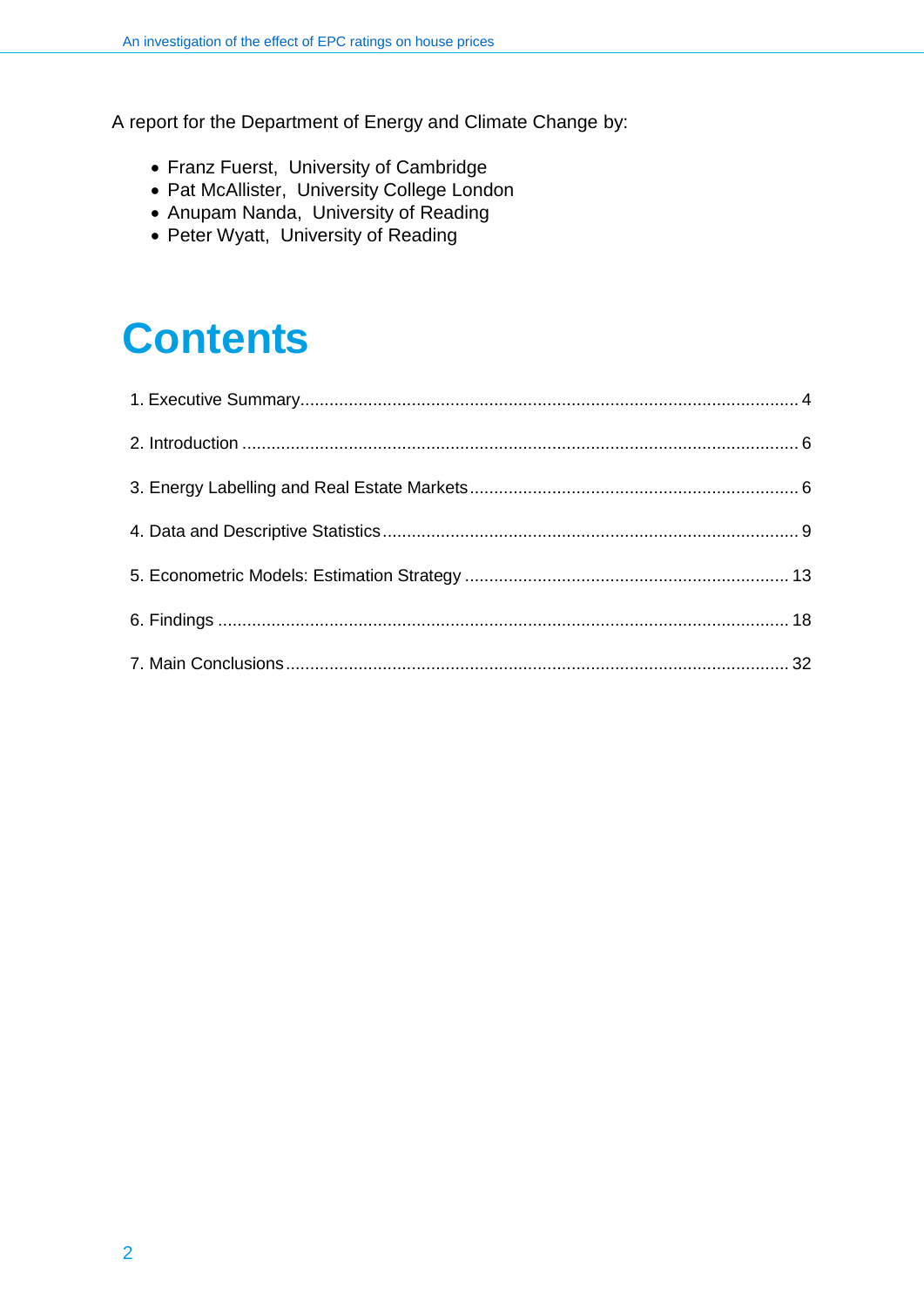A report for the Department of Energy and Climate Change by:

- Franz Fuerst, University of Cambridge
- Pat McAllister, University College London
- Anupam Nanda, University of Reading
- Peter Wyatt, University of Reading

## **Contents**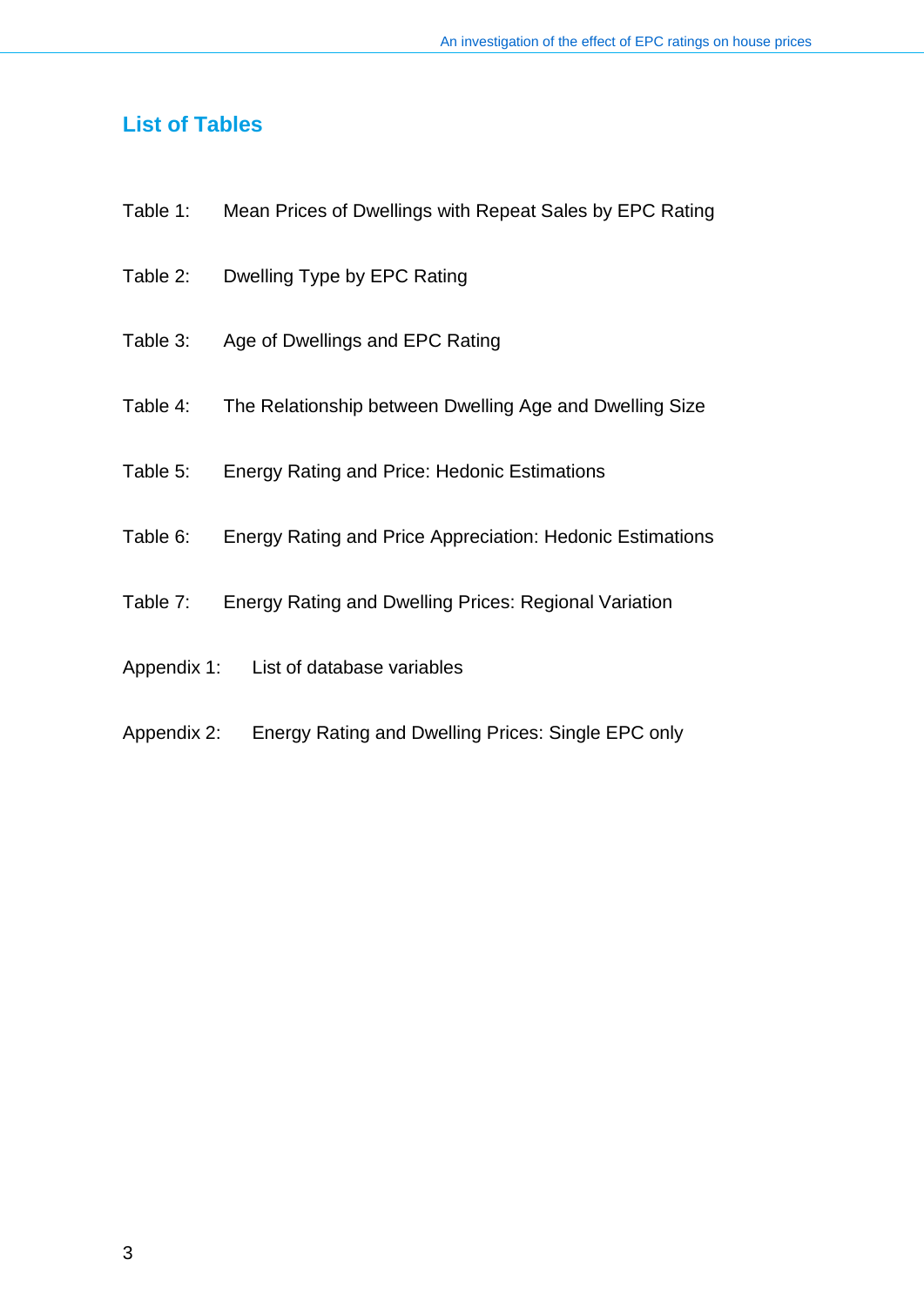#### **List of Tables**

- Table 1: Mean Prices of Dwellings with Repeat Sales by EPC Rating
- Table 2: Dwelling Type by EPC Rating
- Table 3: Age of Dwellings and EPC Rating
- Table 4: The Relationship between Dwelling Age and Dwelling Size
- Table 5: Energy Rating and Price: Hedonic Estimations
- Table 6: Energy Rating and Price Appreciation: Hedonic Estimations
- Table 7: Energy Rating and Dwelling Prices: Regional Variation
- Appendix 1: List of database variables
- Appendix 2: Energy Rating and Dwelling Prices: Single EPC only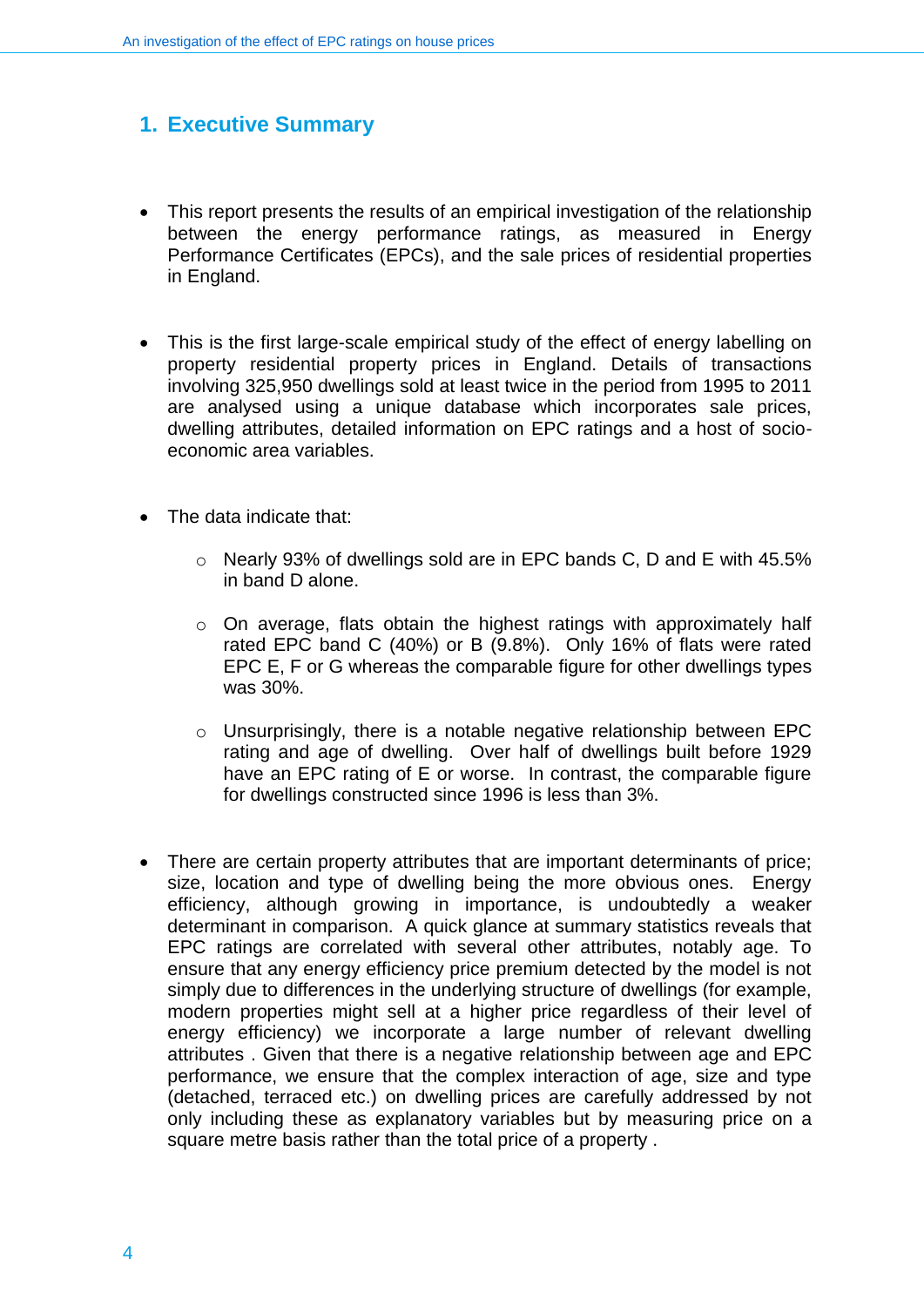### <span id="page-3-0"></span>**1. Executive Summary**

- This report presents the results of an empirical investigation of the relationship between the energy performance ratings, as measured in Energy Performance Certificates (EPCs), and the sale prices of residential properties in England.
- This is the first large-scale empirical study of the effect of energy labelling on property residential property prices in England. Details of transactions involving 325,950 dwellings sold at least twice in the period from 1995 to 2011 are analysed using a unique database which incorporates sale prices, dwelling attributes, detailed information on EPC ratings and a host of socioeconomic area variables.
- The data indicate that:
	- o Nearly 93% of dwellings sold are in EPC bands C, D and E with 45.5% in band D alone.
	- o On average, flats obtain the highest ratings with approximately half rated EPC band C (40%) or B (9.8%). Only 16% of flats were rated EPC E, F or G whereas the comparable figure for other dwellings types was 30%.
	- o Unsurprisingly, there is a notable negative relationship between EPC rating and age of dwelling. Over half of dwellings built before 1929 have an EPC rating of E or worse. In contrast, the comparable figure for dwellings constructed since 1996 is less than 3%.
- There are certain property attributes that are important determinants of price; size, location and type of dwelling being the more obvious ones. Energy efficiency, although growing in importance, is undoubtedly a weaker determinant in comparison. A quick glance at summary statistics reveals that EPC ratings are correlated with several other attributes, notably age. To ensure that any energy efficiency price premium detected by the model is not simply due to differences in the underlying structure of dwellings (for example, modern properties might sell at a higher price regardless of their level of energy efficiency) we incorporate a large number of relevant dwelling attributes . Given that there is a negative relationship between age and EPC performance, we ensure that the complex interaction of age, size and type (detached, terraced etc.) on dwelling prices are carefully addressed by not only including these as explanatory variables but by measuring price on a square metre basis rather than the total price of a property .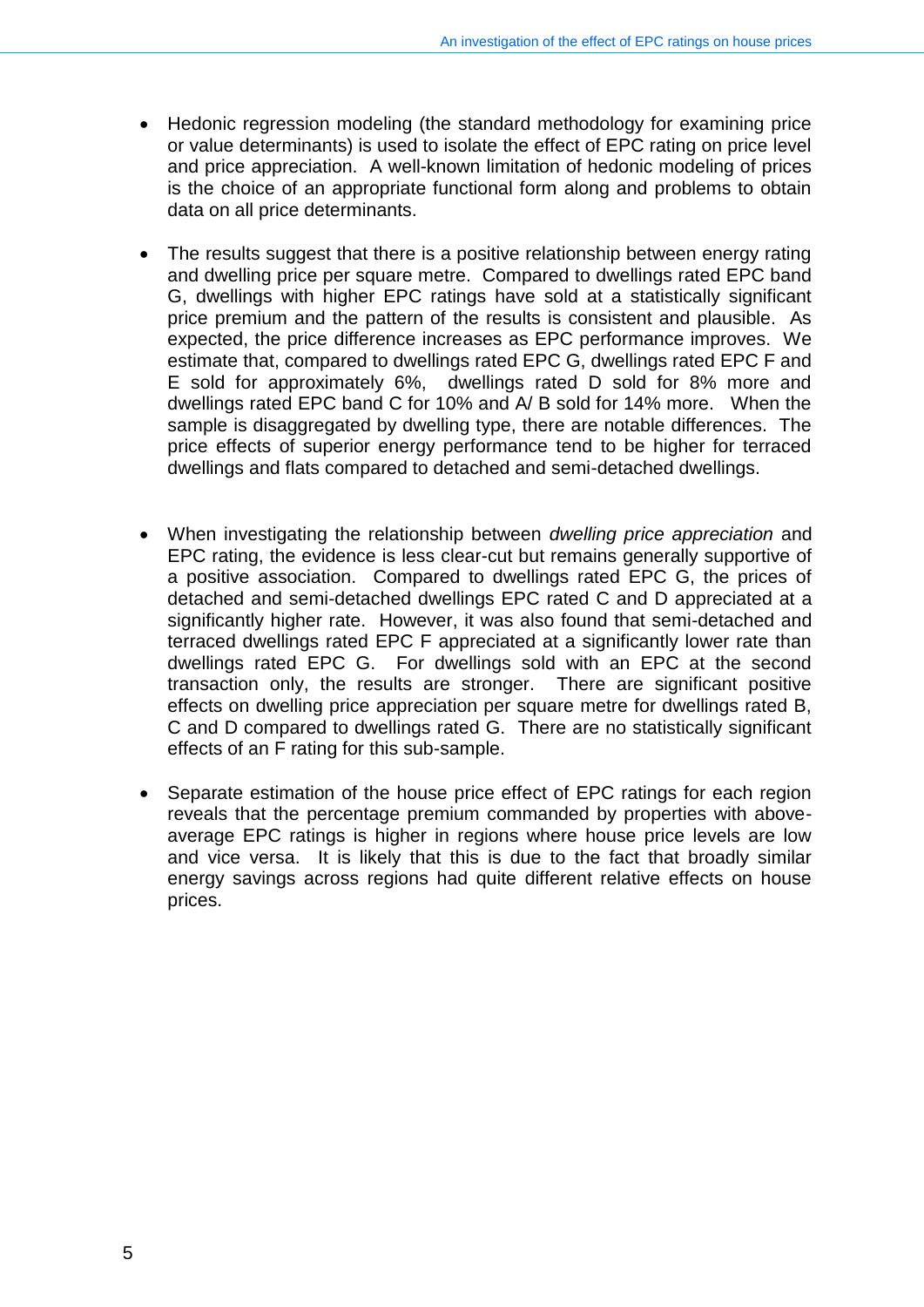- Hedonic regression modeling (the standard methodology for examining price or value determinants) is used to isolate the effect of EPC rating on price level and price appreciation. A well-known limitation of hedonic modeling of prices is the choice of an appropriate functional form along and problems to obtain data on all price determinants.
- The results suggest that there is a positive relationship between energy rating and dwelling price per square metre. Compared to dwellings rated EPC band G, dwellings with higher EPC ratings have sold at a statistically significant price premium and the pattern of the results is consistent and plausible. As expected, the price difference increases as EPC performance improves. We estimate that, compared to dwellings rated EPC G, dwellings rated EPC F and E sold for approximately 6%, dwellings rated D sold for 8% more and dwellings rated EPC band C for 10% and A/ B sold for 14% more. When the sample is disaggregated by dwelling type, there are notable differences. The price effects of superior energy performance tend to be higher for terraced dwellings and flats compared to detached and semi-detached dwellings.
- When investigating the relationship between *dwelling price appreciation* and EPC rating, the evidence is less clear-cut but remains generally supportive of a positive association. Compared to dwellings rated EPC G, the prices of detached and semi-detached dwellings EPC rated C and D appreciated at a significantly higher rate. However, it was also found that semi-detached and terraced dwellings rated EPC F appreciated at a significantly lower rate than dwellings rated EPC G. For dwellings sold with an EPC at the second transaction only, the results are stronger. There are significant positive effects on dwelling price appreciation per square metre for dwellings rated B, C and D compared to dwellings rated G. There are no statistically significant effects of an F rating for this sub-sample.
- Separate estimation of the house price effect of EPC ratings for each region reveals that the percentage premium commanded by properties with aboveaverage EPC ratings is higher in regions where house price levels are low and vice versa. It is likely that this is due to the fact that broadly similar energy savings across regions had quite different relative effects on house prices.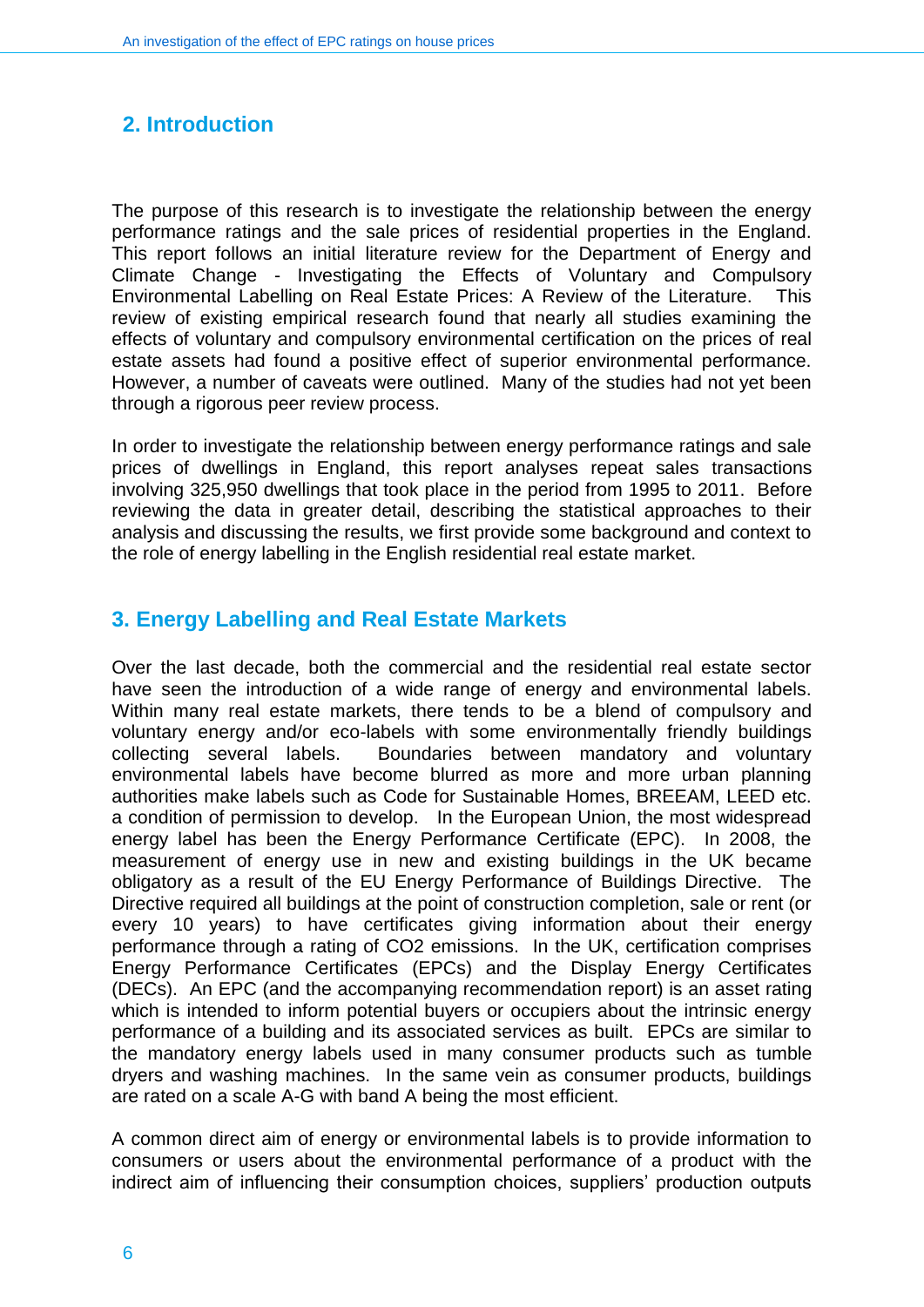## <span id="page-5-0"></span>**2. Introduction**

The purpose of this research is to investigate the relationship between the energy performance ratings and the sale prices of residential properties in the England. This report follows an initial literature review for the Department of Energy and Climate Change - Investigating the Effects of Voluntary and Compulsory Environmental Labelling on Real Estate Prices: A Review of the Literature. This review of existing empirical research found that nearly all studies examining the effects of voluntary and compulsory environmental certification on the prices of real estate assets had found a positive effect of superior environmental performance. However, a number of caveats were outlined. Many of the studies had not yet been through a rigorous peer review process.

In order to investigate the relationship between energy performance ratings and sale prices of dwellings in England, this report analyses repeat sales transactions involving 325,950 dwellings that took place in the period from 1995 to 2011. Before reviewing the data in greater detail, describing the statistical approaches to their analysis and discussing the results, we first provide some background and context to the role of energy labelling in the English residential real estate market.

#### <span id="page-5-1"></span>**3. Energy Labelling and Real Estate Markets**

Over the last decade, both the commercial and the residential real estate sector have seen the introduction of a wide range of energy and environmental labels. Within many real estate markets, there tends to be a blend of compulsory and voluntary energy and/or eco-labels with some environmentally friendly buildings collecting several labels. Boundaries between mandatory and voluntary environmental labels have become blurred as more and more urban planning authorities make labels such as Code for Sustainable Homes, BREEAM, LEED etc. a condition of permission to develop. In the European Union, the most widespread energy label has been the Energy Performance Certificate (EPC). In 2008, the measurement of energy use in new and existing buildings in the UK became obligatory as a result of the EU Energy Performance of Buildings Directive. The Directive required all buildings at the point of construction completion, sale or rent (or every 10 years) to have certificates giving information about their energy performance through a rating of CO2 emissions. In the UK, certification comprises Energy Performance Certificates (EPCs) and the Display Energy Certificates (DECs). An EPC (and the accompanying recommendation report) is an asset rating which is intended to inform potential buyers or occupiers about the intrinsic energy performance of a building and its associated services as built. EPCs are similar to the mandatory energy labels used in many consumer products such as tumble dryers and washing machines. In the same vein as consumer products, buildings are rated on a scale A-G with band A being the most efficient.

A common direct aim of energy or environmental labels is to provide information to consumers or users about the environmental performance of a product with the indirect aim of influencing their consumption choices, suppliers' production outputs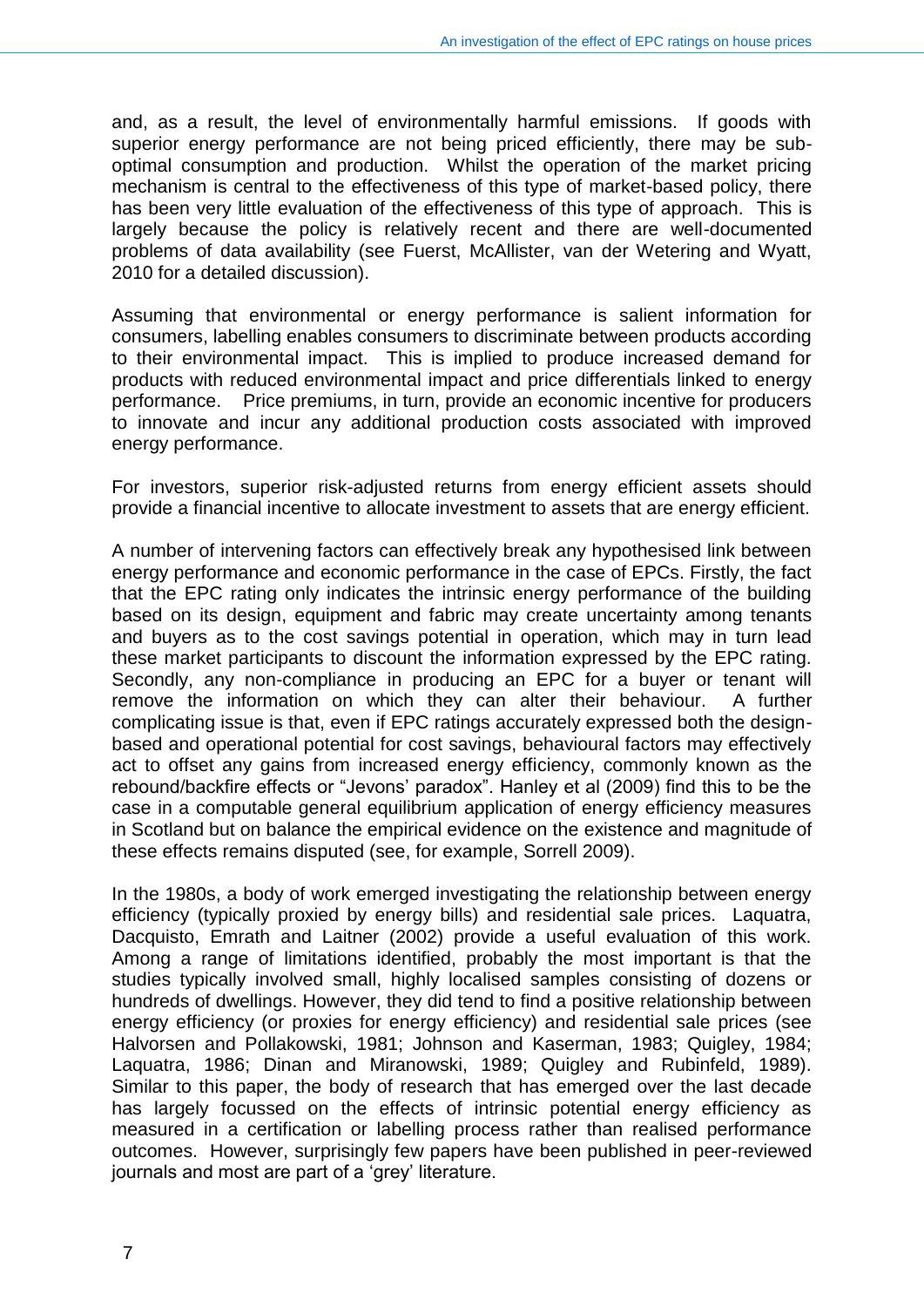and, as a result, the level of environmentally harmful emissions. If goods with superior energy performance are not being priced efficiently, there may be suboptimal consumption and production. Whilst the operation of the market pricing mechanism is central to the effectiveness of this type of market-based policy, there has been very little evaluation of the effectiveness of this type of approach. This is largely because the policy is relatively recent and there are well-documented problems of data availability (see Fuerst, McAllister, van der Wetering and Wyatt, 2010 for a detailed discussion).

Assuming that environmental or energy performance is salient information for consumers, labelling enables consumers to discriminate between products according to their environmental impact. This is implied to produce increased demand for products with reduced environmental impact and price differentials linked to energy performance. Price premiums, in turn, provide an economic incentive for producers to innovate and incur any additional production costs associated with improved energy performance.

For investors, superior risk-adjusted returns from energy efficient assets should provide a financial incentive to allocate investment to assets that are energy efficient.

A number of intervening factors can effectively break any hypothesised link between energy performance and economic performance in the case of EPCs. Firstly, the fact that the EPC rating only indicates the intrinsic energy performance of the building based on its design, equipment and fabric may create uncertainty among tenants and buyers as to the cost savings potential in operation, which may in turn lead these market participants to discount the information expressed by the EPC rating. Secondly, any non-compliance in producing an EPC for a buyer or tenant will remove the information on which they can alter their behaviour. A further complicating issue is that, even if EPC ratings accurately expressed both the designbased and operational potential for cost savings, behavioural factors may effectively act to offset any gains from increased energy efficiency, commonly known as the rebound/backfire effects or "Jevons' paradox". Hanley et al (2009) find this to be the case in a computable general equilibrium application of energy efficiency measures in Scotland but on balance the empirical evidence on the existence and magnitude of these effects remains disputed (see, for example, Sorrell 2009).

In the 1980s, a body of work emerged investigating the relationship between energy efficiency (typically proxied by energy bills) and residential sale prices. Laquatra, Dacquisto, Emrath and Laitner (2002) provide a useful evaluation of this work. Among a range of limitations identified, probably the most important is that the studies typically involved small, highly localised samples consisting of dozens or hundreds of dwellings. However, they did tend to find a positive relationship between energy efficiency (or proxies for energy efficiency) and residential sale prices (see Halvorsen and Pollakowski, 1981; Johnson and Kaserman, 1983; Quigley, 1984; Laquatra, 1986; Dinan and Miranowski, 1989; Quigley and Rubinfeld, 1989). Similar to this paper, the body of research that has emerged over the last decade has largely focussed on the effects of intrinsic potential energy efficiency as measured in a certification or labelling process rather than realised performance outcomes. However, surprisingly few papers have been published in peer-reviewed journals and most are part of a 'grey' literature.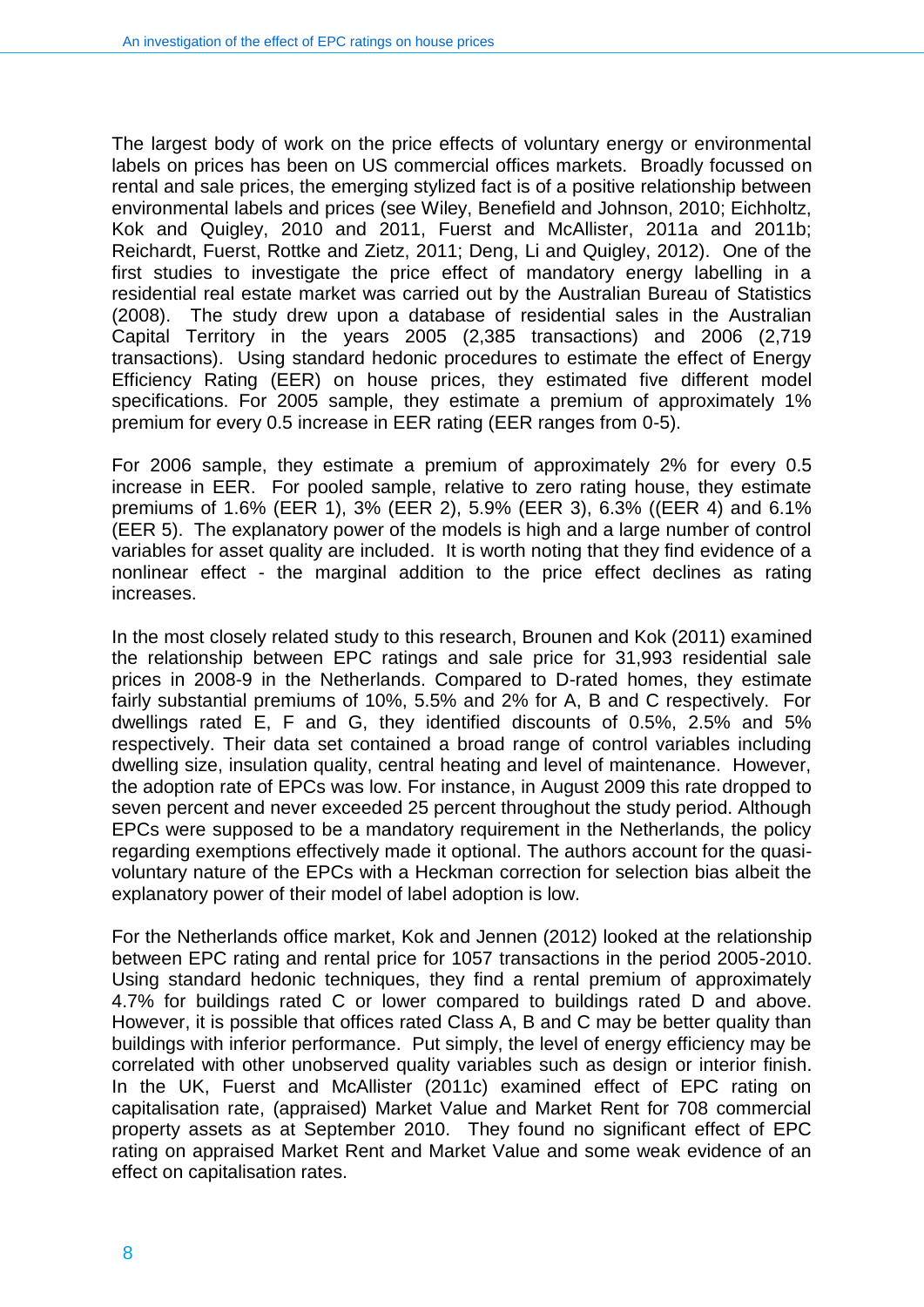The largest body of work on the price effects of voluntary energy or environmental labels on prices has been on US commercial offices markets. Broadly focussed on rental and sale prices, the emerging stylized fact is of a positive relationship between environmental labels and prices (see Wiley, Benefield and Johnson, 2010; Eichholtz, Kok and Quigley, 2010 and 2011, Fuerst and McAllister, 2011a and 2011b; Reichardt, Fuerst, Rottke and Zietz, 2011; Deng, Li and Quigley, 2012). One of the first studies to investigate the price effect of mandatory energy labelling in a residential real estate market was carried out by the Australian Bureau of Statistics (2008). The study drew upon a database of residential sales in the Australian Capital Territory in the years 2005 (2,385 transactions) and 2006 (2,719 transactions). Using standard hedonic procedures to estimate the effect of Energy Efficiency Rating (EER) on house prices, they estimated five different model specifications. For 2005 sample, they estimate a premium of approximately 1% premium for every 0.5 increase in EER rating (EER ranges from 0-5).

For 2006 sample, they estimate a premium of approximately 2% for every 0.5 increase in EER. For pooled sample, relative to zero rating house, they estimate premiums of 1.6% (EER 1), 3% (EER 2), 5.9% (EER 3), 6.3% ((EER 4) and 6.1% (EER 5). The explanatory power of the models is high and a large number of control variables for asset quality are included. It is worth noting that they find evidence of a nonlinear effect - the marginal addition to the price effect declines as rating increases.

In the most closely related study to this research, Brounen and Kok (2011) examined the relationship between EPC ratings and sale price for 31,993 residential sale prices in 2008-9 in the Netherlands. Compared to D-rated homes, they estimate fairly substantial premiums of 10%, 5.5% and 2% for A, B and C respectively. For dwellings rated E, F and G, they identified discounts of 0.5%, 2.5% and 5% respectively. Their data set contained a broad range of control variables including dwelling size, insulation quality, central heating and level of maintenance. However, the adoption rate of EPCs was low. For instance, in August 2009 this rate dropped to seven percent and never exceeded 25 percent throughout the study period. Although EPCs were supposed to be a mandatory requirement in the Netherlands, the policy regarding exemptions effectively made it optional. The authors account for the quasivoluntary nature of the EPCs with a Heckman correction for selection bias albeit the explanatory power of their model of label adoption is low.

For the Netherlands office market, Kok and Jennen (2012) looked at the relationship between EPC rating and rental price for 1057 transactions in the period 2005-2010. Using standard hedonic techniques, they find a rental premium of approximately 4.7% for buildings rated C or lower compared to buildings rated D and above. However, it is possible that offices rated Class A, B and C may be better quality than buildings with inferior performance. Put simply, the level of energy efficiency may be correlated with other unobserved quality variables such as design or interior finish. In the UK, Fuerst and McAllister (2011c) examined effect of EPC rating on capitalisation rate, (appraised) Market Value and Market Rent for 708 commercial property assets as at September 2010. They found no significant effect of EPC rating on appraised Market Rent and Market Value and some weak evidence of an effect on capitalisation rates.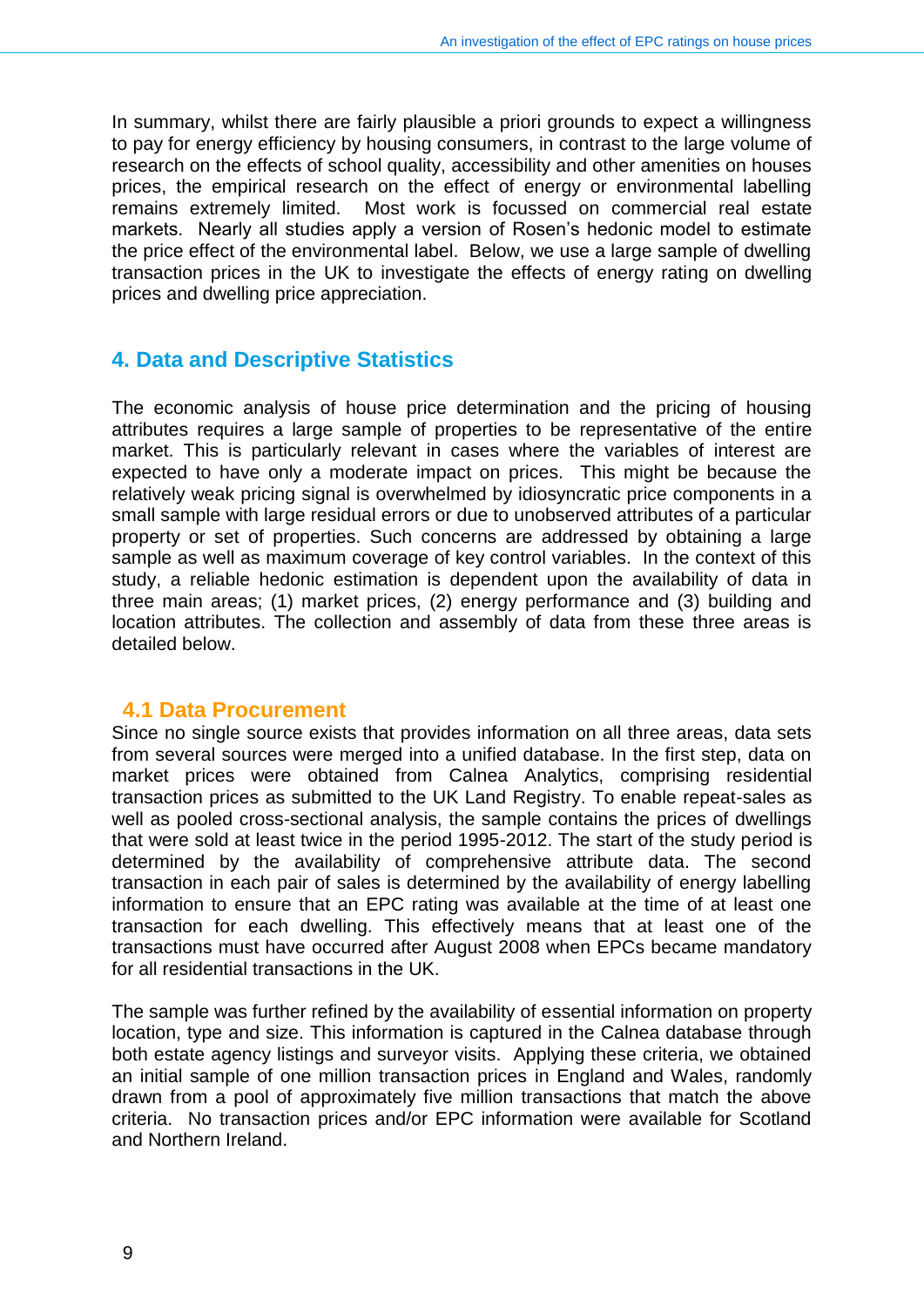In summary, whilst there are fairly plausible a priori grounds to expect a willingness to pay for energy efficiency by housing consumers, in contrast to the large volume of research on the effects of school quality, accessibility and other amenities on houses prices, the empirical research on the effect of energy or environmental labelling remains extremely limited. Most work is focussed on commercial real estate markets. Nearly all studies apply a version of Rosen's hedonic model to estimate the price effect of the environmental label. Below, we use a large sample of dwelling transaction prices in the UK to investigate the effects of energy rating on dwelling prices and dwelling price appreciation.

#### <span id="page-8-0"></span>**4. Data and Descriptive Statistics**

The economic analysis of house price determination and the pricing of housing attributes requires a large sample of properties to be representative of the entire market. This is particularly relevant in cases where the variables of interest are expected to have only a moderate impact on prices. This might be because the relatively weak pricing signal is overwhelmed by idiosyncratic price components in a small sample with large residual errors or due to unobserved attributes of a particular property or set of properties. Such concerns are addressed by obtaining a large sample as well as maximum coverage of key control variables. In the context of this study, a reliable hedonic estimation is dependent upon the availability of data in three main areas; (1) market prices, (2) energy performance and (3) building and location attributes. The collection and assembly of data from these three areas is detailed below.

#### **4.1 Data Procurement**

Since no single source exists that provides information on all three areas, data sets from several sources were merged into a unified database. In the first step, data on market prices were obtained from Calnea Analytics, comprising residential transaction prices as submitted to the UK Land Registry. To enable repeat-sales as well as pooled cross-sectional analysis, the sample contains the prices of dwellings that were sold at least twice in the period 1995-2012. The start of the study period is determined by the availability of comprehensive attribute data. The second transaction in each pair of sales is determined by the availability of energy labelling information to ensure that an EPC rating was available at the time of at least one transaction for each dwelling. This effectively means that at least one of the transactions must have occurred after August 2008 when EPCs became mandatory for all residential transactions in the UK.

The sample was further refined by the availability of essential information on property location, type and size. This information is captured in the Calnea database through both estate agency listings and surveyor visits. Applying these criteria, we obtained an initial sample of one million transaction prices in England and Wales, randomly drawn from a pool of approximately five million transactions that match the above criteria. No transaction prices and/or EPC information were available for Scotland and Northern Ireland.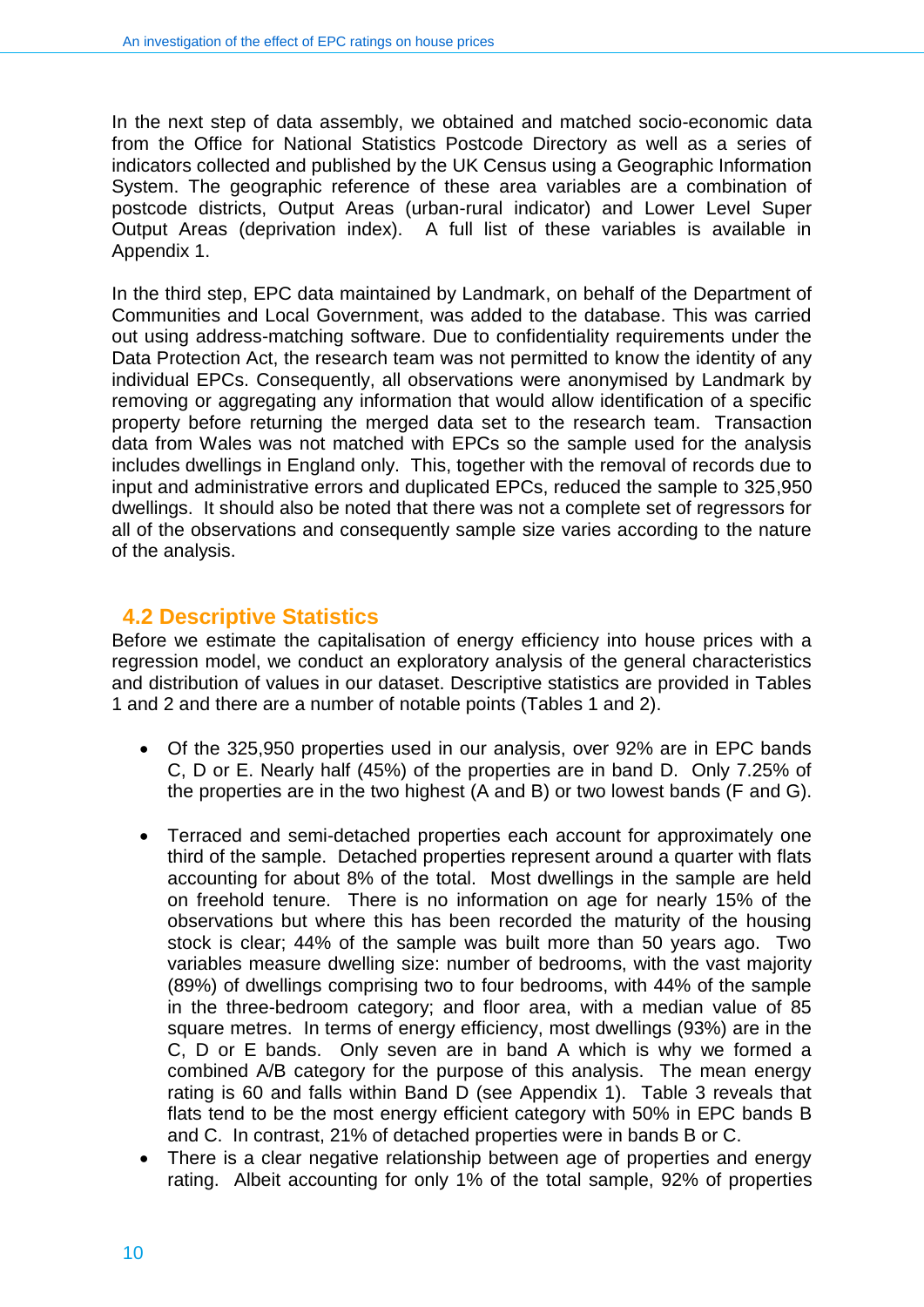In the next step of data assembly, we obtained and matched socio-economic data from the Office for National Statistics Postcode Directory as well as a series of indicators collected and published by the UK Census using a Geographic Information System. The geographic reference of these area variables are a combination of postcode districts, Output Areas (urban-rural indicator) and Lower Level Super Output Areas (deprivation index). A full list of these variables is available in Appendix 1.

In the third step, EPC data maintained by Landmark, on behalf of the Department of Communities and Local Government, was added to the database. This was carried out using address-matching software. Due to confidentiality requirements under the Data Protection Act, the research team was not permitted to know the identity of any individual EPCs. Consequently, all observations were anonymised by Landmark by removing or aggregating any information that would allow identification of a specific property before returning the merged data set to the research team. Transaction data from Wales was not matched with EPCs so the sample used for the analysis includes dwellings in England only. This, together with the removal of records due to input and administrative errors and duplicated EPCs, reduced the sample to 325,950 dwellings. It should also be noted that there was not a complete set of regressors for all of the observations and consequently sample size varies according to the nature of the analysis.

#### **4.2 Descriptive Statistics**

Before we estimate the capitalisation of energy efficiency into house prices with a regression model, we conduct an exploratory analysis of the general characteristics and distribution of values in our dataset. Descriptive statistics are provided in Tables 1 and 2 and there are a number of notable points (Tables 1 and 2).

- Of the 325,950 properties used in our analysis, over 92% are in EPC bands C, D or E. Nearly half (45%) of the properties are in band D. Only 7.25% of the properties are in the two highest (A and B) or two lowest bands (F and G).
- Terraced and semi-detached properties each account for approximately one third of the sample. Detached properties represent around a quarter with flats accounting for about 8% of the total. Most dwellings in the sample are held on freehold tenure. There is no information on age for nearly 15% of the observations but where this has been recorded the maturity of the housing stock is clear; 44% of the sample was built more than 50 years ago. Two variables measure dwelling size: number of bedrooms, with the vast majority (89%) of dwellings comprising two to four bedrooms, with 44% of the sample in the three-bedroom category; and floor area, with a median value of 85 square metres. In terms of energy efficiency, most dwellings (93%) are in the C, D or E bands. Only seven are in band A which is why we formed a combined A/B category for the purpose of this analysis. The mean energy rating is 60 and falls within Band D (see Appendix 1). Table 3 reveals that flats tend to be the most energy efficient category with 50% in EPC bands B and C. In contrast, 21% of detached properties were in bands B or C.
- There is a clear negative relationship between age of properties and energy rating. Albeit accounting for only 1% of the total sample, 92% of properties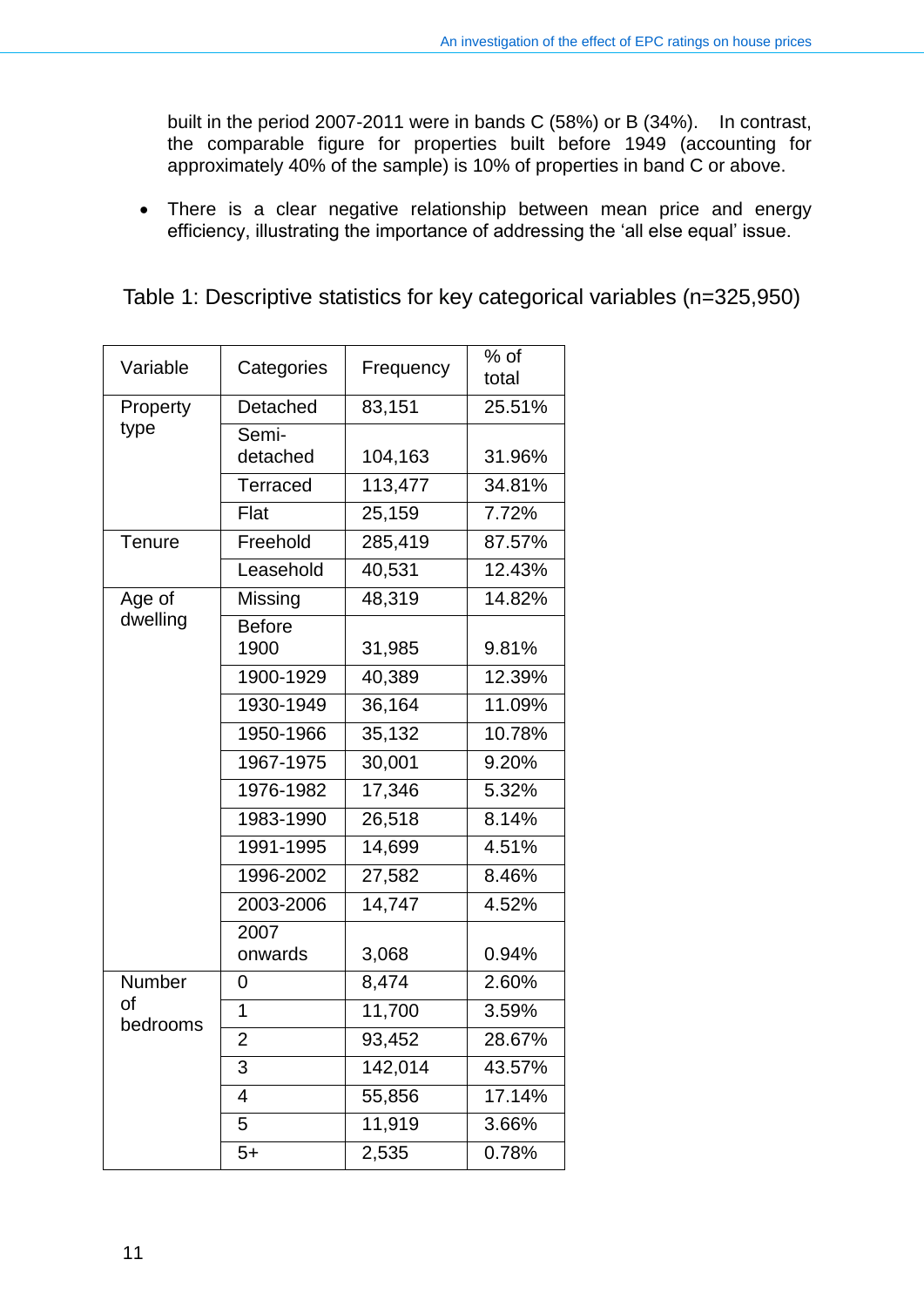built in the period 2007-2011 were in bands C (58%) or B (34%). In contrast, the comparable figure for properties built before 1949 (accounting for approximately 40% of the sample) is 10% of properties in band C or above.

 There is a clear negative relationship between mean price and energy efficiency, illustrating the importance of addressing the 'all else equal' issue.

| Variable       | Categories                           | Frequency          | % of<br>total    |
|----------------|--------------------------------------|--------------------|------------------|
| Property       | Detached                             | 83,151             | 25.51%           |
| type           | Semi-<br>detached<br><b>Terraced</b> | 104,163<br>113,477 | 31.96%<br>34.81% |
|                | Flat                                 | 25,159             | 7.72%            |
| Tenure         | Freehold                             | 285,419            | 87.57%           |
|                | Leasehold                            | 40,531             | 12.43%           |
| Age of         | Missing                              | 48,319             | 14.82%           |
| dwelling       | <b>Before</b><br>1900                | 31,985             | 9.81%            |
|                | 1900-1929                            | 40,389             | 12.39%           |
|                | 1930-1949                            | 36,164             | 11.09%           |
|                | 1950-1966                            | 35,132             | 10.78%           |
|                | 1967-1975                            | 30,001             | 9.20%            |
|                | 1976-1982                            | 17,346             | 5.32%            |
|                | 1983-1990                            | 26,518             | 8.14%            |
|                | 1991-1995                            | 14,699             | 4.51%            |
|                | 1996-2002                            | 27,582             | 8.46%            |
|                | 2003-2006                            | 14,747             | 4.52%            |
|                | 2007<br>onwards                      | 3,068              | 0.94%            |
| Number         | 0                                    | 8,474              | 2.60%            |
| of<br>bedrooms | 1                                    | 11,700             | 3.59%            |
|                | $\overline{2}$                       | 93,452             | 28.67%           |
|                | 3                                    | 142,014            | 43.57%           |
|                | $\overline{4}$                       | 55,856             | 17.14%           |
|                | 5                                    | 11,919             | 3.66%            |
|                | $5+$                                 | 2,535              | 0.78%            |

Table 1: Descriptive statistics for key categorical variables (n=325,950)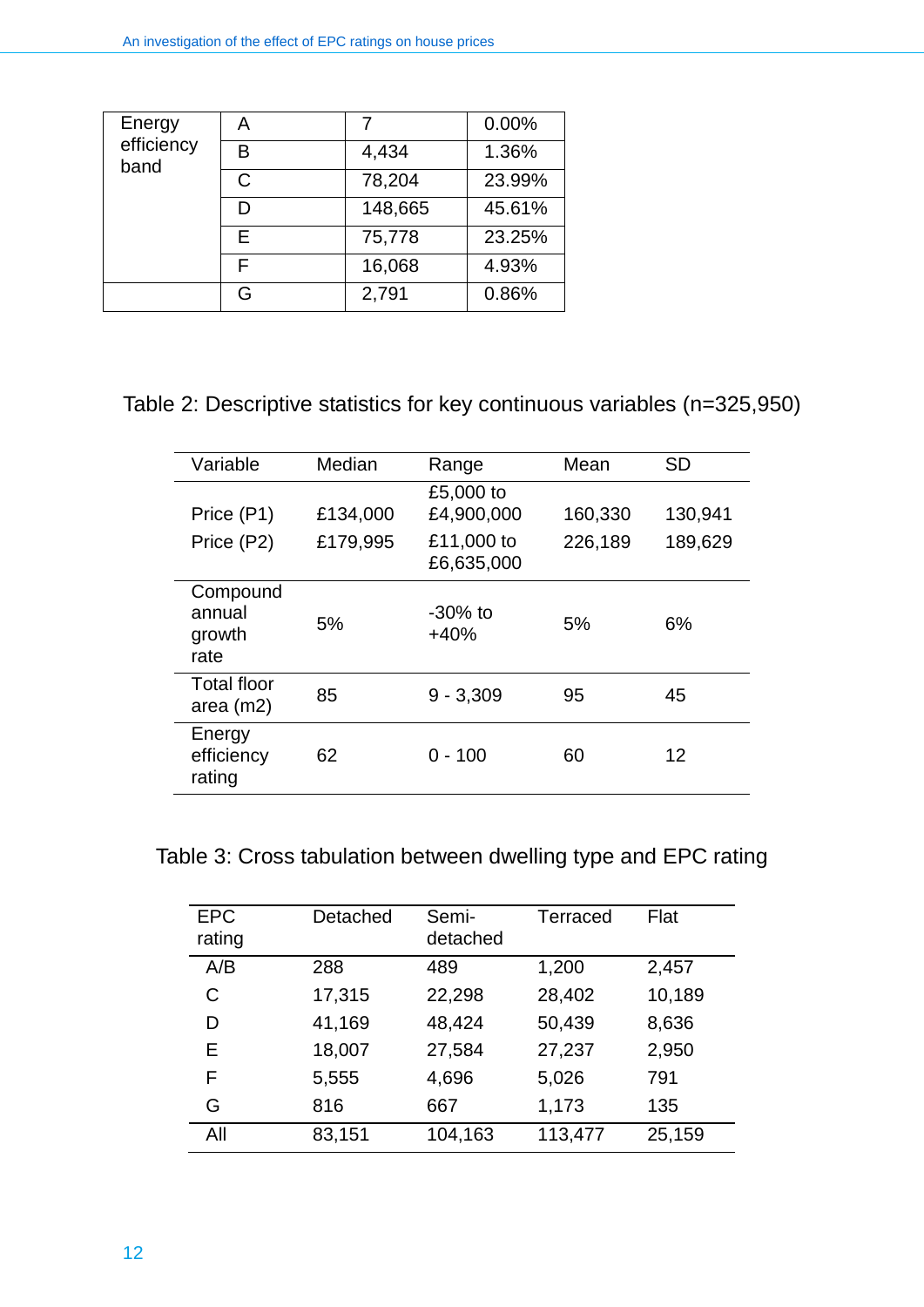| Energy<br>efficiency<br>band | A             |         | 0.00%  |
|------------------------------|---------------|---------|--------|
|                              | R             | 4,434   | 1.36%  |
|                              | $\mathcal{C}$ | 78,204  | 23.99% |
|                              | D             | 148,665 | 45.61% |
|                              | F             | 75,778  | 23.25% |
|                              | F             | 16,068  | 4.93%  |
|                              | G             | 2,791   | 0.86%  |

## Table 2: Descriptive statistics for key continuous variables (n=325,950)

| Variable                             | Median   | Range                    | Mean    | <b>SD</b> |
|--------------------------------------|----------|--------------------------|---------|-----------|
| Price (P1)                           | £134,000 | £5,000 to<br>£4,900,000  | 160,330 | 130,941   |
| Price (P2)                           | £179,995 | £11,000 to<br>£6,635,000 | 226,189 | 189,629   |
| Compound<br>annual<br>growth<br>rate | 5%       | $-30\%$ to<br>$+40%$     | 5%      | 6%        |
| <b>Total floor</b><br>area $(m2)$    | 85       | $9 - 3,309$              | 95      | 45        |
| Energy<br>efficiency<br>rating       | 62       | $0 - 100$                | 60      | 12        |

Table 3: Cross tabulation between dwelling type and EPC rating

| <b>EPC</b><br>rating | Detached | Semi-<br>detached | Terraced | Flat   |
|----------------------|----------|-------------------|----------|--------|
| A/B                  | 288      | 489               | 1,200    | 2,457  |
| C                    | 17,315   | 22,298            | 28,402   | 10,189 |
| D                    | 41,169   | 48,424            | 50,439   | 8,636  |
| Е                    | 18,007   | 27,584            | 27,237   | 2,950  |
| F                    | 5,555    | 4,696             | 5,026    | 791    |
| G                    | 816      | 667               | 1,173    | 135    |
| All                  | 83,151   | 104,163           | 113,477  | 25,159 |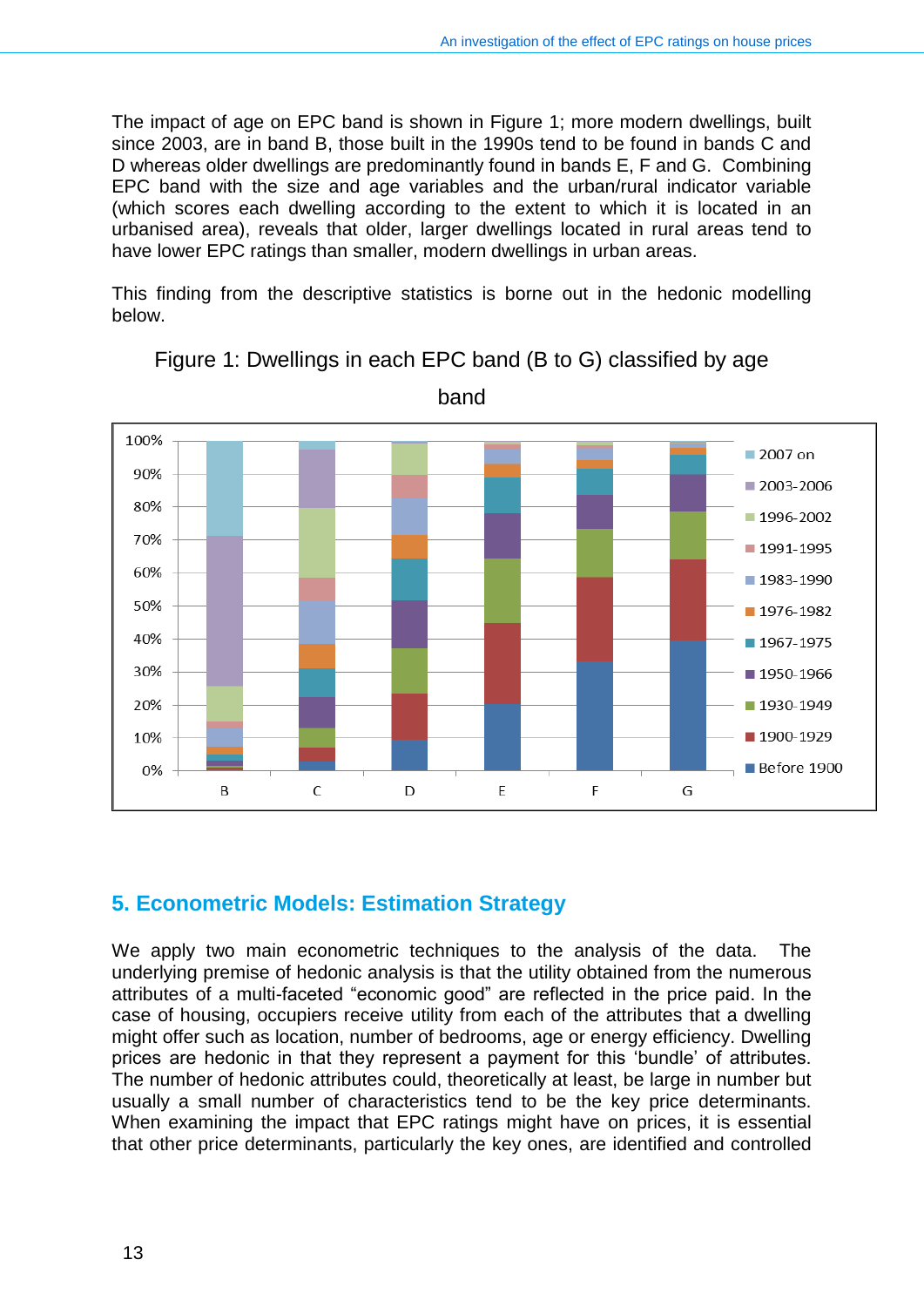The impact of age on EPC band is shown in Figure 1; more modern dwellings, built since 2003, are in band B, those built in the 1990s tend to be found in bands C and D whereas older dwellings are predominantly found in bands E, F and G. Combining EPC band with the size and age variables and the urban/rural indicator variable (which scores each dwelling according to the extent to which it is located in an urbanised area), reveals that older, larger dwellings located in rural areas tend to have lower EPC ratings than smaller, modern dwellings in urban areas.

This finding from the descriptive statistics is borne out in the hedonic modelling below.



Figure 1: Dwellings in each EPC band (B to G) classified by age

band

## <span id="page-12-0"></span>**5. Econometric Models: Estimation Strategy**

We apply two main econometric techniques to the analysis of the data. The underlying premise of hedonic analysis is that the utility obtained from the numerous attributes of a multi-faceted "economic good" are reflected in the price paid. In the case of housing, occupiers receive utility from each of the attributes that a dwelling might offer such as location, number of bedrooms, age or energy efficiency. Dwelling prices are hedonic in that they represent a payment for this 'bundle' of attributes. The number of hedonic attributes could, theoretically at least, be large in number but usually a small number of characteristics tend to be the key price determinants. When examining the impact that EPC ratings might have on prices, it is essential that other price determinants, particularly the key ones, are identified and controlled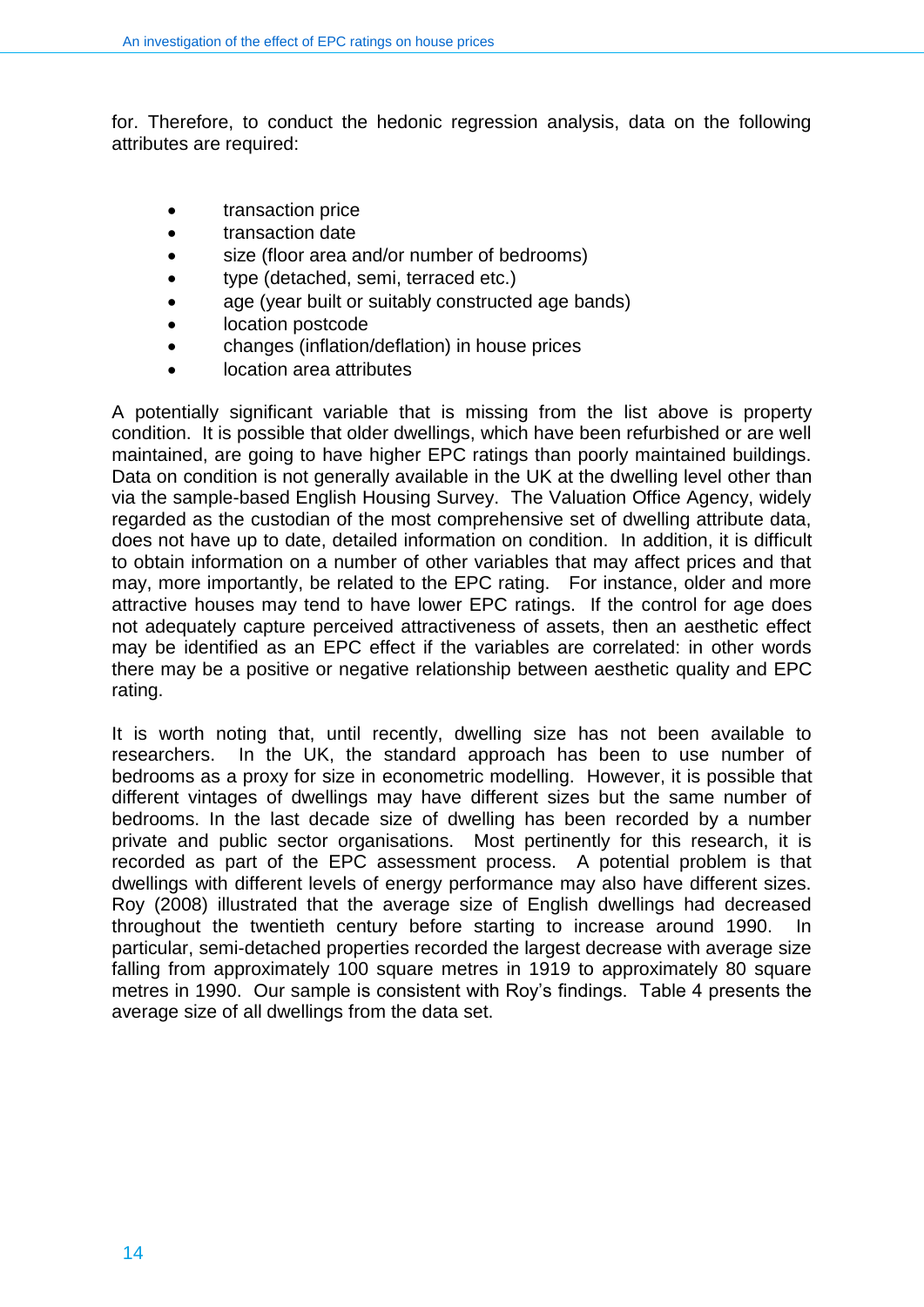for. Therefore, to conduct the hedonic regression analysis, data on the following attributes are required:

- transaction price
- transaction date
- size (floor area and/or number of bedrooms)
- type (detached, semi, terraced etc.)
- age (year built or suitably constructed age bands)
- location postcode
- changes (inflation/deflation) in house prices
- location area attributes

A potentially significant variable that is missing from the list above is property condition. It is possible that older dwellings, which have been refurbished or are well maintained, are going to have higher EPC ratings than poorly maintained buildings. Data on condition is not generally available in the UK at the dwelling level other than via the sample-based English Housing Survey. The Valuation Office Agency, widely regarded as the custodian of the most comprehensive set of dwelling attribute data, does not have up to date, detailed information on condition. In addition, it is difficult to obtain information on a number of other variables that may affect prices and that may, more importantly, be related to the EPC rating. For instance, older and more attractive houses may tend to have lower EPC ratings. If the control for age does not adequately capture perceived attractiveness of assets, then an aesthetic effect may be identified as an EPC effect if the variables are correlated: in other words there may be a positive or negative relationship between aesthetic quality and EPC rating.

It is worth noting that, until recently, dwelling size has not been available to researchers. In the UK, the standard approach has been to use number of bedrooms as a proxy for size in econometric modelling. However, it is possible that different vintages of dwellings may have different sizes but the same number of bedrooms. In the last decade size of dwelling has been recorded by a number private and public sector organisations. Most pertinently for this research, it is recorded as part of the EPC assessment process. A potential problem is that dwellings with different levels of energy performance may also have different sizes. Roy (2008) illustrated that the average size of English dwellings had decreased throughout the twentieth century before starting to increase around 1990. In particular, semi-detached properties recorded the largest decrease with average size falling from approximately 100 square metres in 1919 to approximately 80 square metres in 1990. Our sample is consistent with Roy's findings. Table 4 presents the average size of all dwellings from the data set.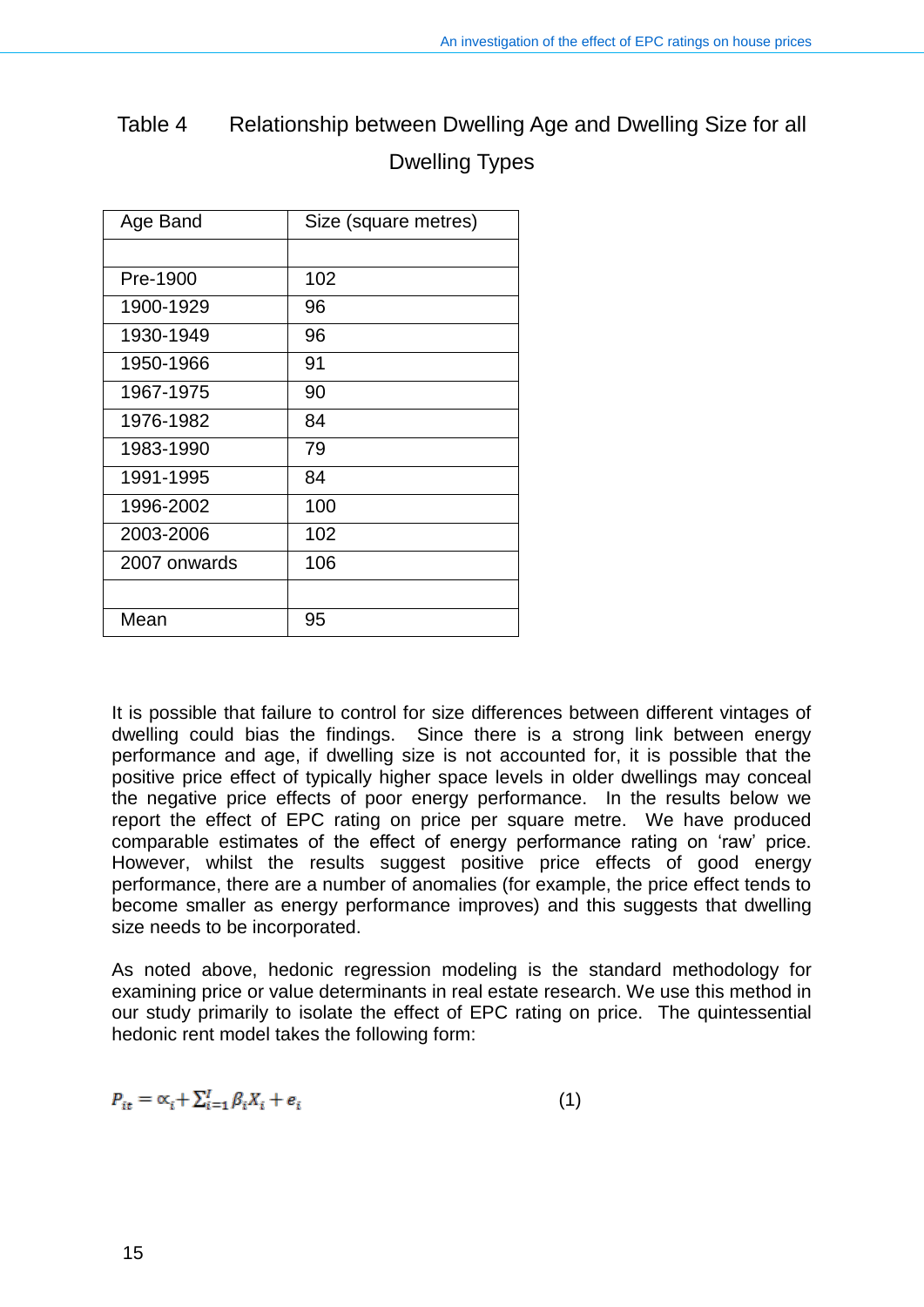| Table 4 | Relationship between Dwelling Age and Dwelling Size for all |
|---------|-------------------------------------------------------------|
|         | <b>Dwelling Types</b>                                       |

| Age Band     | Size (square metres) |
|--------------|----------------------|
|              |                      |
| Pre-1900     | 102                  |
| 1900-1929    | 96                   |
| 1930-1949    | 96                   |
| 1950-1966    | 91                   |
| 1967-1975    | 90                   |
| 1976-1982    | 84                   |
| 1983-1990    | 79                   |
| 1991-1995    | 84                   |
| 1996-2002    | 100                  |
| 2003-2006    | 102                  |
| 2007 onwards | 106                  |
|              |                      |
| Mean         | 95                   |

It is possible that failure to control for size differences between different vintages of dwelling could bias the findings. Since there is a strong link between energy performance and age, if dwelling size is not accounted for, it is possible that the positive price effect of typically higher space levels in older dwellings may conceal the negative price effects of poor energy performance. In the results below we report the effect of EPC rating on price per square metre. We have produced comparable estimates of the effect of energy performance rating on 'raw' price. However, whilst the results suggest positive price effects of good energy performance, there are a number of anomalies (for example, the price effect tends to become smaller as energy performance improves) and this suggests that dwelling size needs to be incorporated.

As noted above, hedonic regression modeling is the standard methodology for examining price or value determinants in real estate research. We use this method in our study primarily to isolate the effect of EPC rating on price. The quintessential hedonic rent model takes the following form:

$$
P_{it} = \alpha_i + \sum_{i=1}^{I} \beta_i X_i + e_i \tag{1}
$$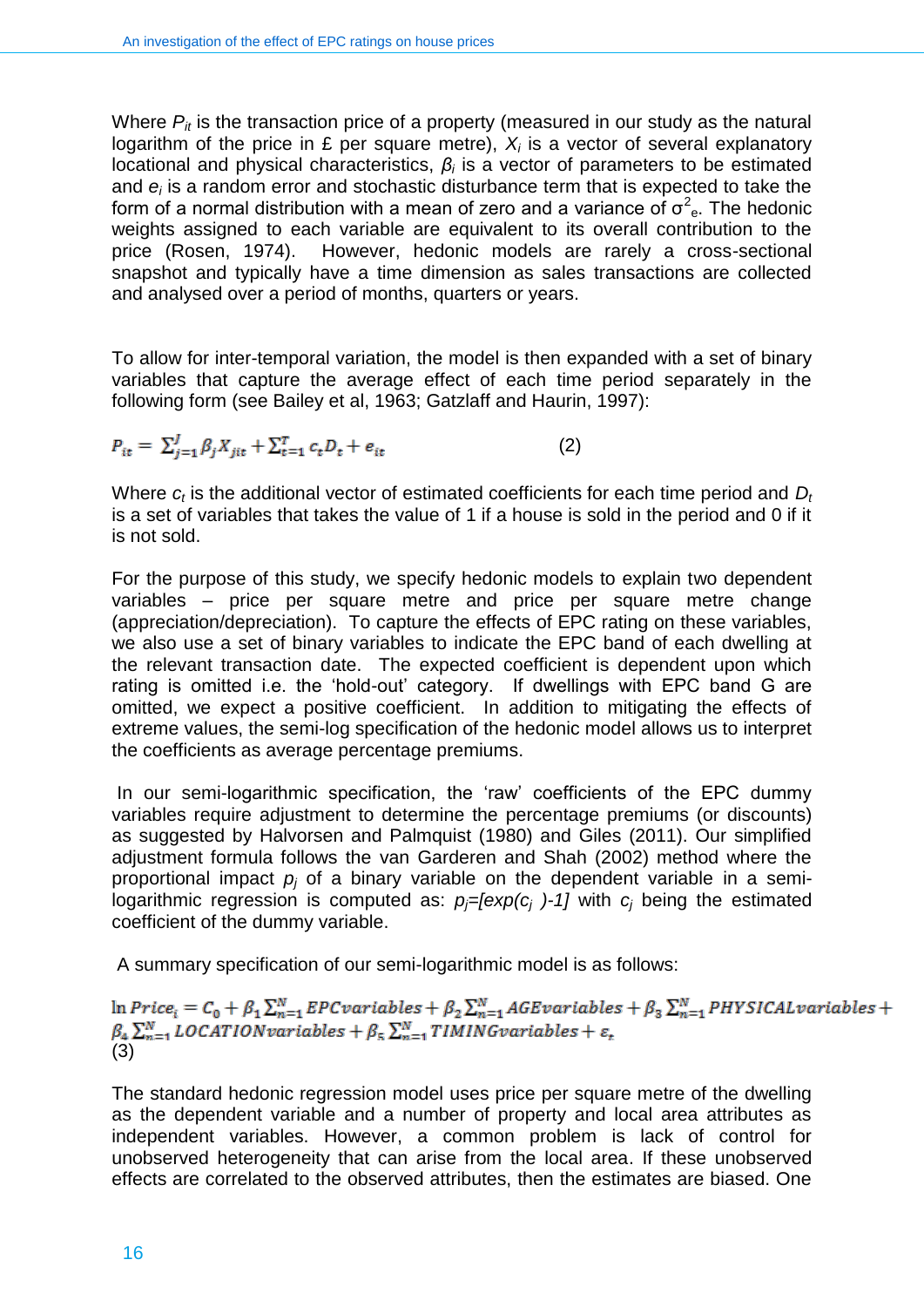Where  $P_{it}$  is the transaction price of a property (measured in our study as the natural logarithm of the price in £ per square metre), *X<sup>i</sup>* is a vector of several explanatory locational and physical characteristics, *β<sup>i</sup>* is a vector of parameters to be estimated and *e<sup>i</sup>* is a random error and stochastic disturbance term that is expected to take the form of a normal distribution with a mean of zero and a variance of  $\sigma^2$ <sub>e</sub>. The hedonic weights assigned to each variable are equivalent to its overall contribution to the price (Rosen, 1974). However, hedonic models are rarely a cross-sectional snapshot and typically have a time dimension as sales transactions are collected and analysed over a period of months, quarters or years.

To allow for inter-temporal variation, the model is then expanded with a set of binary variables that capture the average effect of each time period separately in the following form (see Bailey et al, 1963; Gatzlaff and Haurin, 1997):

$$
P_{it} = \sum_{j=1}^{J} \beta_j X_{jit} + \sum_{t=1}^{T} c_t D_t + e_{it}
$$
 (2)

Where  $c_t$  is the additional vector of estimated coefficients for each time period and D<sub>*i*</sub> is a set of variables that takes the value of 1 if a house is sold in the period and 0 if it is not sold.

For the purpose of this study, we specify hedonic models to explain two dependent variables – price per square metre and price per square metre change (appreciation/depreciation). To capture the effects of EPC rating on these variables, we also use a set of binary variables to indicate the EPC band of each dwelling at the relevant transaction date. The expected coefficient is dependent upon which rating is omitted i.e. the 'hold-out' category. If dwellings with EPC band G are omitted, we expect a positive coefficient. In addition to mitigating the effects of extreme values, the semi-log specification of the hedonic model allows us to interpret the coefficients as average percentage premiums.

In our semi-logarithmic specification, the 'raw' coefficients of the EPC dummy variables require adjustment to determine the percentage premiums (or discounts) as suggested by Halvorsen and Palmquist (1980) and Giles (2011). Our simplified adjustment formula follows the van Garderen and Shah (2002) method where the proportional impact *p<sup>j</sup>* of a binary variable on the dependent variable in a semilogarithmic regression is computed as:  $p_f$ *=[exp(c<sub>i</sub>* )-1] with  $c_i$  being the estimated coefficient of the dummy variable.

A summary specification of our semi-logarithmic model is as follows:

 $\ln Price_i = C_0 + \beta_1 \sum_{n=1}^{N} EPC variables + \beta_2 \sum_{n=1}^{N} AGE variables + \beta_3 \sum_{n=1}^{N} PHYSICAL variables +$  $\beta_4 \sum_{n=1}^{N} LOGATION variables + \beta_5 \sum_{n=1}^{N} TIMING variables + \varepsilon_t$ <br>(3)

The standard hedonic regression model uses price per square metre of the dwelling as the dependent variable and a number of property and local area attributes as independent variables. However, a common problem is lack of control for unobserved heterogeneity that can arise from the local area. If these unobserved effects are correlated to the observed attributes, then the estimates are biased. One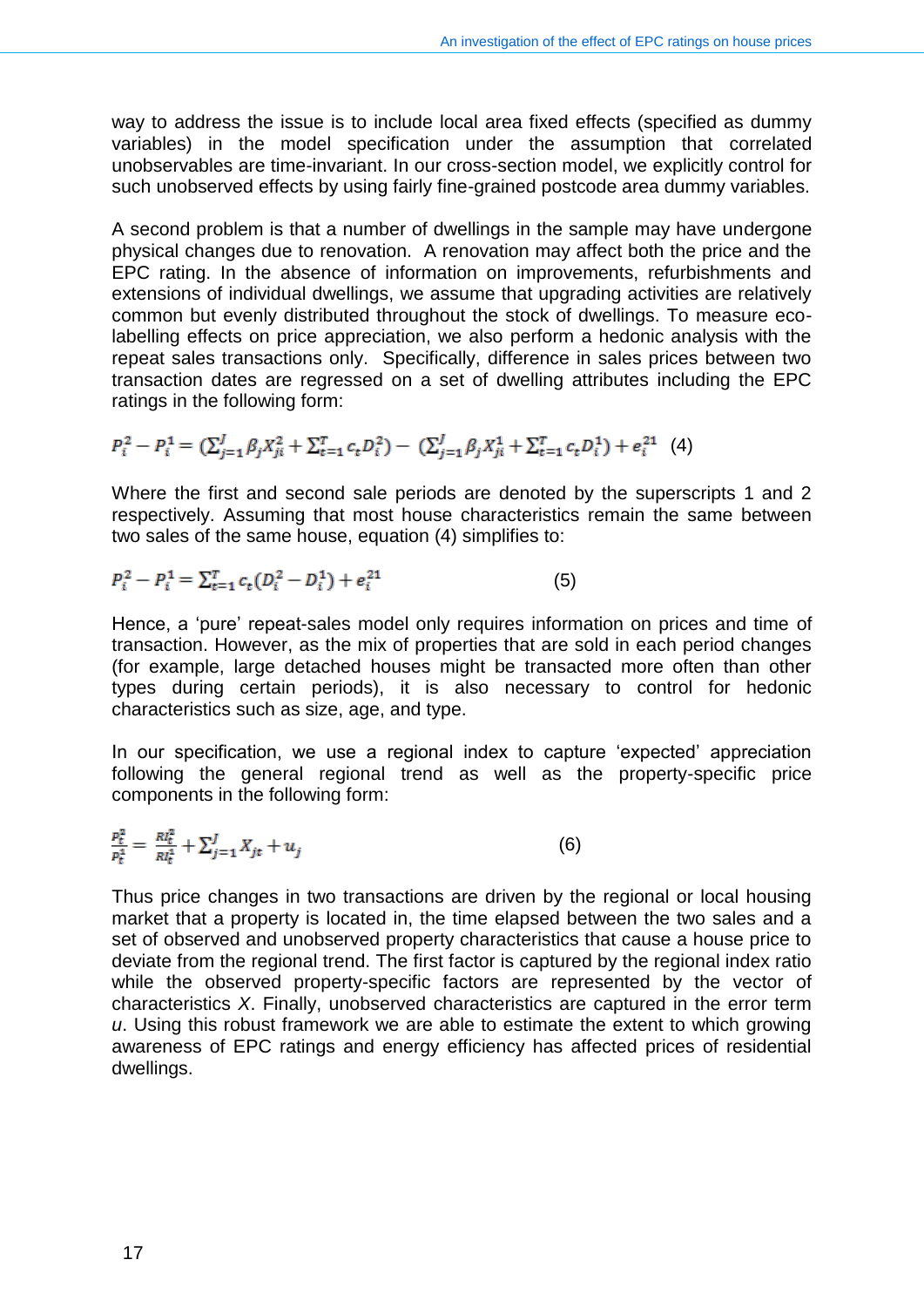way to address the issue is to include local area fixed effects (specified as dummy variables) in the model specification under the assumption that correlated unobservables are time-invariant. In our cross-section model, we explicitly control for such unobserved effects by using fairly fine-grained postcode area dummy variables.

A second problem is that a number of dwellings in the sample may have undergone physical changes due to renovation. A renovation may affect both the price and the EPC rating. In the absence of information on improvements, refurbishments and extensions of individual dwellings, we assume that upgrading activities are relatively common but evenly distributed throughout the stock of dwellings. To measure ecolabelling effects on price appreciation, we also perform a hedonic analysis with the repeat sales transactions only. Specifically, difference in sales prices between two transaction dates are regressed on a set of dwelling attributes including the EPC ratings in the following form:

$$
P_i^2 - P_i^1 = (\sum_{j=1}^J \beta_j X_{ji}^2 + \sum_{t=1}^T c_t D_i^2) - (\sum_{j=1}^J \beta_j X_{ji}^1 + \sum_{t=1}^T c_t D_i^1) + e_i^{21} \tag{4}
$$

Where the first and second sale periods are denoted by the superscripts 1 and 2 respectively. Assuming that most house characteristics remain the same between two sales of the same house, equation (4) simplifies to:

$$
P_i^2 - P_i^1 = \sum_{t=1}^T c_t (D_i^2 - D_i^1) + e_i^{21}
$$
 (5)

Hence, a 'pure' repeat-sales model only requires information on prices and time of transaction. However, as the mix of properties that are sold in each period changes (for example, large detached houses might be transacted more often than other types during certain periods), it is also necessary to control for hedonic characteristics such as size, age, and type.

In our specification, we use a regional index to capture 'expected' appreciation following the general regional trend as well as the property-specific price components in the following form:

$$
\frac{p_t^2}{p_t^4} = \frac{Rl_t^2}{Rl_t^4} + \sum_{j=1}^J X_{jt} + u_j \tag{6}
$$

Thus price changes in two transactions are driven by the regional or local housing market that a property is located in, the time elapsed between the two sales and a set of observed and unobserved property characteristics that cause a house price to deviate from the regional trend. The first factor is captured by the regional index ratio while the observed property-specific factors are represented by the vector of characteristics *X*. Finally, unobserved characteristics are captured in the error term *u*. Using this robust framework we are able to estimate the extent to which growing awareness of EPC ratings and energy efficiency has affected prices of residential dwellings.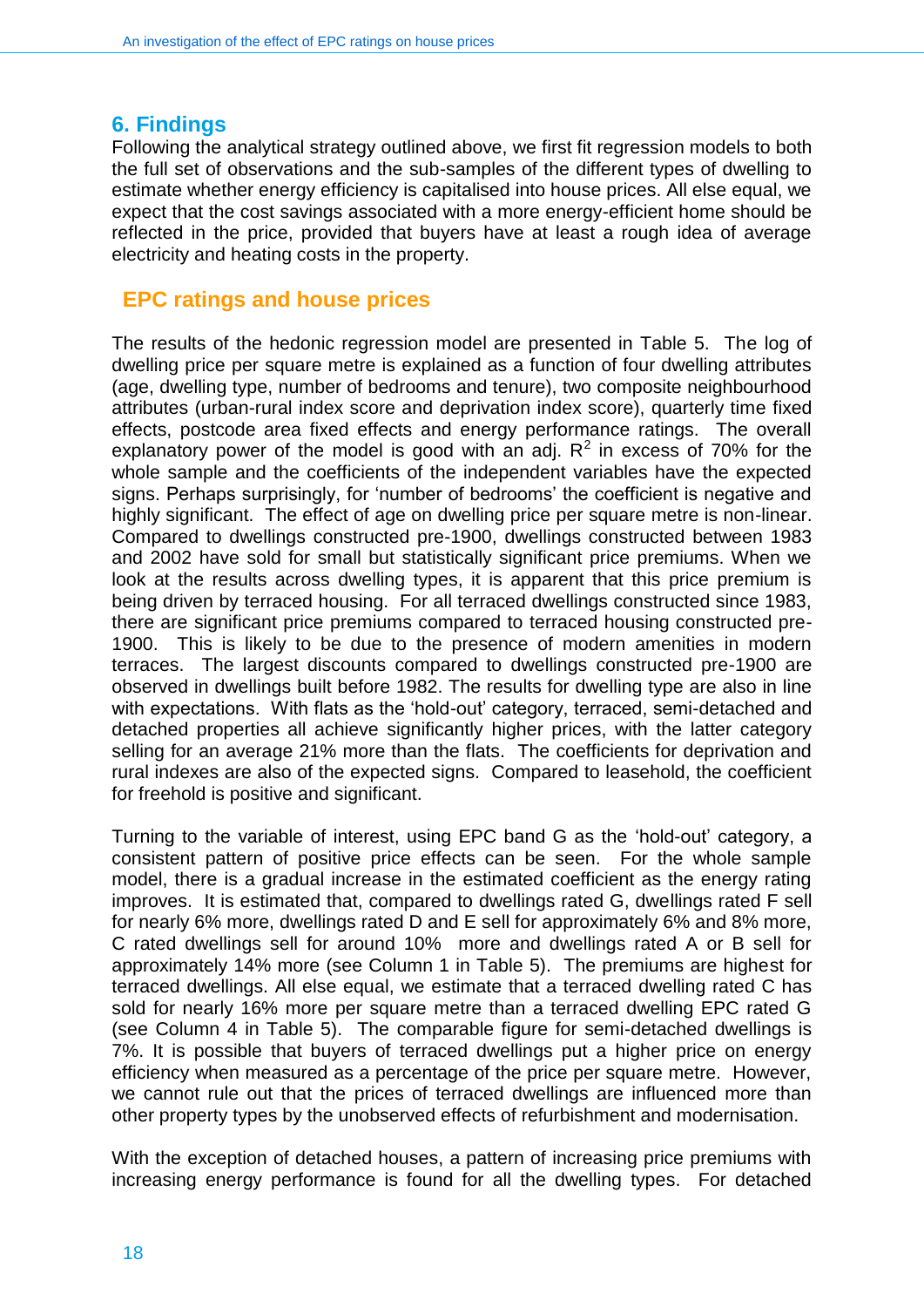#### <span id="page-17-0"></span>**6. Findings**

Following the analytical strategy outlined above, we first fit regression models to both the full set of observations and the sub-samples of the different types of dwelling to estimate whether energy efficiency is capitalised into house prices. All else equal, we expect that the cost savings associated with a more energy-efficient home should be reflected in the price, provided that buyers have at least a rough idea of average electricity and heating costs in the property.

#### **EPC ratings and house prices**

The results of the hedonic regression model are presented in Table 5. The log of dwelling price per square metre is explained as a function of four dwelling attributes (age, dwelling type, number of bedrooms and tenure), two composite neighbourhood attributes (urban-rural index score and deprivation index score), quarterly time fixed effects, postcode area fixed effects and energy performance ratings. The overall explanatory power of the model is good with an adj.  $R^2$  in excess of 70% for the whole sample and the coefficients of the independent variables have the expected signs. Perhaps surprisingly, for 'number of bedrooms' the coefficient is negative and highly significant. The effect of age on dwelling price per square metre is non-linear. Compared to dwellings constructed pre-1900, dwellings constructed between 1983 and 2002 have sold for small but statistically significant price premiums. When we look at the results across dwelling types, it is apparent that this price premium is being driven by terraced housing. For all terraced dwellings constructed since 1983, there are significant price premiums compared to terraced housing constructed pre-1900. This is likely to be due to the presence of modern amenities in modern terraces. The largest discounts compared to dwellings constructed pre-1900 are observed in dwellings built before 1982. The results for dwelling type are also in line with expectations. With flats as the 'hold-out' category, terraced, semi-detached and detached properties all achieve significantly higher prices, with the latter category selling for an average 21% more than the flats. The coefficients for deprivation and rural indexes are also of the expected signs. Compared to leasehold, the coefficient for freehold is positive and significant.

Turning to the variable of interest, using EPC band G as the 'hold-out' category, a consistent pattern of positive price effects can be seen. For the whole sample model, there is a gradual increase in the estimated coefficient as the energy rating improves. It is estimated that, compared to dwellings rated G, dwellings rated F sell for nearly 6% more, dwellings rated D and E sell for approximately 6% and 8% more, C rated dwellings sell for around 10% more and dwellings rated A or B sell for approximately 14% more (see Column 1 in Table 5). The premiums are highest for terraced dwellings. All else equal, we estimate that a terraced dwelling rated C has sold for nearly 16% more per square metre than a terraced dwelling EPC rated G (see Column 4 in Table 5). The comparable figure for semi-detached dwellings is 7%. It is possible that buyers of terraced dwellings put a higher price on energy efficiency when measured as a percentage of the price per square metre. However, we cannot rule out that the prices of terraced dwellings are influenced more than other property types by the unobserved effects of refurbishment and modernisation.

With the exception of detached houses, a pattern of increasing price premiums with increasing energy performance is found for all the dwelling types. For detached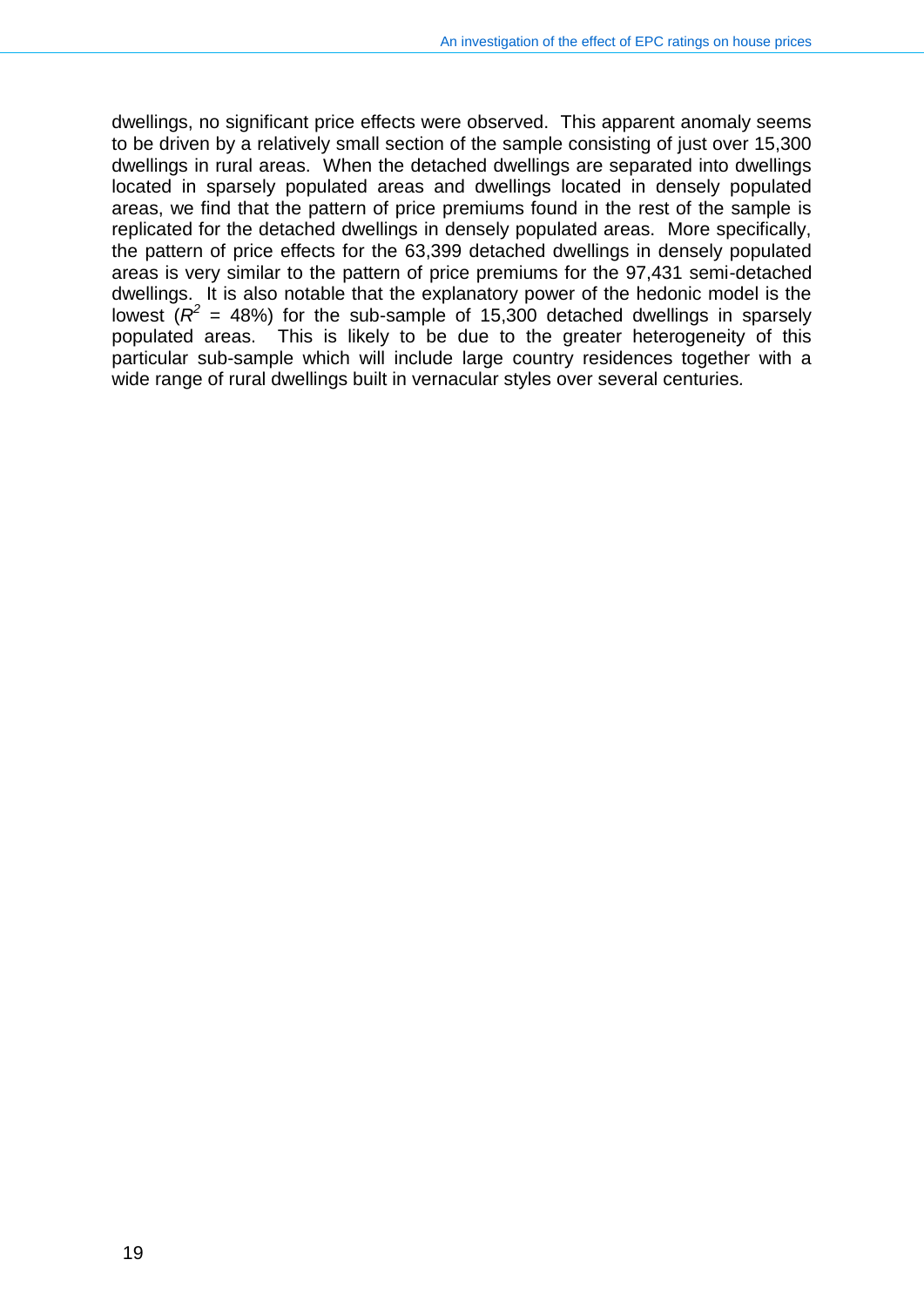dwellings, no significant price effects were observed. This apparent anomaly seems to be driven by a relatively small section of the sample consisting of just over 15,300 dwellings in rural areas. When the detached dwellings are separated into dwellings located in sparsely populated areas and dwellings located in densely populated areas, we find that the pattern of price premiums found in the rest of the sample is replicated for the detached dwellings in densely populated areas. More specifically, the pattern of price effects for the 63,399 detached dwellings in densely populated areas is very similar to the pattern of price premiums for the 97,431 semi-detached dwellings. It is also notable that the explanatory power of the hedonic model is the lowest  $(R^2 = 48%)$  for the sub-sample of 15,300 detached dwellings in sparsely populated areas. This is likely to be due to the greater heterogeneity of this particular sub-sample which will include large country residences together with a wide range of rural dwellings built in vernacular styles over several centuries*.*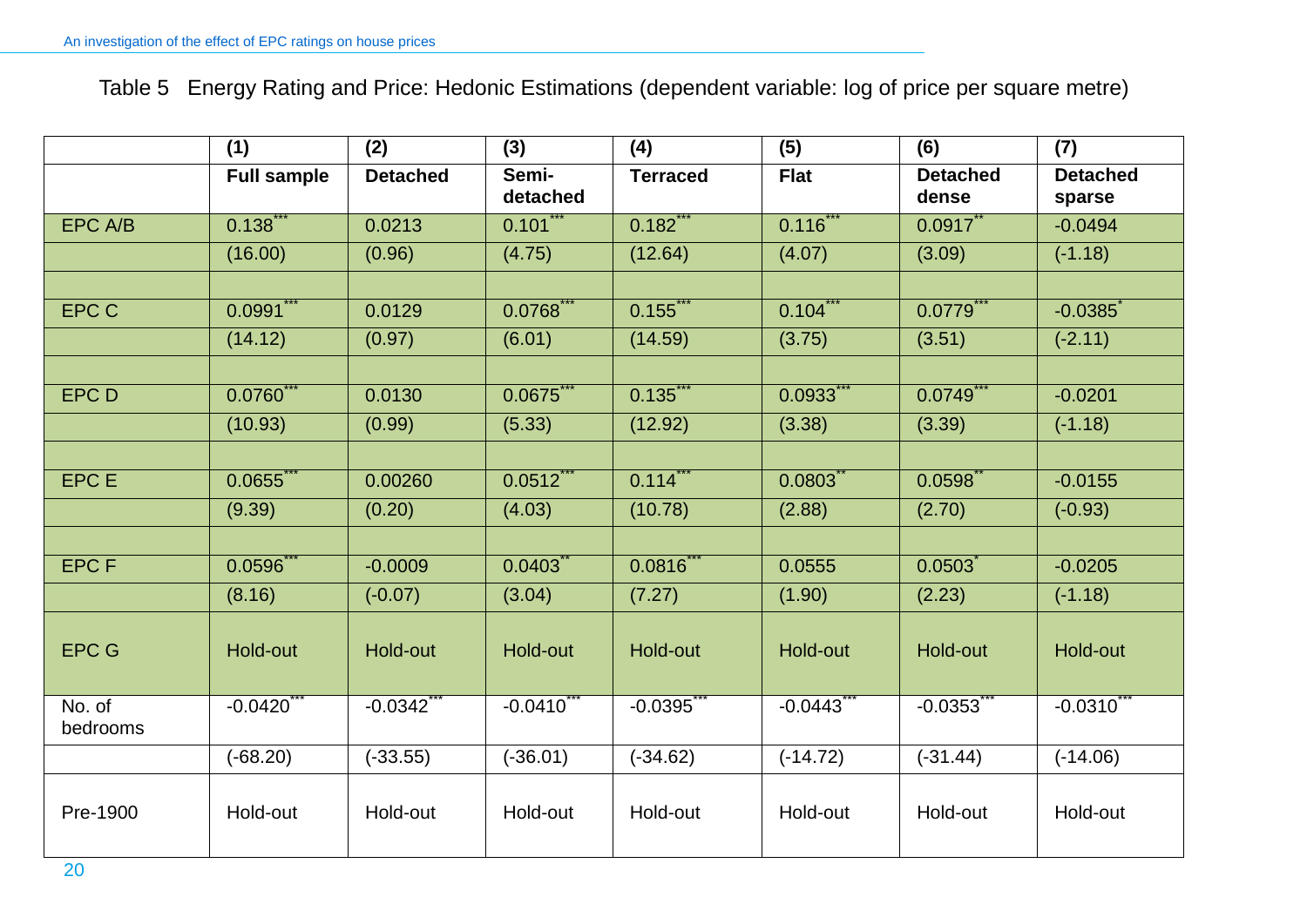Table 5 Energy Rating and Price: Hedonic Estimations (dependent variable: log of price per square metre)

|                    | (1)                | (2)                    | (3)               | (4)             | (5)                    | (6)                      | (7)                       |
|--------------------|--------------------|------------------------|-------------------|-----------------|------------------------|--------------------------|---------------------------|
|                    | <b>Full sample</b> | <b>Detached</b>        | Semi-<br>detached | <b>Terraced</b> | <b>Flat</b>            | <b>Detached</b><br>dense | <b>Detached</b><br>sparse |
| EPC A/B            | 0.138              | 0.0213                 | 0.101             | 0.182           | 0.116                  | $0.0917$ **              | $-0.0494$                 |
|                    | (16.00)            | (0.96)                 | (4.75)            | (12.64)         | (4.07)                 | (3.09)                   | $(-1.18)$                 |
|                    |                    |                        |                   |                 |                        |                          |                           |
| <b>EPC C</b>       | 0.0991             | 0.0129                 | $0.0768$ **       | $0.155$ **      | $0.104$ **             | 0.0779                   | $-0.0385$                 |
|                    | (14.12)            | (0.97)                 | (6.01)            | (14.59)         | (3.75)                 | (3.51)                   | $(-2.11)$                 |
|                    |                    |                        |                   |                 |                        |                          |                           |
| <b>EPCD</b>        | 0.0760             | 0.0130                 | 0.0675            | 0.135           | 0.0933                 | 0.0749                   | $-0.0201$                 |
|                    | (10.93)            | (0.99)                 | (5.33)            | (12.92)         | (3.38)                 | (3.39)                   | $(-1.18)$                 |
|                    |                    |                        |                   |                 |                        |                          |                           |
| <b>EPCE</b>        | 0.0655             | 0.00260                | 0.0512            | 0.114           | 0.0803                 | 0.0598                   | $-0.0155$                 |
|                    | (9.39)             | (0.20)                 | (4.03)            | (10.78)         | (2.88)                 | (2.70)                   | $(-0.93)$                 |
|                    |                    |                        |                   |                 |                        |                          |                           |
| <b>EPCF</b>        | $0.0596^{*}$       | $-0.0009$              | 0.0403            | $0.0816$ **     | 0.0555                 | 0.0503                   | $-0.0205$                 |
|                    | (8.16)             | $(-0.07)$              | (3.04)            | (7.27)          | (1.90)                 | (2.23)                   | $(-1.18)$                 |
| <b>EPC G</b>       | Hold-out           | Hold-out               | Hold-out          | Hold-out        | Hold-out               | Hold-out                 | Hold-out                  |
| No. of<br>bedrooms | $-0.0420$          | $-0.0342$ <sup>*</sup> | $-0.0410$         | $-0.0395$       | $-0.0443$ <sup>*</sup> | $-0.0353$                | $-0.0310$                 |
|                    | $(-68.20)$         | $(-33.55)$             | $(-36.01)$        | $(-34.62)$      | $(-14.72)$             | $(-31.44)$               | $(-14.06)$                |
| Pre-1900           | Hold-out           | Hold-out               | Hold-out          | Hold-out        | Hold-out               | Hold-out                 | Hold-out                  |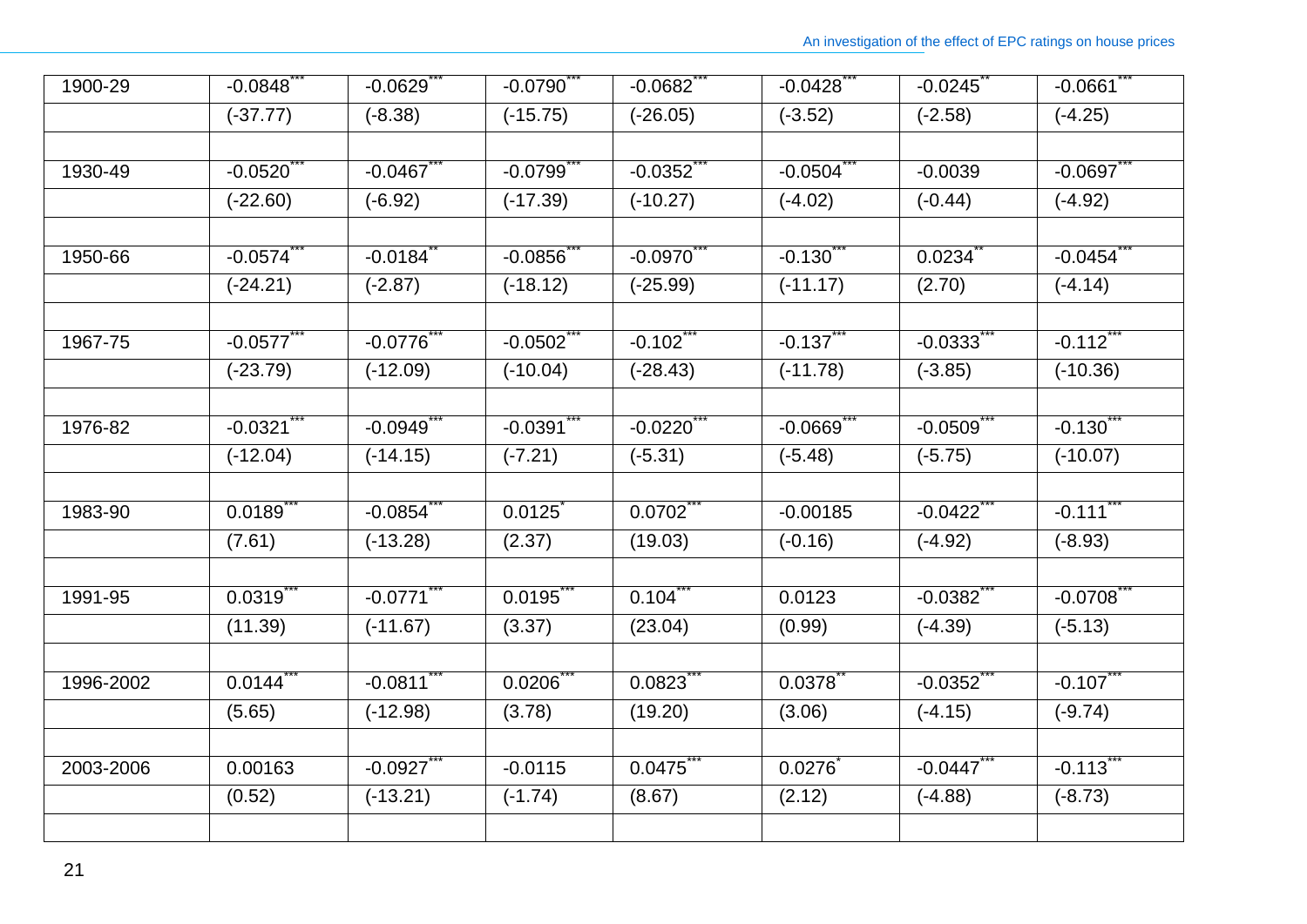| 1900-29   | $-0.0848$  | $-0.0629$ ***          | $-0.0790$ *** | $-0.0682$ *** | $-0.0428$ *** | $-0.0245$     | $-0.0661$ *** |
|-----------|------------|------------------------|---------------|---------------|---------------|---------------|---------------|
|           | $(-37.77)$ | $(-8.38)$              | $(-15.75)$    | $(-26.05)$    | $(-3.52)$     | $(-2.58)$     | $(-4.25)$     |
|           |            |                        |               |               |               |               |               |
| 1930-49   | $-0.0520$  | $-0.0467$              | $-0.0799$     | $-0.0352$     | $-0.0504$     | $-0.0039$     | $-0.0697$     |
|           | $(-22.60)$ | $(-6.92)$              | $(-17.39)$    | $(-10.27)$    | $(-4.02)$     | $(-0.44)$     | $(-4.92)$     |
|           |            |                        |               |               |               |               |               |
| 1950-66   | $-0.0574$  | $-0.0184$ <sup>*</sup> | $-0.0856$     | $-0.0970$     | $-0.130$      | 0.0234        | $-0.0454$     |
|           | $(-24.21)$ | $(-2.87)$              | $(-18.12)$    | $(-25.99)$    | $(-11.17)$    | (2.70)        | $(-4.14)$     |
|           |            |                        |               |               |               |               |               |
| 1967-75   | $-0.0577$  | $-0.0776$              | $-0.0502$     | $-0.102$      | $-0.137$      | $-0.0333$     | $-0.112$      |
|           | $(-23.79)$ | $(-12.09)$             | $(-10.04)$    | $(-28.43)$    | $(-11.78)$    | $(-3.85)$     | $(-10.36)$    |
|           |            |                        |               |               |               |               |               |
| 1976-82   | $-0.0321$  | $-0.0949$              | $-0.0391$     | $-0.0220$     | $-0.0669$     | $-0.0509$     | $-0.130$      |
|           | $(-12.04)$ | $(-14.15)$             | $(-7.21)$     | $(-5.31)$     | $(-5.48)$     | $(-5.75)$     | $(-10.07)$    |
| 1983-90   | 0.0189     | $-0.0854$              | 0.0125        | 0.0702        | $-0.00185$    | $-0.0422$     | $-0.111$      |
|           | (7.61)     | $(-13.28)$             | (2.37)        | (19.03)       | $(-0.16)$     | $(-4.92)$     | $(-8.93)$     |
|           |            |                        |               |               |               |               |               |
| 1991-95   | 0.0319     | $-0.0771$              | 0.0195        | 0.104         | 0.0123        | $-0.0382$     | $-0.0708$     |
|           | (11.39)    | $(-11.67)$             | (3.37)        | (23.04)       | (0.99)        | $(-4.39)$     | $(-5.13)$     |
|           |            |                        |               |               |               |               |               |
| 1996-2002 | 0.0144     | $-0.0811$              | 0.0206        | 0.0823        | 0.0378        | $-0.0352$     | $-0.107$      |
|           | (5.65)     | $(-12.98)$             | (3.78)        | (19.20)       | (3.06)        | $(-4.15)$     | $(-9.74)$     |
|           |            |                        |               |               |               |               |               |
| 2003-2006 | 0.00163    | $-0.0927$ ***          | $-0.0115$     | $0.0475$ **   | 0.0276        | $-0.0447$ *** | $-0.113$      |
|           | (0.52)     | $(-13.21)$             | $(-1.74)$     | (8.67)        | (2.12)        | $(-4.88)$     | $(-8.73)$     |
|           |            |                        |               |               |               |               |               |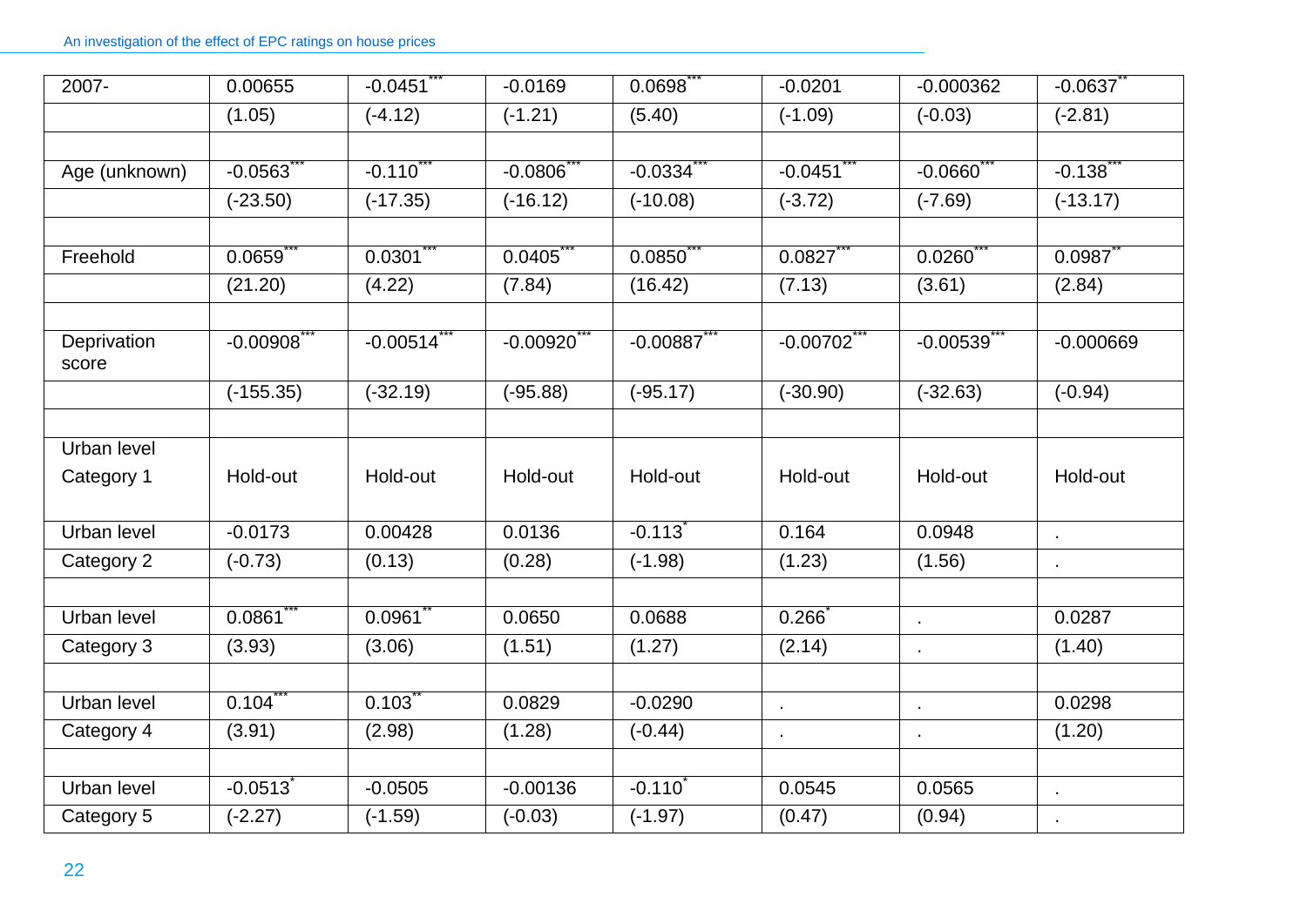| 2007-                | 0.00655                | $-0.0451$  | $-0.0169$  | 0.0698                | $-0.0201$    | $-0.000362$    | $-0.0637$                |
|----------------------|------------------------|------------|------------|-----------------------|--------------|----------------|--------------------------|
|                      | (1.05)                 | $(-4.12)$  | $(-1.21)$  | (5.40)                | $(-1.09)$    | $(-0.03)$      | $(-2.81)$                |
|                      |                        |            |            |                       |              |                |                          |
| Age (unknown)        | $-0.0563$              | $-0.110$   | $-0.0806$  | $-0.0334$             | $-0.0451$    | $-0.0660$      | $-0.138$                 |
|                      | $(-23.50)$             | $(-17.35)$ | $(-16.12)$ | $(-10.08)$            | $(-3.72)$    | $(-7.69)$      | $(-13.17)$               |
|                      |                        |            |            |                       |              |                |                          |
| Freehold             | 0.0659                 | 0.0301     | 0.0405     | 0.0850                | 0.0827       | 0.0260         | 0.0987                   |
|                      | (21.20)                | (4.22)     | (7.84)     | (16.42)               | (7.13)       | (3.61)         | (2.84)                   |
|                      |                        |            |            |                       |              |                |                          |
| Deprivation<br>score | $-0.00908$             | $-0.00514$ | $-0.00920$ | $-0.00887$            | $-0.00702$   | $-0.00539$     | $-0.000669$              |
|                      | $(-155.35)$            | $(-32.19)$ | $(-95.88)$ | $(-95.17)$            | $(-30.90)$   | $(-32.63)$     | $(-0.94)$                |
|                      |                        |            |            |                       |              |                |                          |
| Urban level          |                        |            |            |                       |              |                |                          |
| Category 1           | Hold-out               | Hold-out   | Hold-out   | Hold-out              | Hold-out     | Hold-out       | Hold-out                 |
|                      |                        |            |            |                       |              |                |                          |
| Urban level          | $-0.0173$              | 0.00428    | 0.0136     | $-0.113$ <sup>*</sup> | 0.164        | 0.0948         | $\cdot$                  |
| Category 2           | $(-0.73)$              | (0.13)     | (0.28)     | $(-1.98)$             | (1.23)       | (1.56)         | $\cdot$                  |
|                      |                        |            |            |                       |              |                |                          |
| Urban level          | 0.0861                 | 0.0961     | 0.0650     | 0.0688                | 0.266        | $\mathbf{r}$   | 0.0287                   |
| Category 3           | (3.93)                 | (3.06)     | (1.51)     | (1.27)                | (2.14)       | $\blacksquare$ | (1.40)                   |
|                      |                        |            |            |                       |              |                |                          |
| Urban level          | 0.104                  | 0.103      | 0.0829     | $-0.0290$             | $\mathbf{r}$ | $\blacksquare$ | 0.0298                   |
| Category 4           | (3.91)                 | (2.98)     | (1.28)     | $(-0.44)$             | $\bullet$    |                | (1.20)                   |
|                      |                        |            |            |                       |              |                |                          |
| Urban level          | $-0.0513$ <sup>*</sup> | $-0.0505$  | $-0.00136$ | $-0.110$              | 0.0545       | 0.0565         | $\overline{\phantom{a}}$ |
| Category 5           | $(-2.27)$              | $(-1.59)$  | $(-0.03)$  | $(-1.97)$             | (0.47)       | (0.94)         | $\blacksquare$           |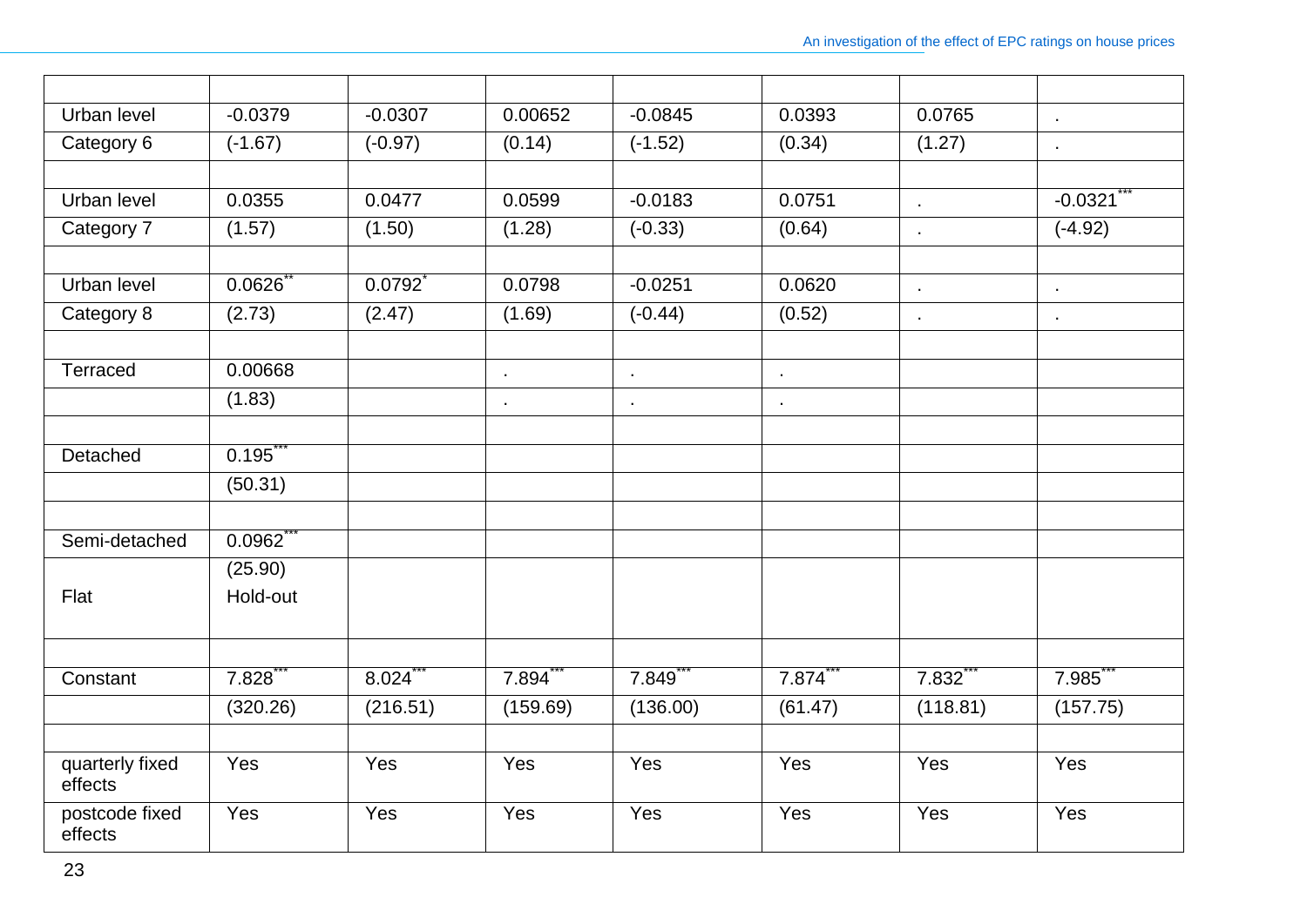| Urban level                | $-0.0379$ | $-0.0307$ | 0.00652        | $-0.0845$ | 0.0393         | 0.0765               | J.             |
|----------------------------|-----------|-----------|----------------|-----------|----------------|----------------------|----------------|
| Category 6                 | $(-1.67)$ | $(-0.97)$ | (0.14)         | $(-1.52)$ | (0.34)         | (1.27)               | $\blacksquare$ |
|                            |           |           |                |           |                |                      |                |
| <b>Urban level</b>         | 0.0355    | 0.0477    | 0.0599         | $-0.0183$ | 0.0751         | $\bullet$            | $-0.0321$      |
| Category 7                 | (1.57)    | (1.50)    | (1.28)         | $(-0.33)$ | (0.64)         | $\epsilon$           | $(-4.92)$      |
|                            |           |           |                |           |                |                      |                |
| Urban level                | 0.0626    | 0.0792    | 0.0798         | $-0.0251$ | 0.0620         | $\mathbf{r}$         | $\cdot$        |
| Category 8                 | (2.73)    | (2.47)    | (1.69)         | $(-0.44)$ | (0.52)         | k,                   | $\blacksquare$ |
|                            |           |           |                |           |                |                      |                |
| Terraced                   | 0.00668   |           | $\blacksquare$ | $\cdot$   | $\cdot$        |                      |                |
|                            | (1.83)    |           | $\blacksquare$ | ٠         | $\blacksquare$ |                      |                |
|                            |           |           |                |           |                |                      |                |
| Detached                   | 0.195     |           |                |           |                |                      |                |
|                            | (50.31)   |           |                |           |                |                      |                |
|                            |           |           |                |           |                |                      |                |
| Semi-detached              | 0.0962    |           |                |           |                |                      |                |
|                            | (25.90)   |           |                |           |                |                      |                |
| Flat                       | Hold-out  |           |                |           |                |                      |                |
|                            |           |           |                |           |                |                      |                |
|                            |           |           |                |           |                |                      |                |
| Constant                   | 7.828     | 8.024     | 7.894          | 7.849     | 7.874          | $7.832$ <sup>*</sup> | 7.985          |
|                            | (320.26)  | (216.51)  | (159.69)       | (136.00)  | (61.47)        | (118.81)             | (157.75)       |
|                            |           |           |                |           |                |                      |                |
| quarterly fixed<br>effects | Yes       | Yes       | Yes            | Yes       | Yes            | Yes                  | Yes            |
| postcode fixed<br>effects  | Yes       | Yes       | Yes            | Yes       | Yes            | Yes                  | Yes            |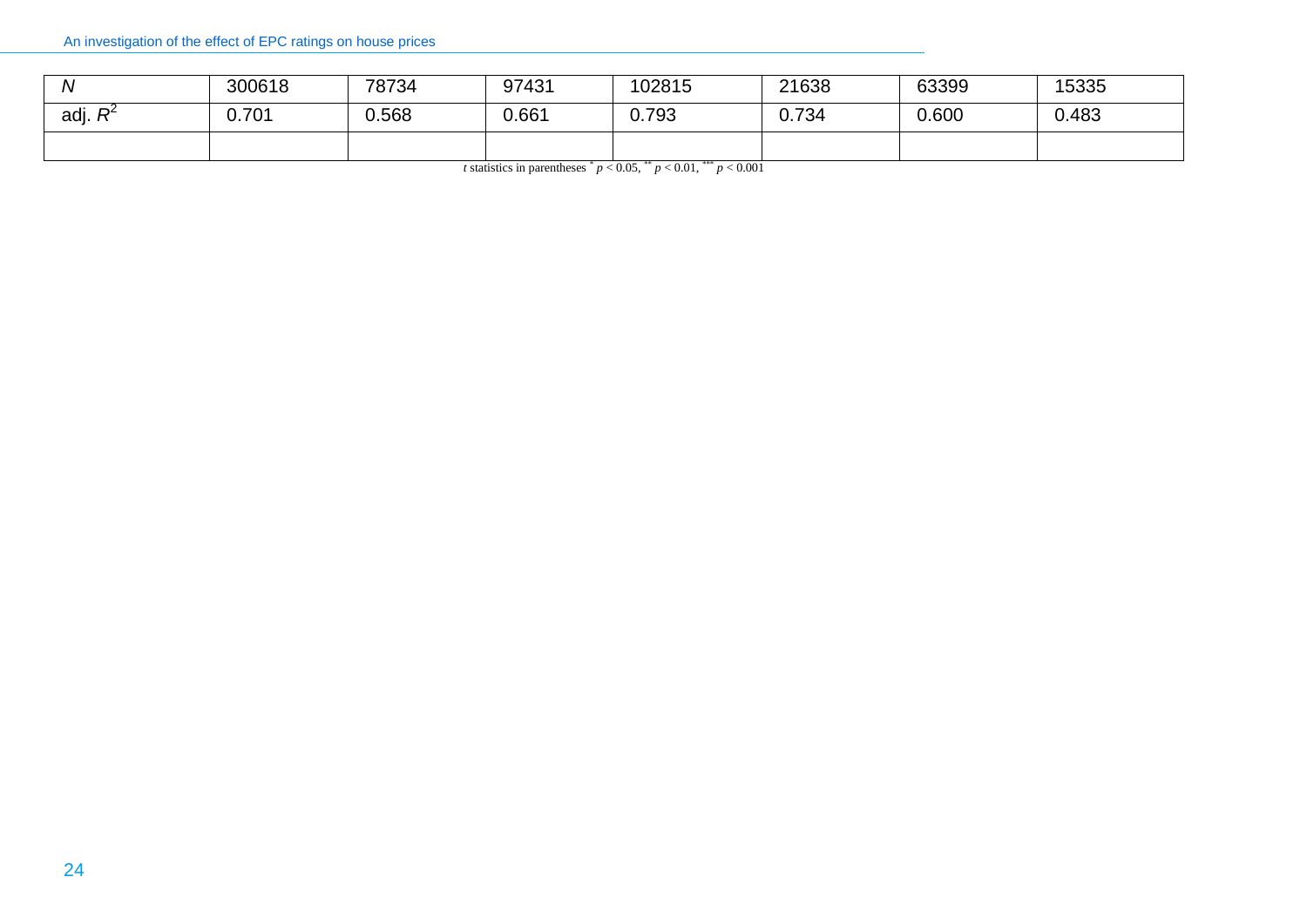| N         | 300618 | 78734 | 97431 | 102815 | 21638 | 63399 | 15335 |
|-----------|--------|-------|-------|--------|-------|-------|-------|
| adj.<br>D | 0.701  | 568.ر | 0.661 | 0.793  | 0.734 | 0.600 | 0.483 |
|           |        |       |       |        |       |       |       |

*t* statistics in parentheses  $p < 0.05$ ,  $p < 0.01$ ,  $p < 0.001$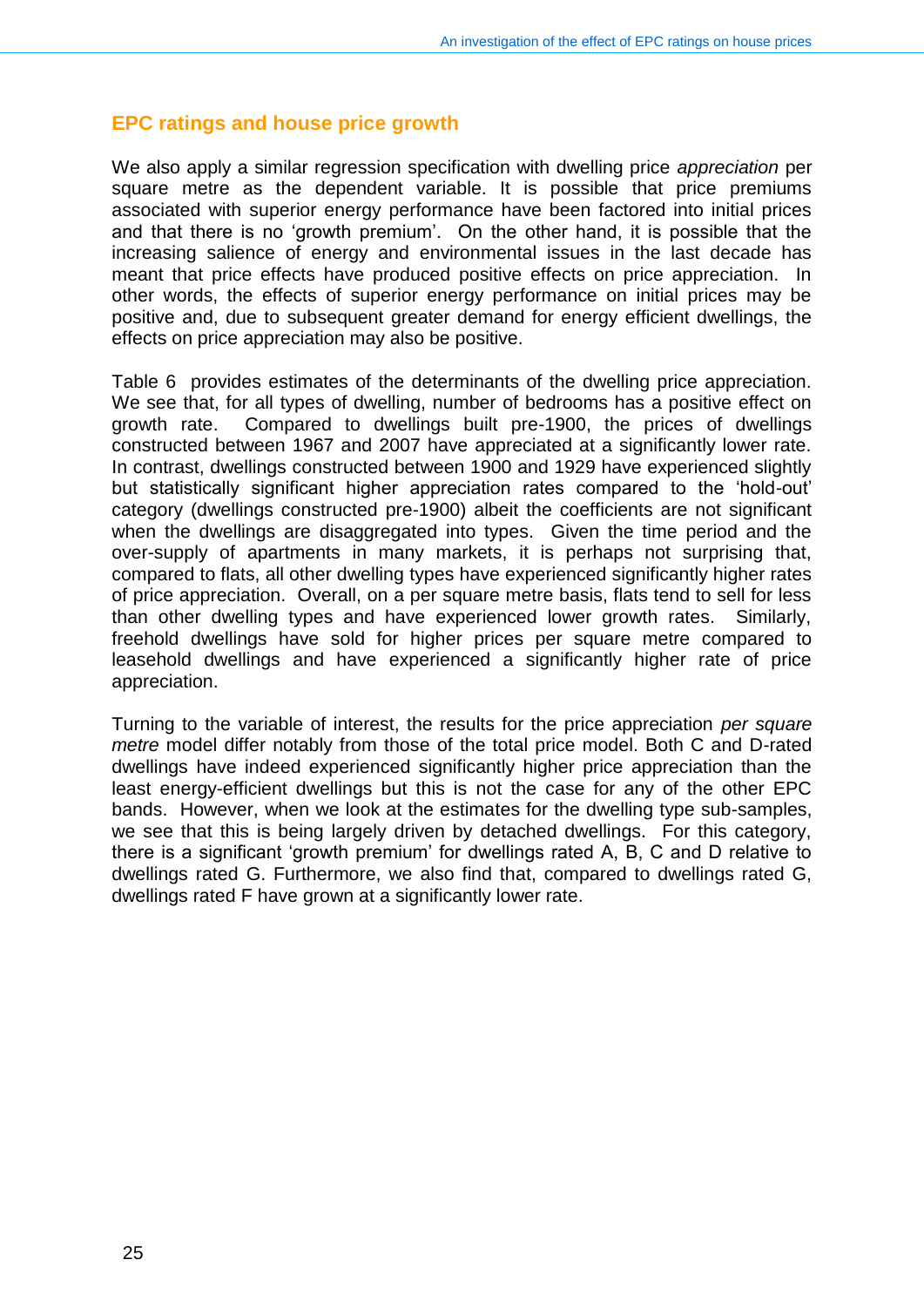#### **EPC ratings and house price growth**

We also apply a similar regression specification with dwelling price *appreciation* per square metre as the dependent variable. It is possible that price premiums associated with superior energy performance have been factored into initial prices and that there is no 'growth premium'. On the other hand, it is possible that the increasing salience of energy and environmental issues in the last decade has meant that price effects have produced positive effects on price appreciation. In other words, the effects of superior energy performance on initial prices may be positive and, due to subsequent greater demand for energy efficient dwellings, the effects on price appreciation may also be positive.

Table 6 provides estimates of the determinants of the dwelling price appreciation. We see that, for all types of dwelling, number of bedrooms has a positive effect on growth rate. Compared to dwellings built pre-1900, the prices of dwellings constructed between 1967 and 2007 have appreciated at a significantly lower rate. In contrast, dwellings constructed between 1900 and 1929 have experienced slightly but statistically significant higher appreciation rates compared to the 'hold-out' category (dwellings constructed pre-1900) albeit the coefficients are not significant when the dwellings are disaggregated into types. Given the time period and the over-supply of apartments in many markets, it is perhaps not surprising that, compared to flats, all other dwelling types have experienced significantly higher rates of price appreciation. Overall, on a per square metre basis, flats tend to sell for less than other dwelling types and have experienced lower growth rates. Similarly, freehold dwellings have sold for higher prices per square metre compared to leasehold dwellings and have experienced a significantly higher rate of price appreciation.

Turning to the variable of interest, the results for the price appreciation *per square metre* model differ notably from those of the total price model. Both C and D-rated dwellings have indeed experienced significantly higher price appreciation than the least energy-efficient dwellings but this is not the case for any of the other EPC bands. However, when we look at the estimates for the dwelling type sub-samples, we see that this is being largely driven by detached dwellings. For this category, there is a significant 'growth premium' for dwellings rated A, B, C and D relative to dwellings rated G. Furthermore, we also find that, compared to dwellings rated G, dwellings rated F have grown at a significantly lower rate.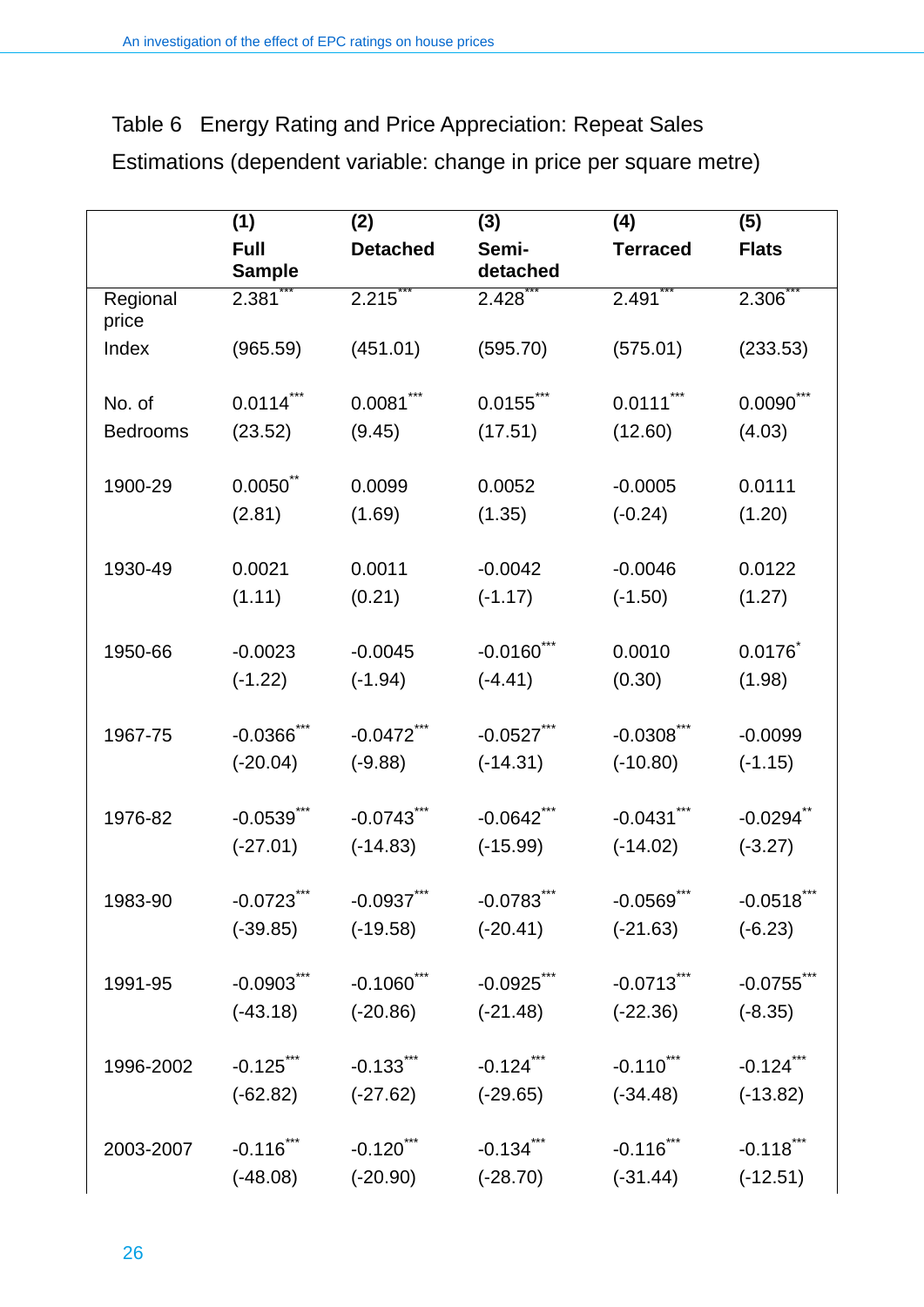|                   | (1)                          | (2)               | (3)               | (4)               | (5)           |
|-------------------|------------------------------|-------------------|-------------------|-------------------|---------------|
|                   | <b>Full</b><br><b>Sample</b> | <b>Detached</b>   | Semi-<br>detached | <b>Terraced</b>   | <b>Flats</b>  |
| Regional<br>price | 2.381                        | 2.215             | 2.428             | 2.491             | 2.306         |
| Index             | (965.59)                     | (451.01)          | (595.70)          | (575.01)          | (233.53)      |
| No. of            | $0.0114***$                  | $0.0081***$       | $0.0155***$       | $0.0111$ ***      | $0.0090$ ***  |
| <b>Bedrooms</b>   | (23.52)                      | (9.45)            | (17.51)           | (12.60)           | (4.03)        |
| 1900-29           | $0.0050$ **                  | 0.0099            | 0.0052            | $-0.0005$         | 0.0111        |
|                   | (2.81)                       | (1.69)            | (1.35)            | $(-0.24)$         | (1.20)        |
| 1930-49           | 0.0021                       | 0.0011            | $-0.0042$         | $-0.0046$         | 0.0122        |
|                   | (1.11)                       | (0.21)            | $(-1.17)$         | $(-1.50)$         | (1.27)        |
| 1950-66           | $-0.0023$                    | $-0.0045$         | $-0.0160$ ***     | 0.0010            | 0.0176        |
|                   | $(-1.22)$                    | $(-1.94)$         | $(-4.41)$         | (0.30)            | (1.98)        |
| 1967-75           | $-0.0366$ ***                | $-0.0472$ ***     | $-0.0527$ ***     | $-0.0308$ ***     | $-0.0099$     |
|                   | $(-20.04)$                   | $(-9.88)$         | $(-14.31)$        | $(-10.80)$        | $(-1.15)$     |
| 1976-82           | $-0.0539***$                 | $-0.0743$ ***     | $-0.0642$ ***     | $-0.0431***$      | $-0.0294$ **  |
|                   | $(-27.01)$                   | $(-14.83)$        | $(-15.99)$        | $(-14.02)$        | $(-3.27)$     |
| 1983-90           | $-0.0723$ ***                | $-0.0937***$      | $-0.0783***$      | $-0.0569$ ***     | $-0.0518$ *** |
|                   | $(-39.85)$                   | $(-19.58)$        | $(-20.41)$        | $(-21.63)$        | $(-6.23)$     |
| 1991-95           | $-0.0903***$                 | $-0.1060$ ***     | $-0.0925$ ***     | $-0.0713$ ***     | $-0.0755$ **  |
|                   | $(-43.18)$                   | $(-20.86)$        | $(-21.48)$        | $(-22.36)$        | $(-8.35)$     |
| 1996-2002         | $-0.125$ ***                 | $-0.133$ $\cdots$ | $-0.124$ ***      | $-0.110$ $\cdots$ | $-0.124$ ***  |
|                   | $(-62.82)$                   | $(-27.62)$        | $(-29.65)$        | $(-34.48)$        | $(-13.82)$    |
| 2003-2007         | $-0.116$ ***                 | $-0.120$ ***      | $-0.134***$       | $-0.116$ ***      | $-0.118$ ***  |
|                   | $(-48.08)$                   | $(-20.90)$        | $(-28.70)$        | $(-31.44)$        | $(-12.51)$    |

Table 6 Energy Rating and Price Appreciation: Repeat Sales Estimations (dependent variable: change in price per square metre)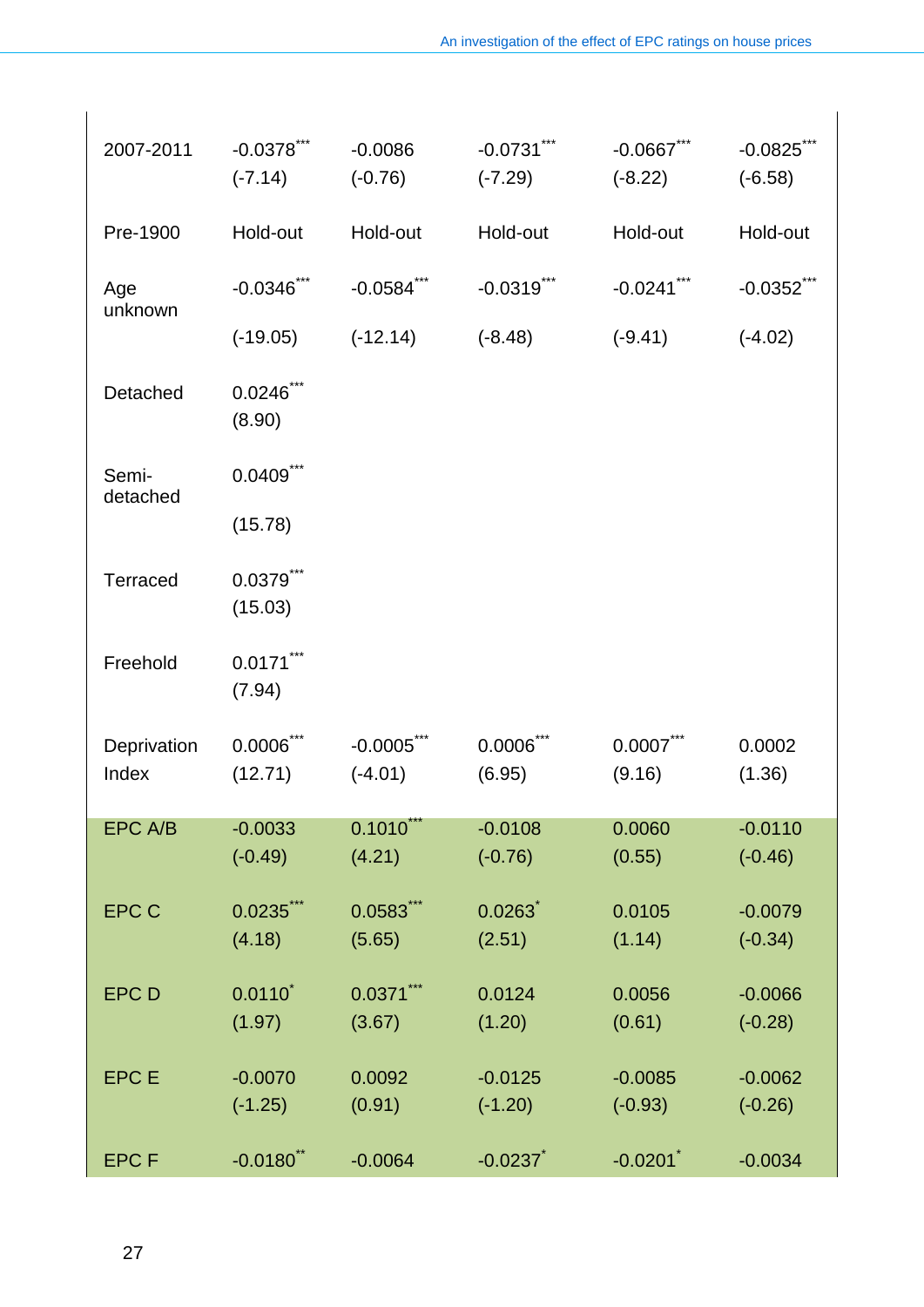| 2007-2011            | $-0.0378***$<br>$(-7.14)$ | $-0.0086$<br>$(-0.76)$     | $-0.0731***$<br>$(-7.29)$ | $-0.0667$ ***<br>$(-8.22)$ | $-0.0825$ ***<br>$(-6.58)$ |
|----------------------|---------------------------|----------------------------|---------------------------|----------------------------|----------------------------|
| Pre-1900             | Hold-out                  | Hold-out                   | Hold-out                  | Hold-out                   | Hold-out                   |
| Age<br>unknown       | $-0.0346$ ***             | $-0.0584$ ***              | $-0.0319$ ***             | $-0.0241$ ***              | $-0.0352$ $\ddot{\,}$      |
|                      | $(-19.05)$                | $(-12.14)$                 | $(-8.48)$                 | $(-9.41)$                  | $(-4.02)$                  |
| Detached             | $0.0246$ ***<br>(8.90)    |                            |                           |                            |                            |
| Semi-<br>detached    | $0.0409$ ***              |                            |                           |                            |                            |
|                      | (15.78)                   |                            |                           |                            |                            |
| <b>Terraced</b>      | $0.0379$ ***<br>(15.03)   |                            |                           |                            |                            |
| Freehold             | $0.0171***$<br>(7.94)     |                            |                           |                            |                            |
| Deprivation<br>Index | $0.0006$ ***<br>(12.71)   | $-0.0005$ ***<br>$(-4.01)$ | $0.0006$ ***<br>(6.95)    | $0.0007$ ***<br>(9.16)     | 0.0002<br>(1.36)           |
| EPC A/B              | $-0.0033$<br>$(-0.49)$    | 0.1010<br>(4.21)           | $-0.0108$<br>$(-0.76)$    | 0.0060<br>(0.55)           | $-0.0110$<br>$(-0.46)$     |
|                      |                           |                            |                           |                            |                            |
| <b>EPC C</b>         | $0.0235$ ***<br>(4.18)    | $0.0583$ ***<br>(5.65)     | 0.0263<br>(2.51)          | 0.0105<br>(1.14)           | $-0.0079$<br>$(-0.34)$     |
| <b>EPCD</b>          | $0.0110^*$                | $0.0371***$                | 0.0124                    | 0.0056                     | $-0.0066$                  |
|                      | (1.97)                    | (3.67)                     | (1.20)                    | (0.61)                     | $(-0.28)$                  |
| <b>EPC E</b>         | $-0.0070$                 | 0.0092                     | $-0.0125$                 | $-0.0085$                  | $-0.0062$                  |
|                      | $(-1.25)$                 | (0.91)                     | $(-1.20)$                 | $(-0.93)$                  | $(-0.26)$                  |
| <b>EPCF</b>          | $-0.0180$ <sup>**</sup>   | $-0.0064$                  | $-0.0237$                 | $-0.0201$                  | $-0.0034$                  |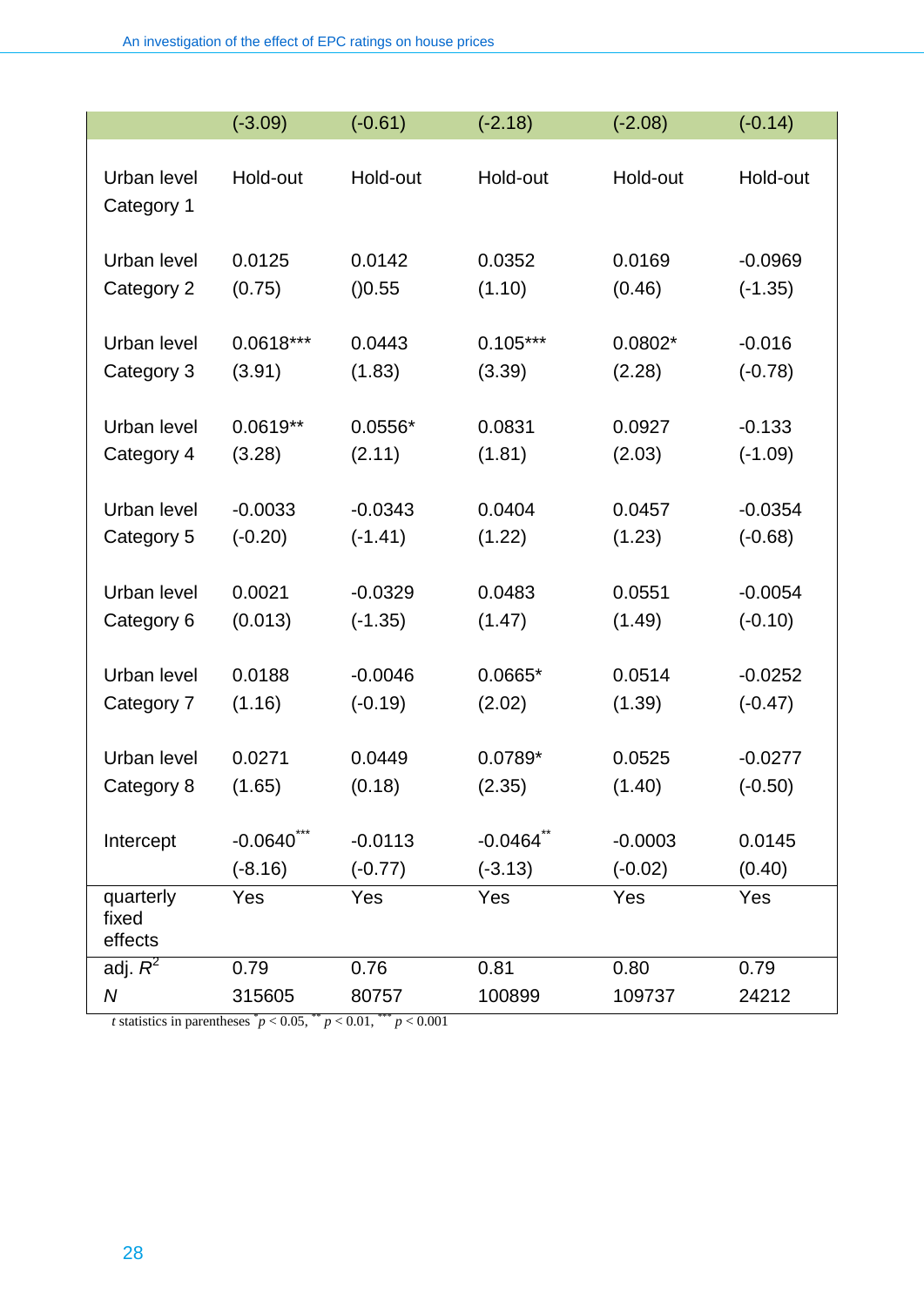|                               | $(-3.09)$   | $(-0.61)$ | $(-2.18)$               | $(-2.08)$ | $(-0.14)$ |
|-------------------------------|-------------|-----------|-------------------------|-----------|-----------|
| Urban level<br>Category 1     | Hold-out    | Hold-out  | Hold-out                | Hold-out  | Hold-out  |
| Urban level                   | 0.0125      | 0.0142    | 0.0352                  | 0.0169    | $-0.0969$ |
| Category 2                    | (0.75)      | ( )0.55   | (1.10)                  | (0.46)    | $(-1.35)$ |
| Urban level                   | $0.0618***$ | 0.0443    | $0.105***$              | $0.0802*$ | $-0.016$  |
| Category 3                    | (3.91)      | (1.83)    | (3.39)                  | (2.28)    | $(-0.78)$ |
| Urban level                   | $0.0619**$  | $0.0556*$ | 0.0831                  | 0.0927    | $-0.133$  |
| Category 4                    | (3.28)      | (2.11)    | (1.81)                  | (2.03)    | $(-1.09)$ |
| Urban level                   | $-0.0033$   | $-0.0343$ | 0.0404                  | 0.0457    | $-0.0354$ |
| Category 5                    | $(-0.20)$   | $(-1.41)$ | (1.22)                  | (1.23)    | $(-0.68)$ |
| Urban level                   | 0.0021      | $-0.0329$ | 0.0483                  | 0.0551    | $-0.0054$ |
| Category 6                    | (0.013)     | $(-1.35)$ | (1.47)                  | (1.49)    | $(-0.10)$ |
| Urban level                   | 0.0188      | $-0.0046$ | $0.0665*$               | 0.0514    | $-0.0252$ |
| Category 7                    | (1.16)      | $(-0.19)$ | (2.02)                  | (1.39)    | $(-0.47)$ |
| Urban level                   | 0.0271      | 0.0449    | 0.0789*                 | 0.0525    | $-0.0277$ |
| Category 8                    | (1.65)      | (0.18)    | (2.35)                  | (1.40)    | $(-0.50)$ |
| Intercept                     | $-0.0640$   | $-0.0113$ | $-0.0464$ <sup>**</sup> | $-0.0003$ | 0.0145    |
|                               | $(-8.16)$   | $(-0.77)$ | $(-3.13)$               | $(-0.02)$ | (0.40)    |
| quarterly<br>fixed<br>effects | Yes         | Yes       | Yes                     | Yes       | Yes       |
| adj. $R^2$                    | 0.79        | 0.76      | 0.81                    | 0.80      | 0.79      |
| $\boldsymbol{N}$              | 315605      | 80757     | 100899                  | 109737    | 24212     |

*t* statistics in parentheses  $^{*}p < 0.05$ ,  $^{**}p < 0.01$ ,  $^{***}p < 0.001$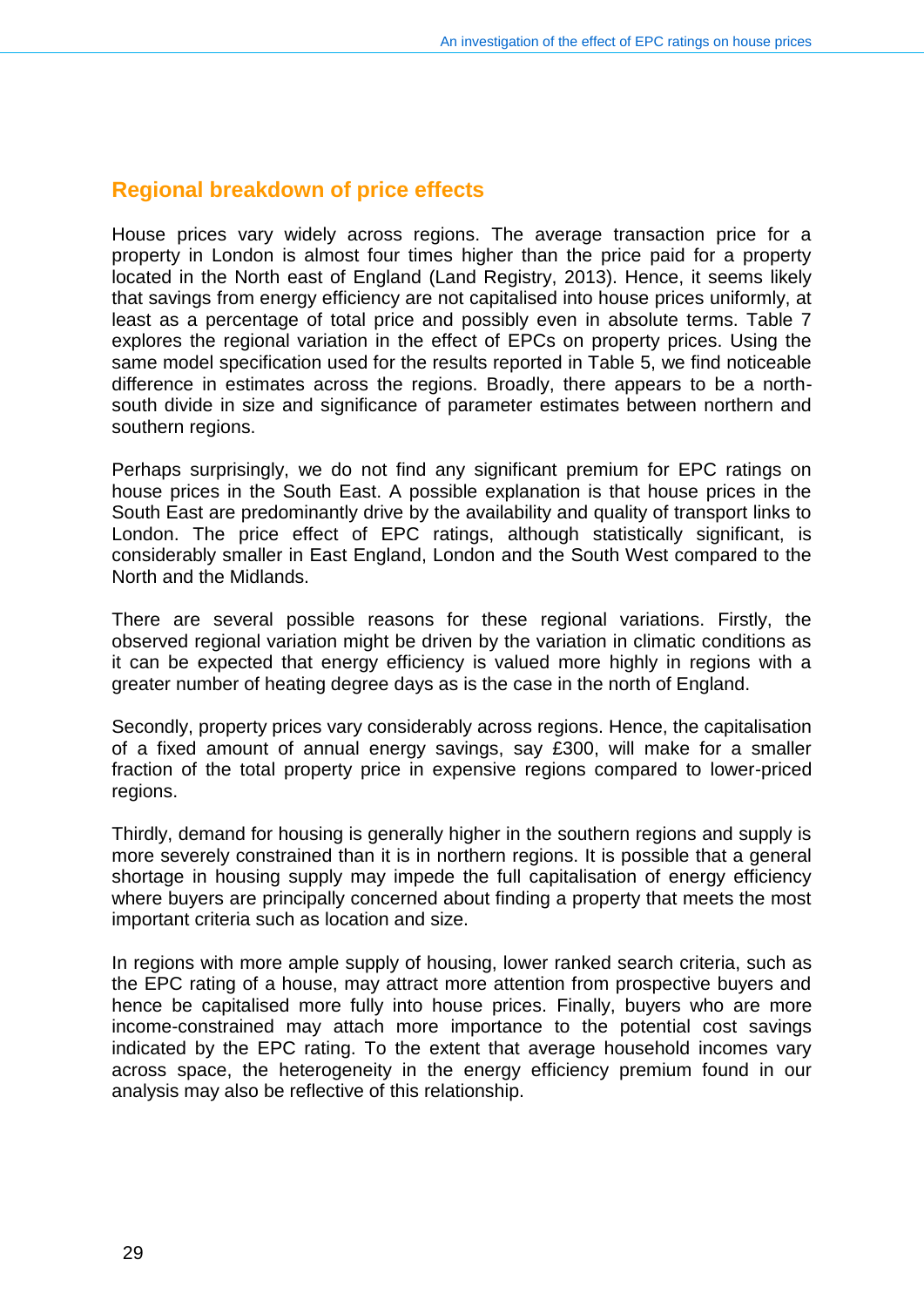#### **Regional breakdown of price effects**

House prices vary widely across regions. The average transaction price for a property in London is almost four times higher than the price paid for a property located in the North east of England (Land Registry, 2013). Hence, it seems likely that savings from energy efficiency are not capitalised into house prices uniformly, at least as a percentage of total price and possibly even in absolute terms. Table 7 explores the regional variation in the effect of EPCs on property prices. Using the same model specification used for the results reported in Table 5, we find noticeable difference in estimates across the regions. Broadly, there appears to be a northsouth divide in size and significance of parameter estimates between northern and southern regions.

Perhaps surprisingly, we do not find any significant premium for EPC ratings on house prices in the South East. A possible explanation is that house prices in the South East are predominantly drive by the availability and quality of transport links to London. The price effect of EPC ratings, although statistically significant, is considerably smaller in East England, London and the South West compared to the North and the Midlands.

There are several possible reasons for these regional variations. Firstly, the observed regional variation might be driven by the variation in climatic conditions as it can be expected that energy efficiency is valued more highly in regions with a greater number of heating degree days as is the case in the north of England.

Secondly, property prices vary considerably across regions. Hence, the capitalisation of a fixed amount of annual energy savings, say £300, will make for a smaller fraction of the total property price in expensive regions compared to lower-priced regions.

Thirdly, demand for housing is generally higher in the southern regions and supply is more severely constrained than it is in northern regions. It is possible that a general shortage in housing supply may impede the full capitalisation of energy efficiency where buyers are principally concerned about finding a property that meets the most important criteria such as location and size.

In regions with more ample supply of housing, lower ranked search criteria, such as the EPC rating of a house, may attract more attention from prospective buyers and hence be capitalised more fully into house prices. Finally, buyers who are more income-constrained may attach more importance to the potential cost savings indicated by the EPC rating. To the extent that average household incomes vary across space, the heterogeneity in the energy efficiency premium found in our analysis may also be reflective of this relationship.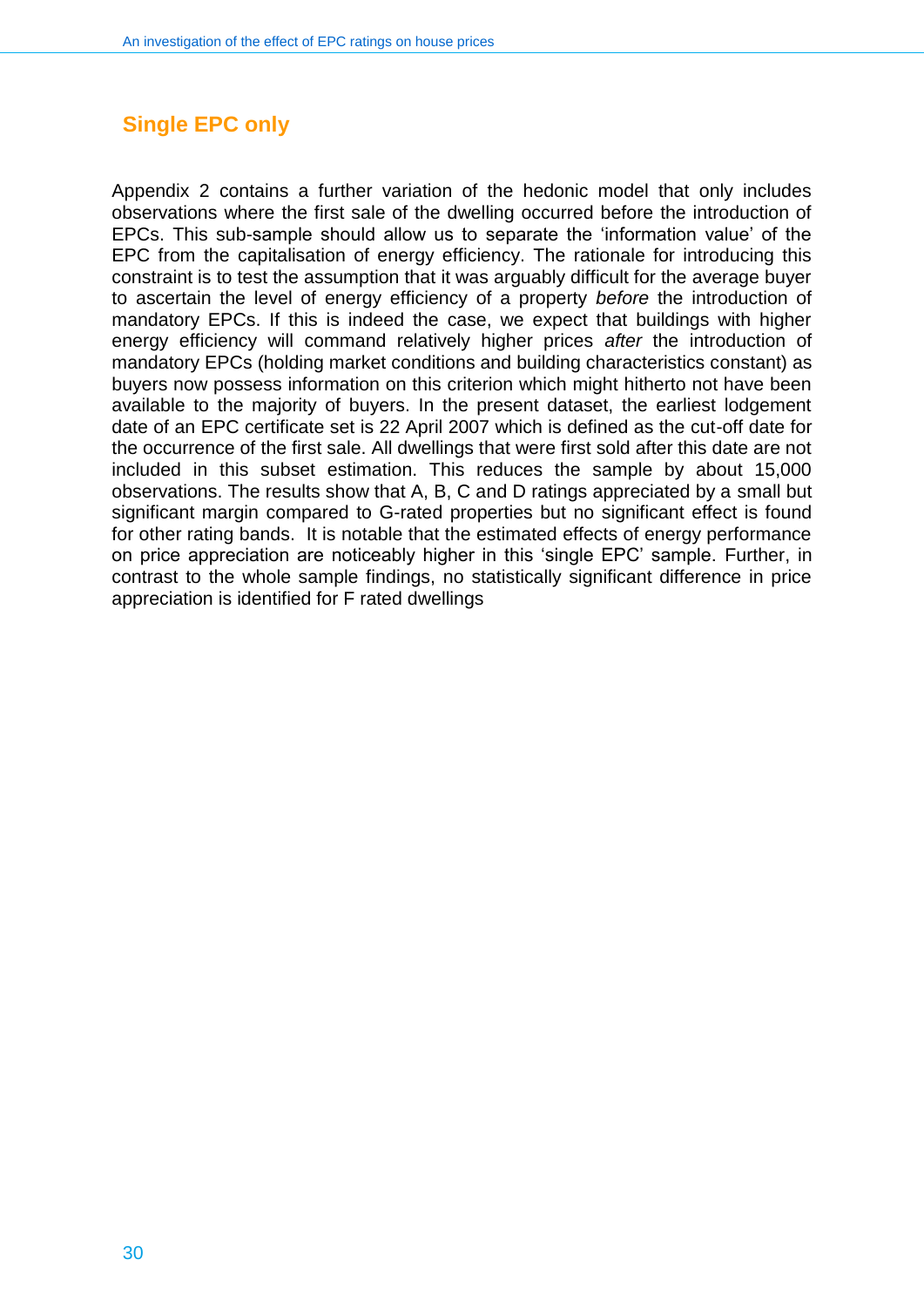## **Single EPC only**

Appendix 2 contains a further variation of the hedonic model that only includes observations where the first sale of the dwelling occurred before the introduction of EPCs. This sub-sample should allow us to separate the 'information value' of the EPC from the capitalisation of energy efficiency. The rationale for introducing this constraint is to test the assumption that it was arguably difficult for the average buyer to ascertain the level of energy efficiency of a property *before* the introduction of mandatory EPCs. If this is indeed the case, we expect that buildings with higher energy efficiency will command relatively higher prices *after* the introduction of mandatory EPCs (holding market conditions and building characteristics constant) as buyers now possess information on this criterion which might hitherto not have been available to the majority of buyers. In the present dataset, the earliest lodgement date of an EPC certificate set is 22 April 2007 which is defined as the cut-off date for the occurrence of the first sale. All dwellings that were first sold after this date are not included in this subset estimation. This reduces the sample by about 15,000 observations. The results show that A, B, C and D ratings appreciated by a small but significant margin compared to G-rated properties but no significant effect is found for other rating bands. It is notable that the estimated effects of energy performance on price appreciation are noticeably higher in this 'single EPC' sample. Further, in contrast to the whole sample findings, no statistically significant difference in price appreciation is identified for F rated dwellings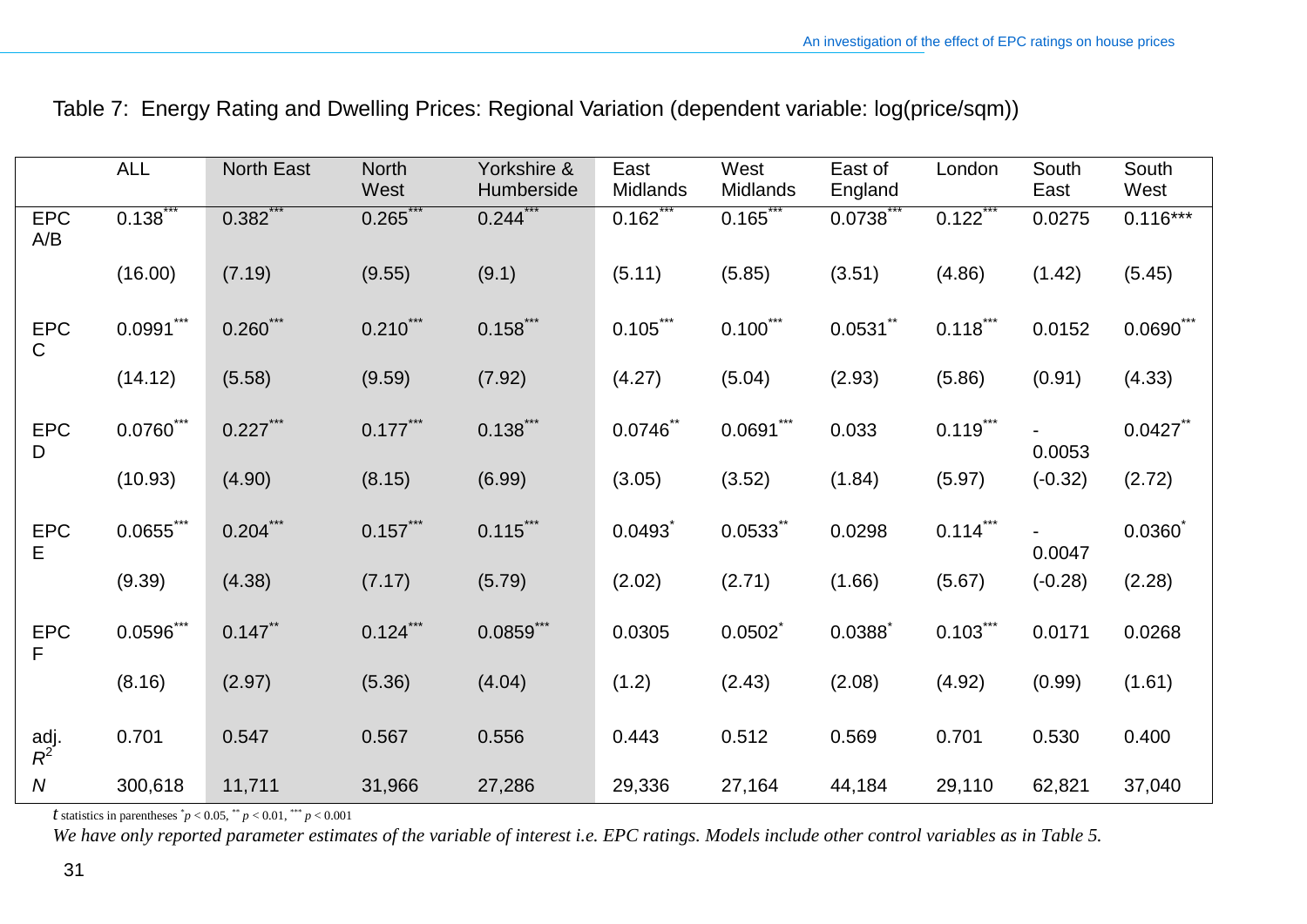|                            | <b>ALL</b>   | North East | <b>North</b><br>West | Yorkshire &<br>Humberside | East<br>Midlands | West<br>Midlands | East of<br>England | London      | South<br>East | South<br>West |
|----------------------------|--------------|------------|----------------------|---------------------------|------------------|------------------|--------------------|-------------|---------------|---------------|
| <b>EPC</b><br>A/B          | 0.138        | 0.382      | 0.265                | 0.244                     | $0.162^{r}$      | 0.165            | 0.0738             | 0.122       | 0.0275        | $0.116***$    |
|                            | (16.00)      | (7.19)     | (9.55)               | (9.1)                     | (5.11)           | (5.85)           | (3.51)             | (4.86)      | (1.42)        | (5.45)        |
| <b>EPC</b><br>$\mathsf{C}$ | $0.0991***$  | $0.260***$ | $0.210***$           | $0.158$ ***               | $0.105***$       | $0.100***$       | $0.0531$ **        | $0.118***$  | 0.0152        | $0.0690***$   |
|                            | (14.12)      | (5.58)     | (9.59)               | (7.92)                    | (4.27)           | (5.04)           | (2.93)             | (5.86)      | (0.91)        | (4.33)        |
| <b>EPC</b><br>D            | $0.0760$ *** | $0.227***$ | $0.177***$           | $0.138$ ***               | $0.0746$ **      | $0.0691***$      | 0.033              | $0.119$ *** | 0.0053        | $0.0427$ **   |
|                            | (10.93)      | (4.90)     | (8.15)               | (6.99)                    | (3.05)           | (3.52)           | (1.84)             | (5.97)      | $(-0.32)$     | (2.72)        |
| <b>EPC</b><br>E            | $0.0655***$  | $0.204***$ | $0.157***$           | $0.115***$                | 0.0493           | 0.0533           | 0.0298             | $0.114$ *** | 0.0047        | 0.0360        |
|                            | (9.39)       | (4.38)     | (7.17)               | (5.79)                    | (2.02)           | (2.71)           | (1.66)             | (5.67)      | $(-0.28)$     | (2.28)        |
| <b>EPC</b><br>F            | $0.0596***$  | $0.147$ ** | $0.124$ ***          | $0.0859$ ***              | 0.0305           | 0.0502           | 0.0388             | $0.103***$  | 0.0171        | 0.0268        |
|                            | (8.16)       | (2.97)     | (5.36)               | (4.04)                    | (1.2)            | (2.43)           | (2.08)             | (4.92)      | (0.99)        | (1.61)        |
| adj.<br>$R^2$              | 0.701        | 0.547      | 0.567                | 0.556                     | 0.443            | 0.512            | 0.569              | 0.701       | 0.530         | 0.400         |
| ${\cal N}$                 | 300,618      | 11,711     | 31,966               | 27,286                    | 29,336           | 27,164           | 44,184             | 29,110      | 62,821        | 37,040        |

## Table 7: Energy Rating and Dwelling Prices: Regional Variation (dependent variable: log(price/sqm))

*t* statistics in parentheses  $^{*}p < 0.05$ ,  $^{**}p < 0.01$ ,  $^{***}p < 0.001$ 

*We have only reported parameter estimates of the variable of interest i.e. EPC ratings. Models include other control variables as in Table 5.*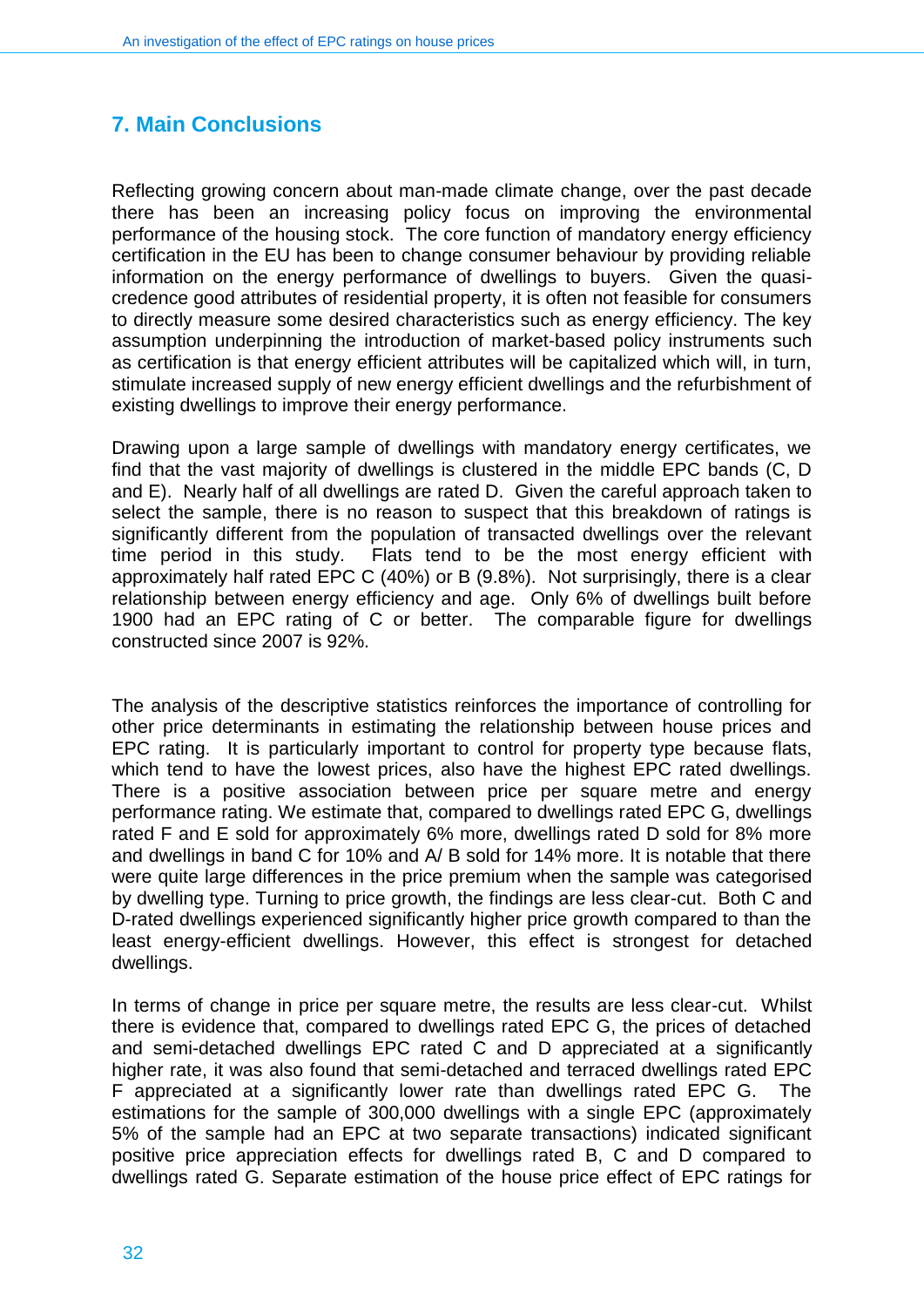## <span id="page-31-0"></span>**7. Main Conclusions**

Reflecting growing concern about man-made climate change, over the past decade there has been an increasing policy focus on improving the environmental performance of the housing stock. The core function of mandatory energy efficiency certification in the EU has been to change consumer behaviour by providing reliable information on the energy performance of dwellings to buyers. Given the quasicredence good attributes of residential property, it is often not feasible for consumers to directly measure some desired characteristics such as energy efficiency. The key assumption underpinning the introduction of market-based policy instruments such as certification is that energy efficient attributes will be capitalized which will, in turn, stimulate increased supply of new energy efficient dwellings and the refurbishment of existing dwellings to improve their energy performance.

Drawing upon a large sample of dwellings with mandatory energy certificates, we find that the vast majority of dwellings is clustered in the middle EPC bands (C, D and E). Nearly half of all dwellings are rated D. Given the careful approach taken to select the sample, there is no reason to suspect that this breakdown of ratings is significantly different from the population of transacted dwellings over the relevant time period in this study. Flats tend to be the most energy efficient with approximately half rated EPC C (40%) or B (9.8%). Not surprisingly, there is a clear relationship between energy efficiency and age. Only 6% of dwellings built before 1900 had an EPC rating of C or better. The comparable figure for dwellings constructed since 2007 is 92%.

The analysis of the descriptive statistics reinforces the importance of controlling for other price determinants in estimating the relationship between house prices and EPC rating. It is particularly important to control for property type because flats, which tend to have the lowest prices, also have the highest EPC rated dwellings. There is a positive association between price per square metre and energy performance rating. We estimate that, compared to dwellings rated EPC G, dwellings rated F and E sold for approximately 6% more, dwellings rated D sold for 8% more and dwellings in band C for 10% and A/ B sold for 14% more. It is notable that there were quite large differences in the price premium when the sample was categorised by dwelling type. Turning to price growth, the findings are less clear-cut. Both C and D-rated dwellings experienced significantly higher price growth compared to than the least energy-efficient dwellings. However, this effect is strongest for detached dwellings.

In terms of change in price per square metre, the results are less clear-cut. Whilst there is evidence that, compared to dwellings rated EPC G, the prices of detached and semi-detached dwellings EPC rated C and D appreciated at a significantly higher rate, it was also found that semi-detached and terraced dwellings rated EPC F appreciated at a significantly lower rate than dwellings rated EPC G. The estimations for the sample of 300,000 dwellings with a single EPC (approximately 5% of the sample had an EPC at two separate transactions) indicated significant positive price appreciation effects for dwellings rated B, C and D compared to dwellings rated G. Separate estimation of the house price effect of EPC ratings for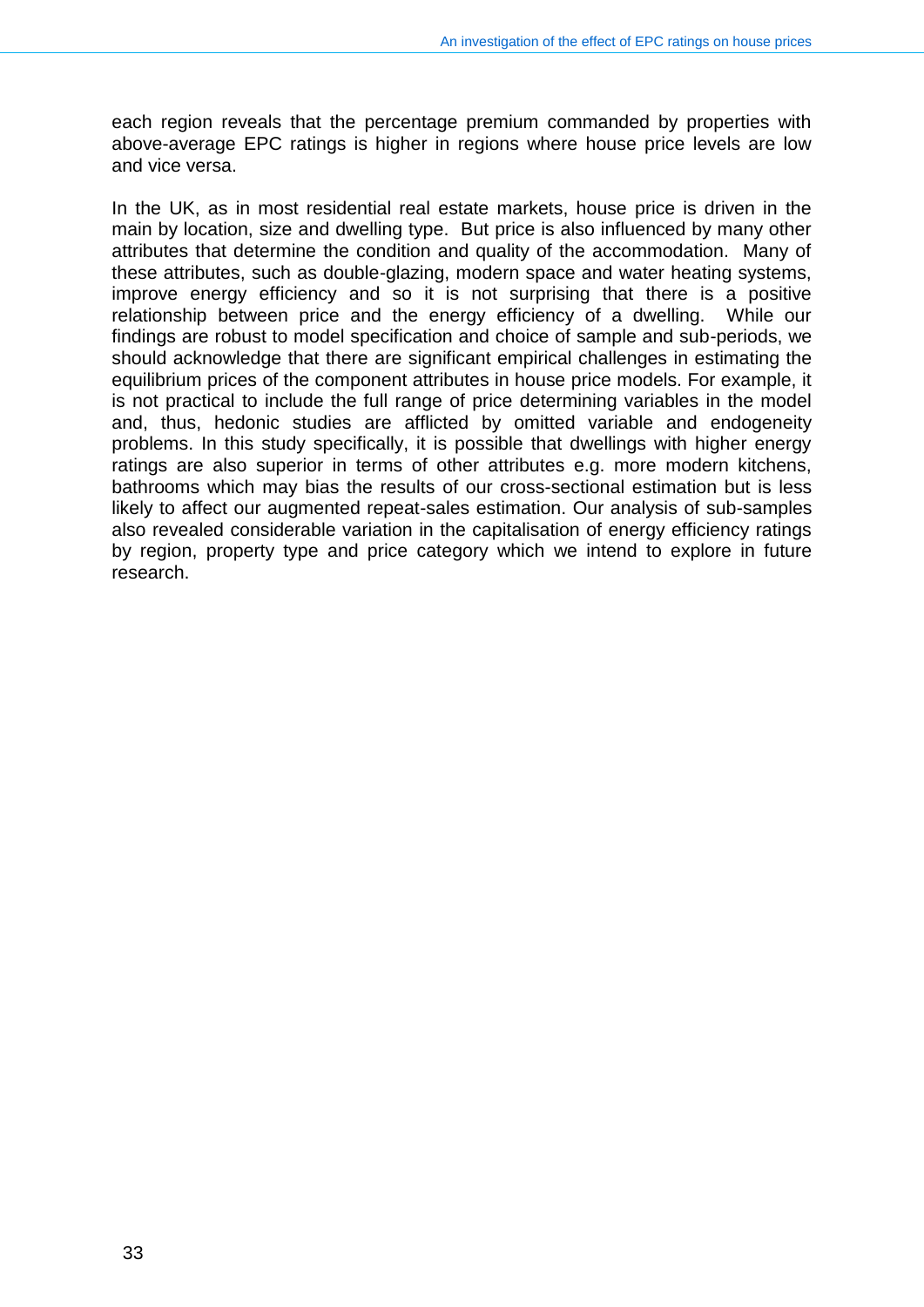each region reveals that the percentage premium commanded by properties with above-average EPC ratings is higher in regions where house price levels are low and vice versa.

In the UK, as in most residential real estate markets, house price is driven in the main by location, size and dwelling type. But price is also influenced by many other attributes that determine the condition and quality of the accommodation. Many of these attributes, such as double-glazing, modern space and water heating systems, improve energy efficiency and so it is not surprising that there is a positive relationship between price and the energy efficiency of a dwelling. While our findings are robust to model specification and choice of sample and sub-periods, we should acknowledge that there are significant empirical challenges in estimating the equilibrium prices of the component attributes in house price models. For example, it is not practical to include the full range of price determining variables in the model and, thus, hedonic studies are afflicted by omitted variable and endogeneity problems. In this study specifically, it is possible that dwellings with higher energy ratings are also superior in terms of other attributes e.g. more modern kitchens, bathrooms which may bias the results of our cross-sectional estimation but is less likely to affect our augmented repeat-sales estimation. Our analysis of sub-samples also revealed considerable variation in the capitalisation of energy efficiency ratings by region, property type and price category which we intend to explore in future research.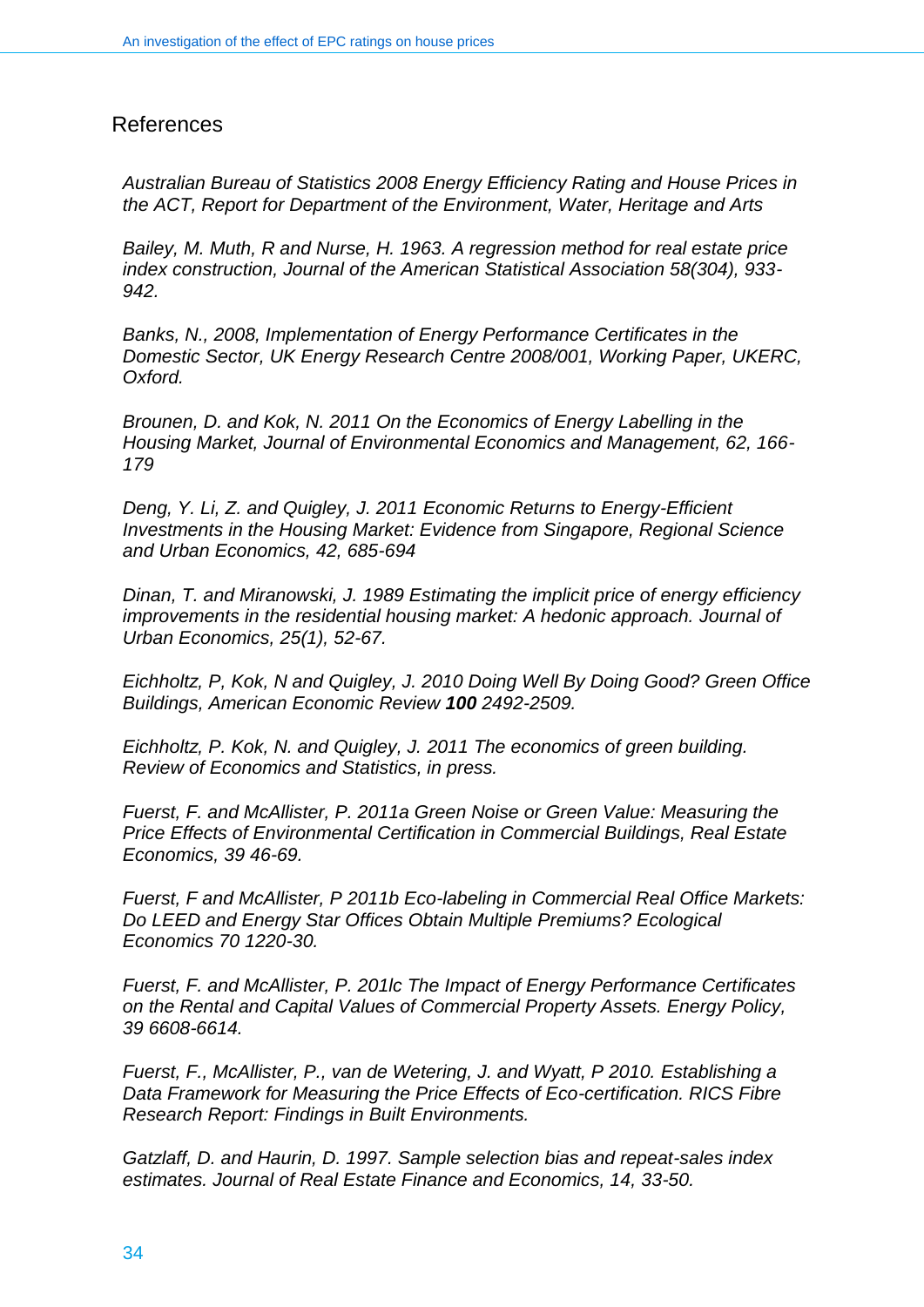#### References

*Australian Bureau of Statistics 2008 Energy Efficiency Rating and House Prices in the ACT, Report for Department of the Environment, Water, Heritage and Arts*

*Bailey, M. Muth, R and Nurse, H. 1963. A regression method for real estate price index construction, Journal of the American Statistical Association 58(304), 933- 942.*

*Banks, N., 2008, Implementation of Energy Performance Certificates in the Domestic Sector, UK Energy Research Centre 2008/001, Working Paper, UKERC, Oxford.*

*Brounen, D. and Kok, N. 2011 On the Economics of Energy Labelling in the Housing Market, Journal of Environmental Economics and Management, 62, 166- 179*

*Deng, Y. Li, Z. and Quigley, J. 2011 Economic Returns to Energy-Efficient Investments in the Housing Market: Evidence from Singapore, Regional Science and Urban Economics, 42, 685-694*

*Dinan, T. and Miranowski, J. 1989 Estimating the implicit price of energy efficiency improvements in the residential housing market: A hedonic approach. Journal of Urban Economics, 25(1), 52-67.*

*Eichholtz, P, Kok, N and Quigley, J. 2010 Doing Well By Doing Good? Green Office Buildings, American Economic Review 100 2492-2509.*

*Eichholtz, P. Kok, N. and Quigley, J. 2011 The economics of green building. Review of Economics and Statistics, in press.*

*Fuerst, F. and McAllister, P. 2011a Green Noise or Green Value: Measuring the Price Effects of Environmental Certification in Commercial Buildings, Real Estate Economics, 39 46-69.*

*Fuerst, F and McAllister, P 2011b Eco-labeling in Commercial Real Office Markets: Do LEED and Energy Star Offices Obtain Multiple Premiums? Ecological Economics 70 1220-30.*

*Fuerst, F. and McAllister, P. 201lc The Impact of Energy Performance Certificates on the Rental and Capital Values of Commercial Property Assets. Energy Policy, 39 6608-6614.* 

*Fuerst, F., McAllister, P., van de Wetering, J. and Wyatt, P 2010. [Establishing a](http://www.rics.org/site/download_feed.aspx?fileID=7259&fileExtension=PDF)  [Data Framework for Measuring the Price Effects of Eco-certification.](http://www.rics.org/site/download_feed.aspx?fileID=7259&fileExtension=PDF) RICS Fibre Research Report: Findings in Built Environments.*

*Gatzlaff, D. and Haurin, D. 1997. Sample selection bias and repeat-sales index estimates. Journal of Real Estate Finance and Economics, 14, 33-50.*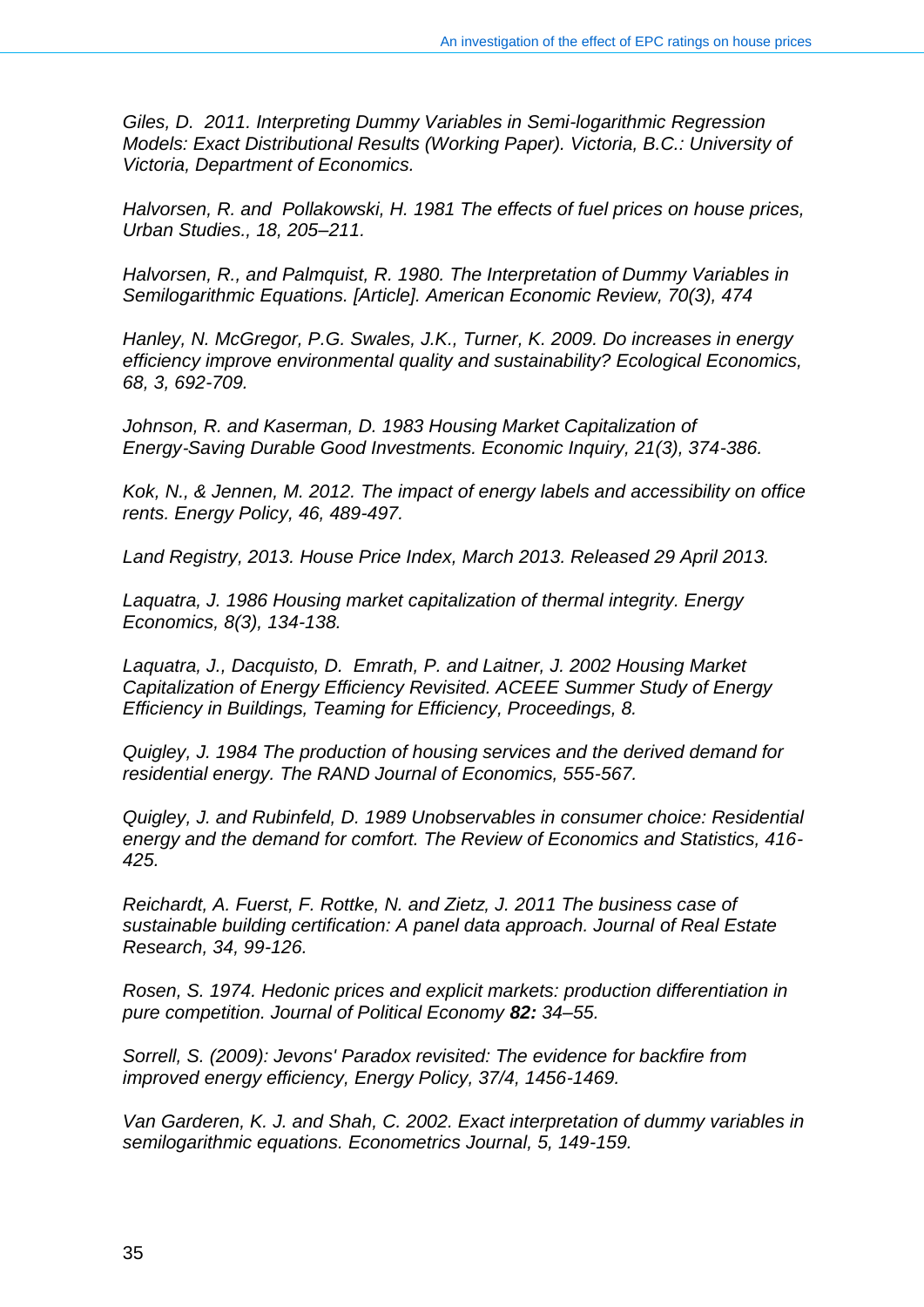*Giles, D. 2011. Interpreting Dummy Variables in Semi-logarithmic Regression Models: Exact Distributional Results (Working Paper). Victoria, B.C.: University of Victoria, Department of Economics.*

*Halvorsen, R. and Pollakowski, H. 1981 The effects of fuel prices on house prices, Urban Studies., 18, 205–211.*

*Halvorsen, R., and Palmquist, R. 1980. The Interpretation of Dummy Variables in Semilogarithmic Equations. [Article]. American Economic Review, 70(3), 474*

*Hanley, N. McGregor, P.G. Swales, J.K., Turner, K. 2009. Do increases in energy efficiency improve environmental quality and sustainability? Ecological Economics, 68, 3, 692-709.*

*Johnson, R. and Kaserman, D. 1983 Housing Market Capitalization of Energy*‐*Saving Durable Good Investments. Economic Inquiry, 21(3), 374-386.*

*Kok, N., & Jennen, M. 2012. The impact of energy labels and accessibility on office rents. Energy Policy, 46, 489-497.*

*Land Registry, 2013. House Price Index, March 2013. Released 29 April 2013.*

*Laquatra, J. 1986 Housing market capitalization of thermal integrity. Energy Economics, 8(3), 134-138.*

*Laquatra, J., Dacquisto, D. Emrath, P. and Laitner, J. 2002 Housing Market Capitalization of Energy Efficiency Revisited. ACEEE Summer Study of Energy Efficiency in Buildings, Teaming for Efficiency, Proceedings, 8.*

*Quigley, J. 1984 The production of housing services and the derived demand for residential energy. The RAND Journal of Economics, 555-567.*

*Quigley, J. and Rubinfeld, D. 1989 Unobservables in consumer choice: Residential energy and the demand for comfort. The Review of Economics and Statistics, 416- 425.*

*Reichardt, A. Fuerst, F. Rottke, N. and Zietz, J. 2011 The business case of sustainable building certification: A panel data approach. Journal of Real Estate Research, 34, 99-126.*

*Rosen, S. 1974. Hedonic prices and explicit markets: production differentiation in pure competition. Journal of Political Economy 82: 34–55.*

*Sorrell, S. (2009): Jevons' Paradox revisited: The evidence for backfire from improved energy efficiency, Energy Policy, 37/4, 1456-1469.*

*Van Garderen, K. J. and Shah, C. 2002. Exact interpretation of dummy variables in semilogarithmic equations. Econometrics Journal, 5, 149-159.*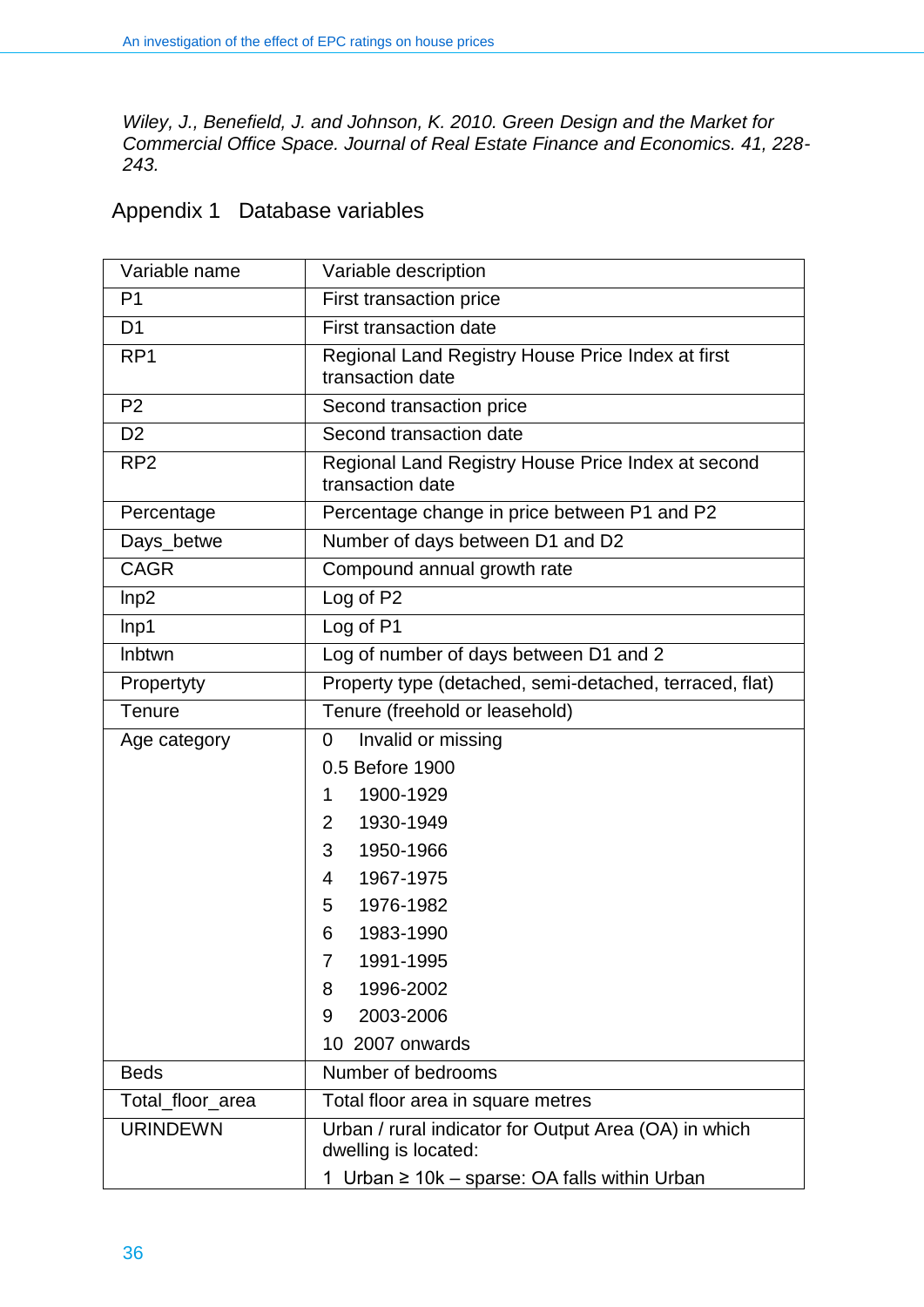*Wiley, J., Benefield, J. and Johnson, K. 2010. Green Design and the Market for Commercial Office Space. Journal of Real Estate Finance and Economics. 41, 228- 243.* 

## Appendix 1 Database variables

| Variable name    | Variable description                                                          |  |  |  |
|------------------|-------------------------------------------------------------------------------|--|--|--|
| P <sub>1</sub>   | First transaction price                                                       |  |  |  |
| D <sub>1</sub>   | <b>First transaction date</b>                                                 |  |  |  |
| RP <sub>1</sub>  | Regional Land Registry House Price Index at first<br>transaction date         |  |  |  |
| P <sub>2</sub>   | Second transaction price                                                      |  |  |  |
| D <sub>2</sub>   | Second transaction date                                                       |  |  |  |
| RP <sub>2</sub>  | Regional Land Registry House Price Index at second<br>transaction date        |  |  |  |
| Percentage       | Percentage change in price between P1 and P2                                  |  |  |  |
| Days_betwe       | Number of days between D1 and D2                                              |  |  |  |
| <b>CAGR</b>      | Compound annual growth rate                                                   |  |  |  |
| Inp2             | Log of P2                                                                     |  |  |  |
| lnp <sub>1</sub> | Log of P1                                                                     |  |  |  |
| Inbtwn           | Log of number of days between D1 and 2                                        |  |  |  |
| Propertyty       | Property type (detached, semi-detached, terraced, flat)                       |  |  |  |
| Tenure           | Tenure (freehold or leasehold)                                                |  |  |  |
| Age category     | Invalid or missing<br>0                                                       |  |  |  |
|                  | 0.5 Before 1900                                                               |  |  |  |
|                  | 1900-1929<br>1                                                                |  |  |  |
|                  | 1930-1949<br>$\overline{2}$                                                   |  |  |  |
|                  | 1950-1966<br>3                                                                |  |  |  |
|                  | 1967-1975<br>4                                                                |  |  |  |
|                  | 1976-1982<br>5                                                                |  |  |  |
|                  | 1983-1990<br>6                                                                |  |  |  |
|                  | 1991-1995<br>7                                                                |  |  |  |
|                  | 1996-2002<br>8                                                                |  |  |  |
|                  | 2003-2006<br>9                                                                |  |  |  |
|                  | 10 2007 onwards                                                               |  |  |  |
| <b>Beds</b>      | Number of bedrooms                                                            |  |  |  |
| Total_floor_area | Total floor area in square metres                                             |  |  |  |
| <b>URINDEWN</b>  | Urban / rural indicator for Output Area (OA) in which<br>dwelling is located: |  |  |  |
|                  | 1 Urban ≥ 10k – sparse: OA falls within Urban                                 |  |  |  |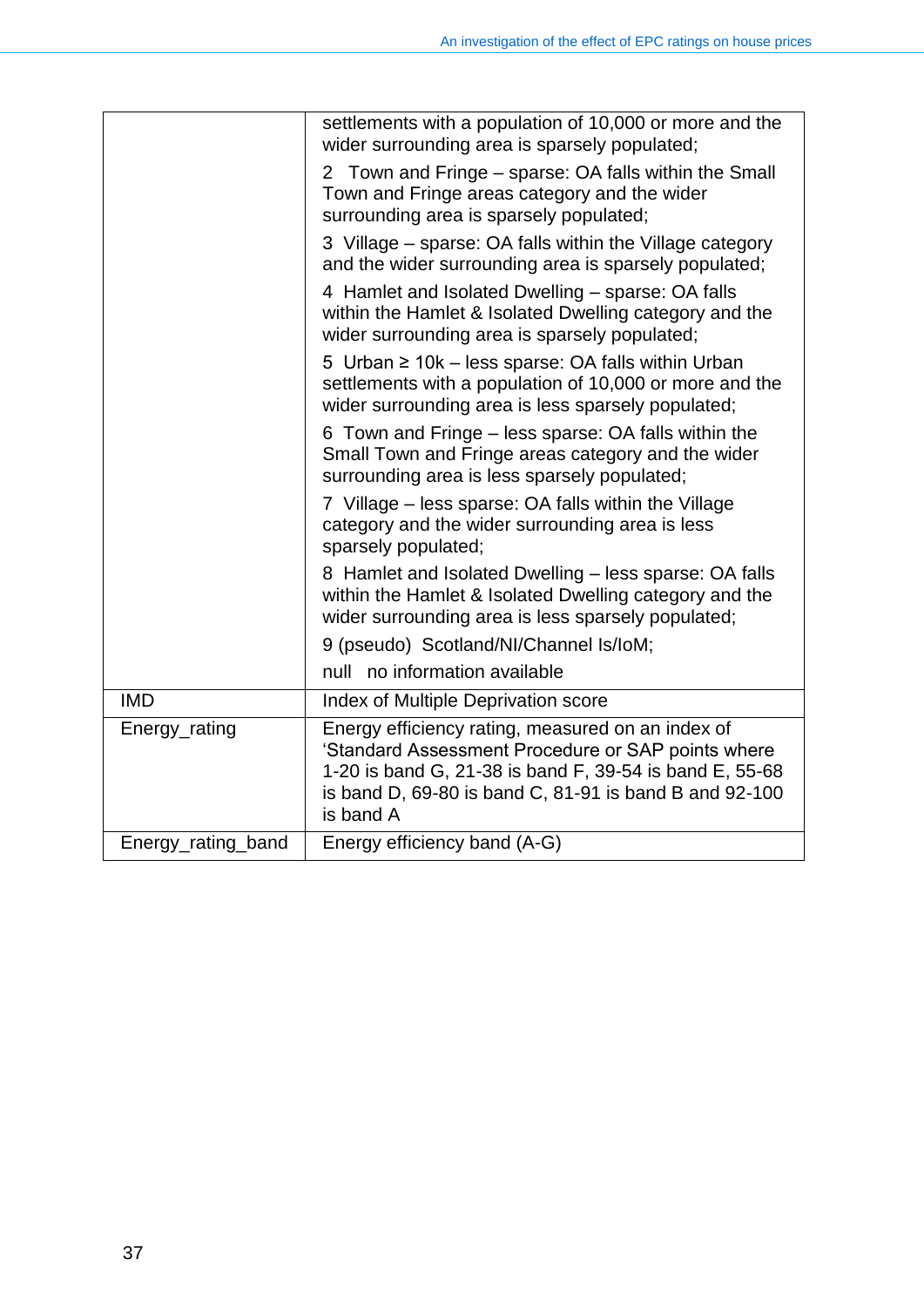|                    | settlements with a population of 10,000 or more and the<br>wider surrounding area is sparsely populated;                                                                                                                                  |
|--------------------|-------------------------------------------------------------------------------------------------------------------------------------------------------------------------------------------------------------------------------------------|
|                    | 2 Town and Fringe – sparse: OA falls within the Small<br>Town and Fringe areas category and the wider<br>surrounding area is sparsely populated;                                                                                          |
|                    | 3 Village – sparse: OA falls within the Village category<br>and the wider surrounding area is sparsely populated;                                                                                                                         |
|                    | 4 Hamlet and Isolated Dwelling - sparse: OA falls<br>within the Hamlet & Isolated Dwelling category and the<br>wider surrounding area is sparsely populated;                                                                              |
|                    | 5 Urban ≥ 10k - less sparse: OA falls within Urban<br>settlements with a population of 10,000 or more and the<br>wider surrounding area is less sparsely populated;                                                                       |
|                    | 6 Town and Fringe - less sparse: OA falls within the<br>Small Town and Fringe areas category and the wider<br>surrounding area is less sparsely populated;                                                                                |
|                    | 7 Village – less sparse: OA falls within the Village<br>category and the wider surrounding area is less<br>sparsely populated;                                                                                                            |
|                    | 8 Hamlet and Isolated Dwelling – less sparse: OA falls<br>within the Hamlet & Isolated Dwelling category and the<br>wider surrounding area is less sparsely populated;                                                                    |
|                    | 9 (pseudo) Scotland/NI/Channel Is/IoM;                                                                                                                                                                                                    |
|                    | null no information available                                                                                                                                                                                                             |
| <b>IMD</b>         | Index of Multiple Deprivation score                                                                                                                                                                                                       |
| Energy_rating      | Energy efficiency rating, measured on an index of<br>'Standard Assessment Procedure or SAP points where<br>1-20 is band G, 21-38 is band F, 39-54 is band E, 55-68<br>is band D, 69-80 is band C, 81-91 is band B and 92-100<br>is band A |
| Energy_rating_band | Energy efficiency band (A-G)                                                                                                                                                                                                              |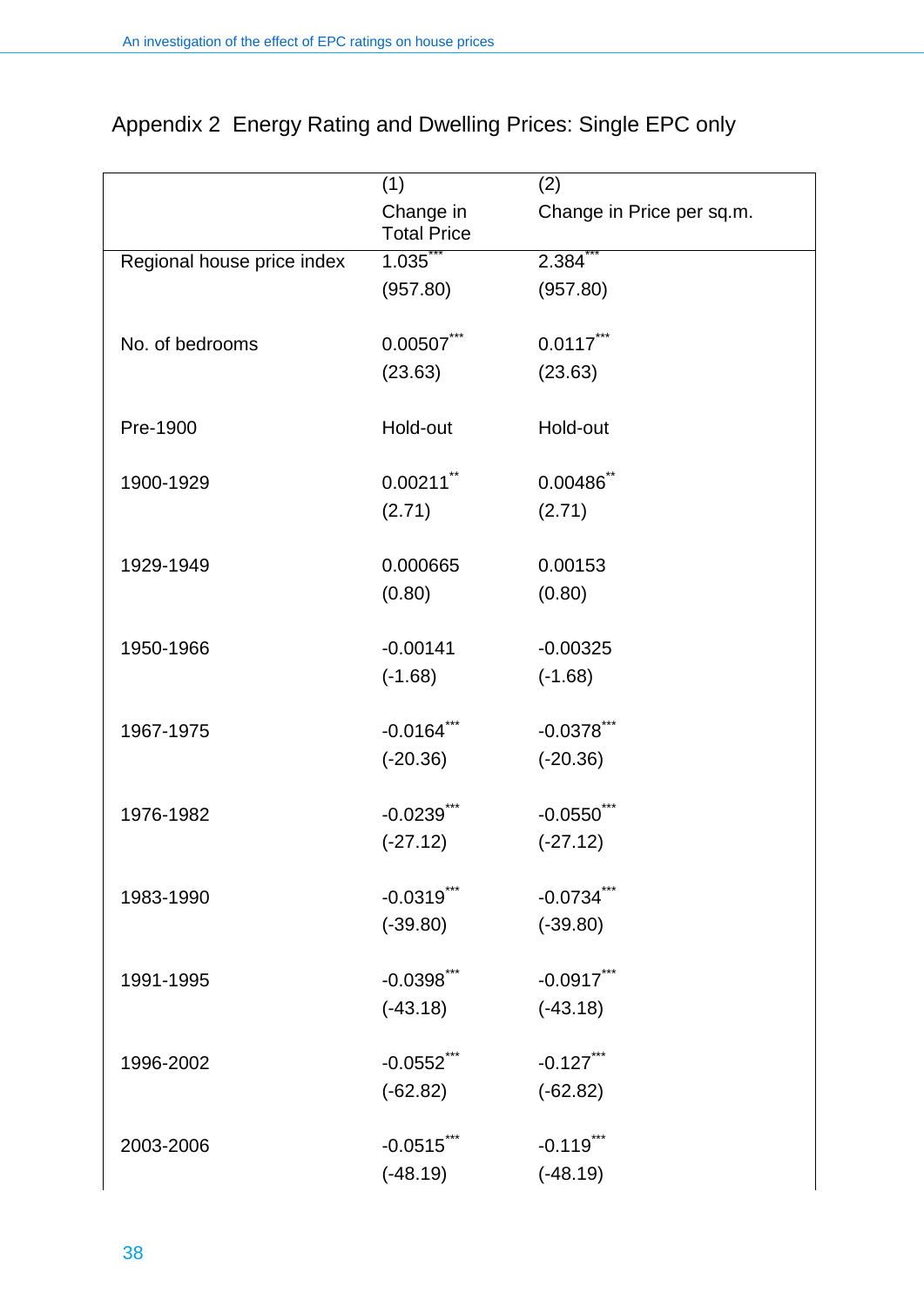|                            | (1)                             | (2)                       |
|----------------------------|---------------------------------|---------------------------|
|                            | Change in<br><b>Total Price</b> | Change in Price per sq.m. |
| Regional house price index | 1.035                           | $2.384$ **                |
|                            | (957.80)                        | (957.80)                  |
|                            |                                 |                           |
| No. of bedrooms            | $0.00507$ ***                   | $0.0117$ ***              |
|                            | (23.63)                         | (23.63)                   |
| Pre-1900                   | Hold-out                        | Hold-out                  |
|                            |                                 |                           |
| 1900-1929                  | $0.00211$ <sup>**</sup>         | $0.00486$ *               |
|                            | (2.71)                          | (2.71)                    |
| 1929-1949                  | 0.000665                        | 0.00153                   |
|                            | (0.80)                          | (0.80)                    |
|                            |                                 |                           |
| 1950-1966                  | $-0.00141$                      | $-0.00325$                |
|                            | $(-1.68)$                       | $(-1.68)$                 |
|                            |                                 |                           |
| 1967-1975                  | $-0.0164$ <sup>***</sup>        | $-0.0378$                 |
|                            | $(-20.36)$                      | $(-20.36)$                |
| 1976-1982                  | $-0.0239$ <sup>**</sup>         | $-0.0550$                 |
|                            | $(-27.12)$                      | $(-27.12)$                |
| 1983-1990                  | $-0.0319$ <sup>***</sup>        | $-0.0734$ <sup>2</sup>    |
|                            | $(-39.80)$                      | $(-39.80)$                |
|                            |                                 |                           |
| 1991-1995                  | $-0.0398$ ***                   | $-0.0917$ ***             |
|                            | $(-43.18)$                      | $(-43.18)$                |
| 1996-2002                  | $-0.0552$ ***                   | $-0.127$ ***              |
|                            | $(-62.82)$                      | $(-62.82)$                |
|                            |                                 |                           |
| 2003-2006                  | $-0.0515$ ***                   | $-0.119$ ***              |
|                            | $(-48.19)$                      | $(-48.19)$                |

## Appendix 2 Energy Rating and Dwelling Prices: Single EPC only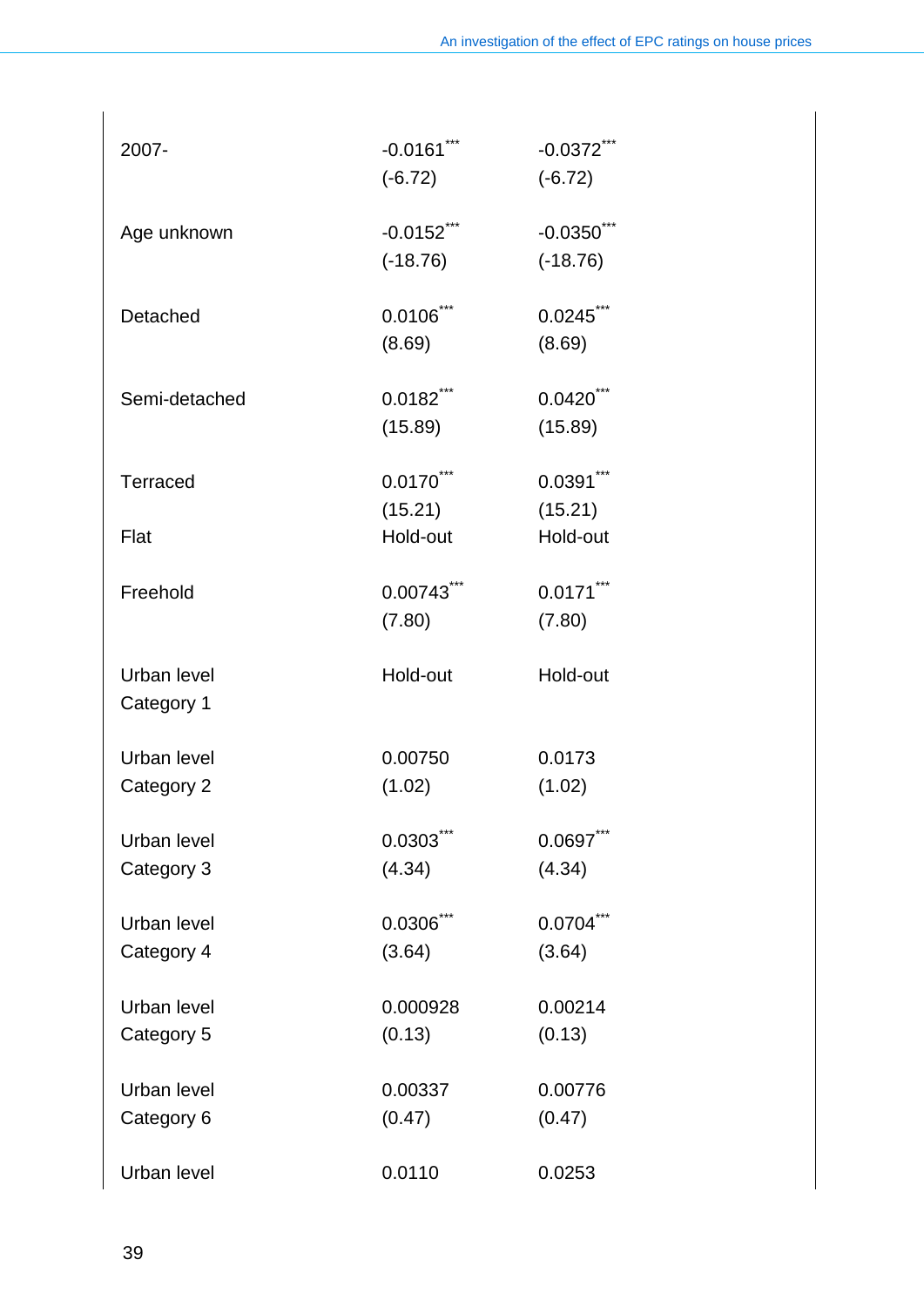| 2007-           | $-0.0161***$            | $-0.0372$ *** |
|-----------------|-------------------------|---------------|
|                 | $(-6.72)$               | $(-6.72)$     |
| Age unknown     | $-0.0152$ ***           | $-0.0350$     |
|                 | $(-18.76)$              | $(-18.76)$    |
| Detached        | $0.0106$ ***            | $0.0245$ ***  |
|                 | (8.69)                  | (8.69)        |
| Semi-detached   | $0.0182$ <sup>***</sup> | $0.0420$ ***  |
|                 | (15.89)                 | (15.89)       |
| <b>Terraced</b> | $0.0170$ ***            | $0.0391***$   |
|                 | (15.21)                 | (15.21)       |
| Flat            | Hold-out                | Hold-out      |
| Freehold        | $0.00743$ ***           | $0.0171***$   |
|                 | (7.80)                  | (7.80)        |
| Urban level     | Hold-out                | Hold-out      |
| Category 1      |                         |               |
| Urban level     | 0.00750                 | 0.0173        |
| Category 2      | (1.02)                  | (1.02)        |
| Urban level     | 0.0303                  | $0.0697***$   |
| Category 3      | (4.34)                  | (4.34)        |
| Urban level     | 0.0306                  | 0.0704        |
| Category 4      | (3.64)                  | (3.64)        |
| Urban level     | 0.000928                | 0.00214       |
| Category 5      | (0.13)                  | (0.13)        |
| Urban level     | 0.00337                 | 0.00776       |
| Category 6      | (0.47)                  | (0.47)        |
| Urban level     | 0.0110                  | 0.0253        |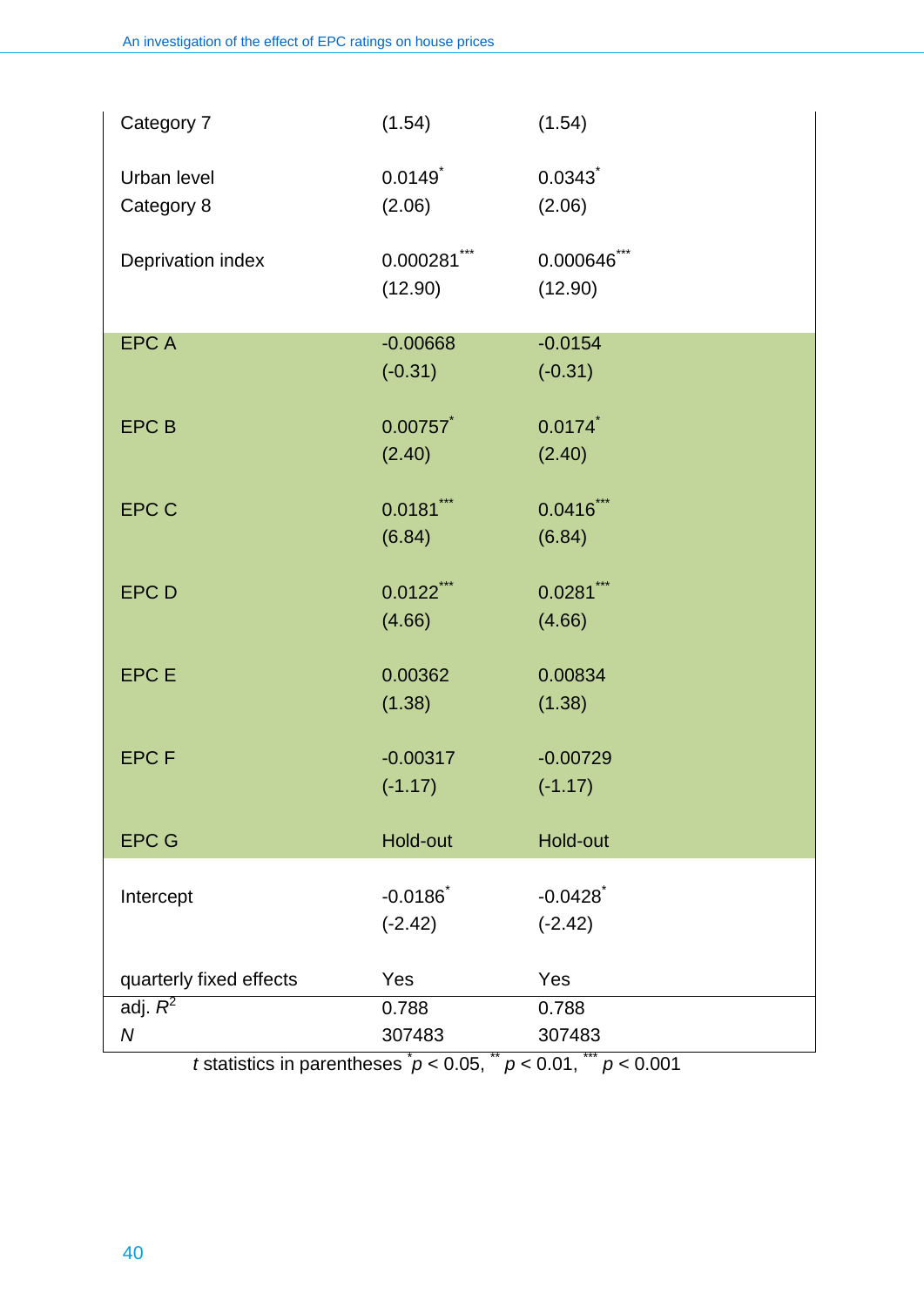| Category 7              | (1.54)                | (1.54)       |
|-------------------------|-----------------------|--------------|
| Urban level             | $0.0149$ <sup>*</sup> | 0.0343       |
| Category 8              | (2.06)                | (2.06)       |
| Deprivation index       | $0.000281***$         | 0.000646***  |
|                         | (12.90)               | (12.90)      |
| <b>EPCA</b>             | $-0.00668$            | $-0.0154$    |
|                         | $(-0.31)$             | $(-0.31)$    |
| <b>EPCB</b>             | 0.00757               | 0.0174       |
|                         | (2.40)                | (2.40)       |
| <b>EPC C</b>            | $0.0181$ ***          | $0.0416$ *** |
|                         | (6.84)                | (6.84)       |
| <b>EPC D</b>            | $0.0122$ ***          | $0.0281***$  |
|                         | (4.66)                | (4.66)       |
| <b>EPCE</b>             | 0.00362               | 0.00834      |
|                         | (1.38)                | (1.38)       |
| <b>EPCF</b>             | $-0.00317$            | $-0.00729$   |
|                         | $(-1.17)$             | $(-1.17)$    |
| <b>EPC G</b>            | Hold-out              | Hold-out     |
| Intercept               | $-0.0186$             | $-0.0428$    |
|                         | $(-2.42)$             | $(-2.42)$    |
| quarterly fixed effects | Yes                   | Yes          |
| adj. $R^2$              | 0.788                 | 0.788        |
| $\boldsymbol{N}$        | 307483                | 307483       |

*t* statistics in parentheses  $p < 0.05$ ,  $p < 0.01$ ,  $p < 0.001$